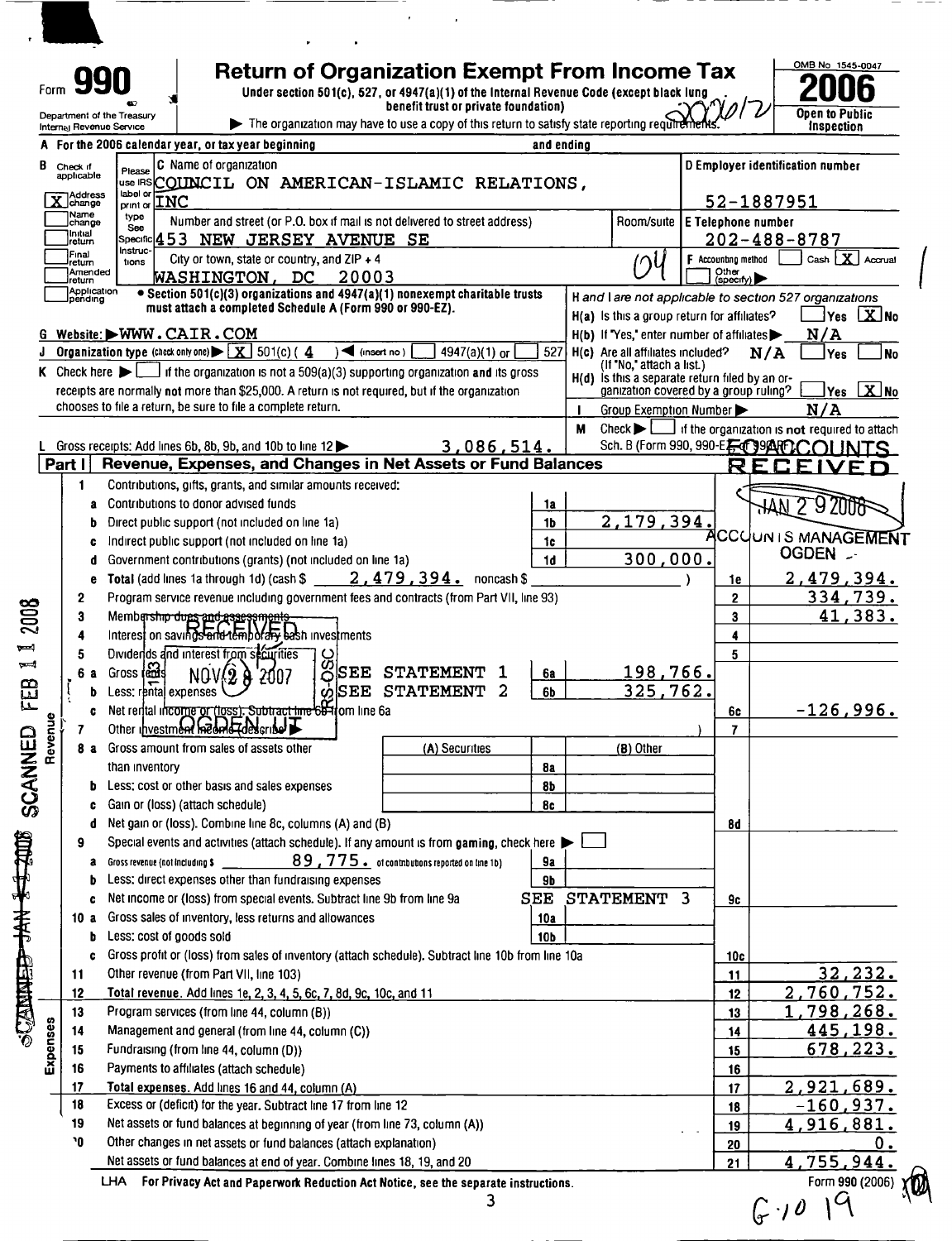| Form 990<br>Department of the Treasury<br>Internal Revenue Service |                                                            | <b>Return of Organization Exempt From Income Tax</b><br>Under section 501(c), 527, or 4947(a)(1) of the Internal Revenue Code (except black lung<br>The organization may have to use a copy of this return to satisfy state reporting requirements. | benefit trust or private foundation) |                 |                                  | OMB No 1545-004<br>NƘ<br><b>Open to Public</b><br>inspection |
|--------------------------------------------------------------------|------------------------------------------------------------|-----------------------------------------------------------------------------------------------------------------------------------------------------------------------------------------------------------------------------------------------------|--------------------------------------|-----------------|----------------------------------|--------------------------------------------------------------|
|                                                                    |                                                            | A For the 2006 calendar year, or tax year beginning                                                                                                                                                                                                 | and ending                           |                 |                                  |                                                              |
| B<br>Check if<br>applicable                                        | Please<br> use IRS <b>ICOTINCIL</b>                        | Name of organization<br>ON AMERICAN-ISLAMIC RELATIONS,                                                                                                                                                                                              |                                      |                 | D Employer identification number |                                                              |
| X Address                                                          | label or<br>$ _{\text{print of}}$ $\underline{\text{LNC}}$ |                                                                                                                                                                                                                                                     |                                      |                 | 52-1887951                       |                                                              |
| 1Name<br>Jchange                                                   | type<br>See                                                | Number and street (or P.O. box if mail is not delivered to street address)                                                                                                                                                                          |                                      |                 | Room/suite   E Telephone number  |                                                              |
| Ilnıtıal<br>Ireturn                                                | $ $ Specific $ 4\hspace{0.1cm}5\hspace{0.1cm}3$            | <b>JERSEY</b><br>NEW<br><b>AVENUE SE</b>                                                                                                                                                                                                            |                                      |                 | $202 - 488 - 8787$               |                                                              |
| Fınal<br>return                                                    | Instruc-<br>tions                                          | City or town, state or country, and $ZIP + 4$                                                                                                                                                                                                       |                                      | 10 <sub>h</sub> | Accounting method                | Cash                                                         |

## **Return Income Tax**  $\frac{0.008 \text{ No } 1545-0047}{2006}$



 $\Xi$ Cc  $\mathbf{r}$ <u>u</u> z z C t/

4 Interes<sub>i</sub>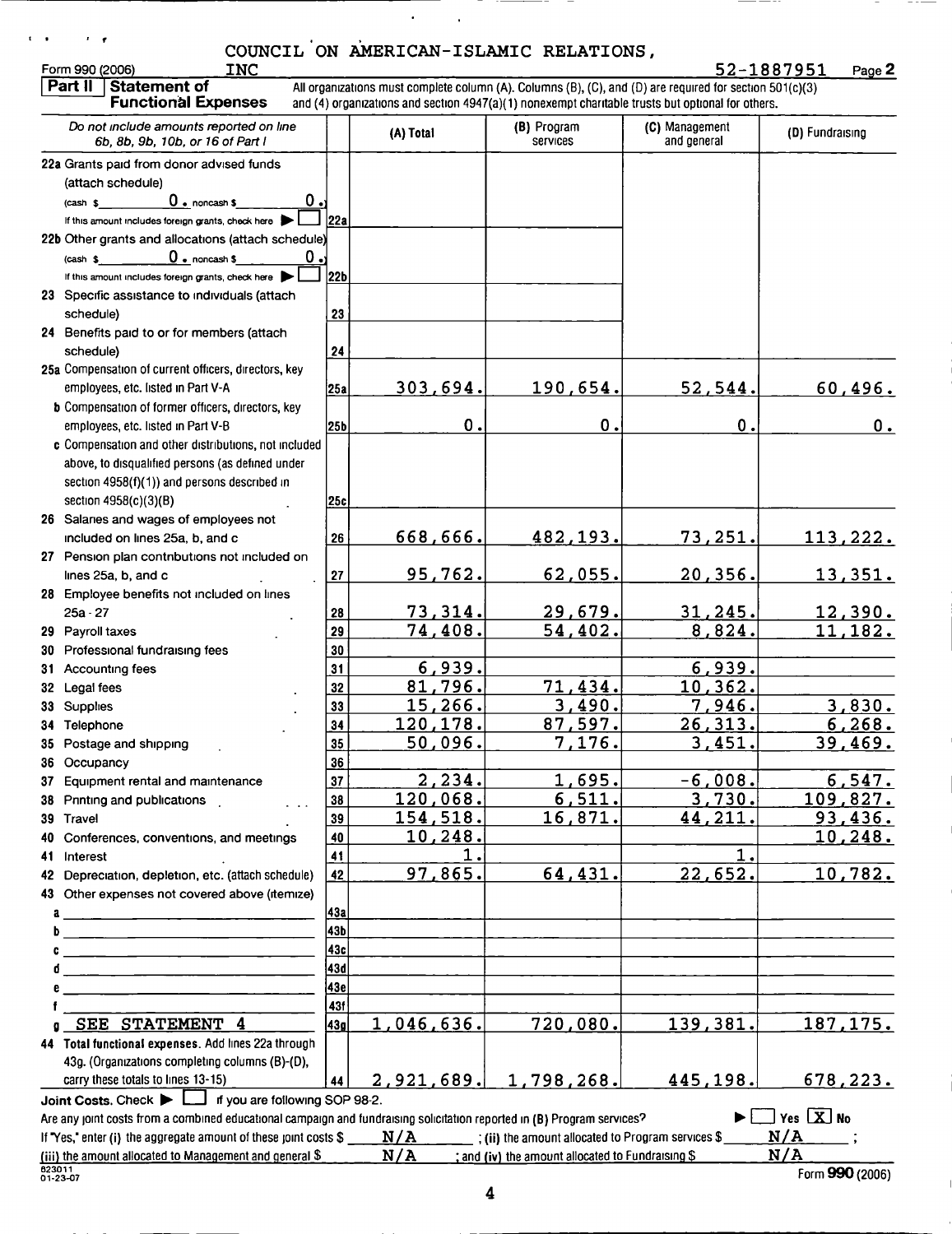| Form 990 (2006)<br><b>INC</b>                                                                                           |                 |                   | COUNCIL ON AMERICAN-ISLAMIC RELATIONS,                 |                                                                                                                                                                                                               | 52-1887951<br>Page 2    |
|-------------------------------------------------------------------------------------------------------------------------|-----------------|-------------------|--------------------------------------------------------|---------------------------------------------------------------------------------------------------------------------------------------------------------------------------------------------------------------|-------------------------|
| Part II<br><b>Statement of</b><br><b>Functional Expenses</b>                                                            |                 |                   |                                                        | All organizations must complete column (A). Columns (B), (C), and (D) are required for section 501(c)(3)<br>and (4) organizations and section 4947(a)(1) nonexempt charitable trusts but optional for others. |                         |
| Do not include amounts reported on line<br>6b, 8b, 9b, 10b, or 16 of Part I                                             |                 | (A) Total         | (B) Program<br><b>Services</b>                         | (C) Management<br>and general                                                                                                                                                                                 | (D) Fundraising         |
| 22a Grants paid from donor advised funds                                                                                |                 |                   |                                                        |                                                                                                                                                                                                               |                         |
| (attach schedule)                                                                                                       |                 |                   |                                                        |                                                                                                                                                                                                               |                         |
| 0.<br>$0$ • noncash $s$<br>$(cash \$                                                                                    |                 |                   |                                                        |                                                                                                                                                                                                               |                         |
| If this amount includes foreign grants, check here                                                                      | 22a             |                   |                                                        |                                                                                                                                                                                                               |                         |
| 22b Other grants and allocations (attach schedule)                                                                      |                 |                   |                                                        |                                                                                                                                                                                                               |                         |
| $\overline{0}$ . noncash \$<br>0.<br>$(cash \$                                                                          |                 |                   |                                                        |                                                                                                                                                                                                               |                         |
| If this amount includes foreign grants, check here                                                                      | 22 <sub>b</sub> |                   |                                                        |                                                                                                                                                                                                               |                         |
| 23 Specific assistance to individuals (attach                                                                           |                 |                   |                                                        |                                                                                                                                                                                                               |                         |
| schedule)                                                                                                               | 23              |                   |                                                        |                                                                                                                                                                                                               |                         |
| 24 Benefits paid to or for members (attach                                                                              |                 |                   |                                                        |                                                                                                                                                                                                               |                         |
| schedule)<br>25a Compensation of current officers, directors, key                                                       | 24              |                   |                                                        |                                                                                                                                                                                                               |                         |
| employees, etc. listed in Part V-A                                                                                      | 25a             | 303,694.          | 190,654.                                               | 52,544.                                                                                                                                                                                                       | 60,496.                 |
| <b>b</b> Compensation of former officers, directors, key                                                                |                 |                   |                                                        |                                                                                                                                                                                                               |                         |
| employees, etc. listed in Part V-B                                                                                      | 25b             | 0.                | 0.                                                     | 0.                                                                                                                                                                                                            | $0_{.}$                 |
| c Compensation and other distributions, not included                                                                    |                 |                   |                                                        |                                                                                                                                                                                                               |                         |
| above, to disqualified persons (as defined under                                                                        |                 |                   |                                                        |                                                                                                                                                                                                               |                         |
| section 4958(f)(1)) and persons described in                                                                            |                 |                   |                                                        |                                                                                                                                                                                                               |                         |
| section 4958(c)(3)(B)                                                                                                   | 25c             |                   |                                                        |                                                                                                                                                                                                               |                         |
| 26 Salaries and wages of employees not                                                                                  |                 |                   |                                                        |                                                                                                                                                                                                               |                         |
| included on lines 25a, b, and c                                                                                         | 26              | <u>668,666.</u>   | <u>482,193.</u>                                        | <u>73,251.</u>                                                                                                                                                                                                | 113,222.                |
| 27 Pension plan contributions not included on                                                                           |                 |                   |                                                        |                                                                                                                                                                                                               |                         |
| lines 25a, b, and c                                                                                                     | 27              | 95,762.           | 62,055.                                                | <u>20,356.</u>                                                                                                                                                                                                | <u>13,351.</u>          |
| 28 Employee benefits not included on lines                                                                              |                 |                   |                                                        |                                                                                                                                                                                                               |                         |
| $25a - 27$                                                                                                              | 28              | 73,314.           | 29,679.                                                | 31, 245.                                                                                                                                                                                                      | 12,390.                 |
| 29 Payroll taxes                                                                                                        | 29              | 74,408.           | 54,402.                                                | 8,824.                                                                                                                                                                                                        | 11,182.                 |
| 30 Professional fundraising fees                                                                                        | 30              |                   |                                                        |                                                                                                                                                                                                               |                         |
| 31 Accounting fees                                                                                                      | 31              | 6,939.            |                                                        | 6,939.                                                                                                                                                                                                        |                         |
| 32 Legal fees                                                                                                           | 32              | 81,796.           | 71,434.                                                | 10, 362.                                                                                                                                                                                                      |                         |
| 33 Supplies                                                                                                             | 33              | 15,266.           | 3,490.                                                 | 7,946.                                                                                                                                                                                                        | 3,830.                  |
| 34 Telephone                                                                                                            | 34              | <u>120,178.</u>   | 87,597.                                                | 26, 313.                                                                                                                                                                                                      | 6,268.                  |
| 35 Postage and shipping                                                                                                 | 35 <sub>5</sub> | <u>50,096.</u>    | <u>7,176.</u>                                          | <u>3,451.</u>                                                                                                                                                                                                 | <u>39,469.</u>          |
| 36 Occupancy                                                                                                            | 36              |                   |                                                        |                                                                                                                                                                                                               |                         |
| 37 Equipment rental and maintenance                                                                                     | 37              | 2,234.            | 1,695.                                                 | $-6,008.$                                                                                                                                                                                                     | 6, 547.                 |
| 38 Printing and publications                                                                                            | 38              | 120,068.          | 6, 511.                                                | 3,730.                                                                                                                                                                                                        | <u> 109,827.</u>        |
| 39 Travel                                                                                                               | 39              | <u>154,518.</u>   | <u>16,871.</u>                                         | 44,211.                                                                                                                                                                                                       | 93,436.                 |
| Conferences, conventions, and meetings<br>40.                                                                           | 40              | <u> 10,248.</u>   |                                                        |                                                                                                                                                                                                               | <u> 10,248.</u>         |
| Interest<br>41.                                                                                                         | 41              |                   |                                                        | $\mathbf{1}$                                                                                                                                                                                                  |                         |
| 42 Depreciation, depletion, etc. (attach schedule)                                                                      | 42              | 97,865.           | 64,431.                                                | 22,652.                                                                                                                                                                                                       | 10,782.                 |
| 43 Other expenses not covered above (itemize)                                                                           |                 |                   |                                                        |                                                                                                                                                                                                               |                         |
| a                                                                                                                       | 43a             |                   |                                                        |                                                                                                                                                                                                               |                         |
| <b>b</b> __________________________                                                                                     | 43b             |                   |                                                        |                                                                                                                                                                                                               |                         |
|                                                                                                                         | 43c             |                   |                                                        |                                                                                                                                                                                                               |                         |
| đ                                                                                                                       | 43d             |                   |                                                        |                                                                                                                                                                                                               |                         |
|                                                                                                                         | 43e             |                   |                                                        |                                                                                                                                                                                                               |                         |
| SEE STATEMENT 4                                                                                                         | 431<br> 43g     | 1,046,636.        | 720,080.                                               | 139,381.                                                                                                                                                                                                      | <u>187,175.</u>         |
| ū<br>44 Total functional expenses. Add lines 22a through                                                                |                 |                   |                                                        |                                                                                                                                                                                                               |                         |
| 43g. (Organizations completing columns (B)-(D),                                                                         |                 |                   |                                                        |                                                                                                                                                                                                               |                         |
| carry these totals to lines 13-15)                                                                                      | 44              | <u>2,921,689.</u> | 1,798,268.                                             | 445,198.                                                                                                                                                                                                      | <u>678,223.</u>         |
| Joint Costs. Check $\blacktriangleright$ $\Box$ if you are following SOP 98-2.                                          |                 |                   |                                                        |                                                                                                                                                                                                               |                         |
| Are any joint costs from a combined educational campaign and fundraising solicitation reported in (B) Program services? |                 |                   |                                                        |                                                                                                                                                                                                               | $\exists$ Yes $\Box$ No |
| If "Yes," enter (i) the aggregate amount of these joint costs \$                                                        |                 |                   | $N/A$ (ii) the amount allocated to Program services \$ |                                                                                                                                                                                                               | $N/A$ ;                 |
| (iii) the amount allocated to Management and general \$                                                                 |                 | N/A               | ; and (iv) the amount allocated to Fundraising \$      |                                                                                                                                                                                                               | N/A                     |

 $\hat{\mathbf{r}}$ 

 $\ell$  ,  $\epsilon$ 

 $\mathbf{r} = \mathbf{r}$ 

 $\blacksquare$ 

 $\equiv$ 

 $\frac{1}{2} \frac{1}{2} \frac{1}{2} \frac{1}{2} \frac{1}{2} \frac{1}{2} \frac{1}{2} \frac{1}{2} \frac{1}{2} \frac{1}{2} \frac{1}{2} \frac{1}{2} \frac{1}{2} \frac{1}{2} \frac{1}{2} \frac{1}{2} \frac{1}{2} \frac{1}{2} \frac{1}{2} \frac{1}{2} \frac{1}{2} \frac{1}{2} \frac{1}{2} \frac{1}{2} \frac{1}{2} \frac{1}{2} \frac{1}{2} \frac{1}{2} \frac{1}{2} \frac{1}{2} \frac{1}{2} \frac{$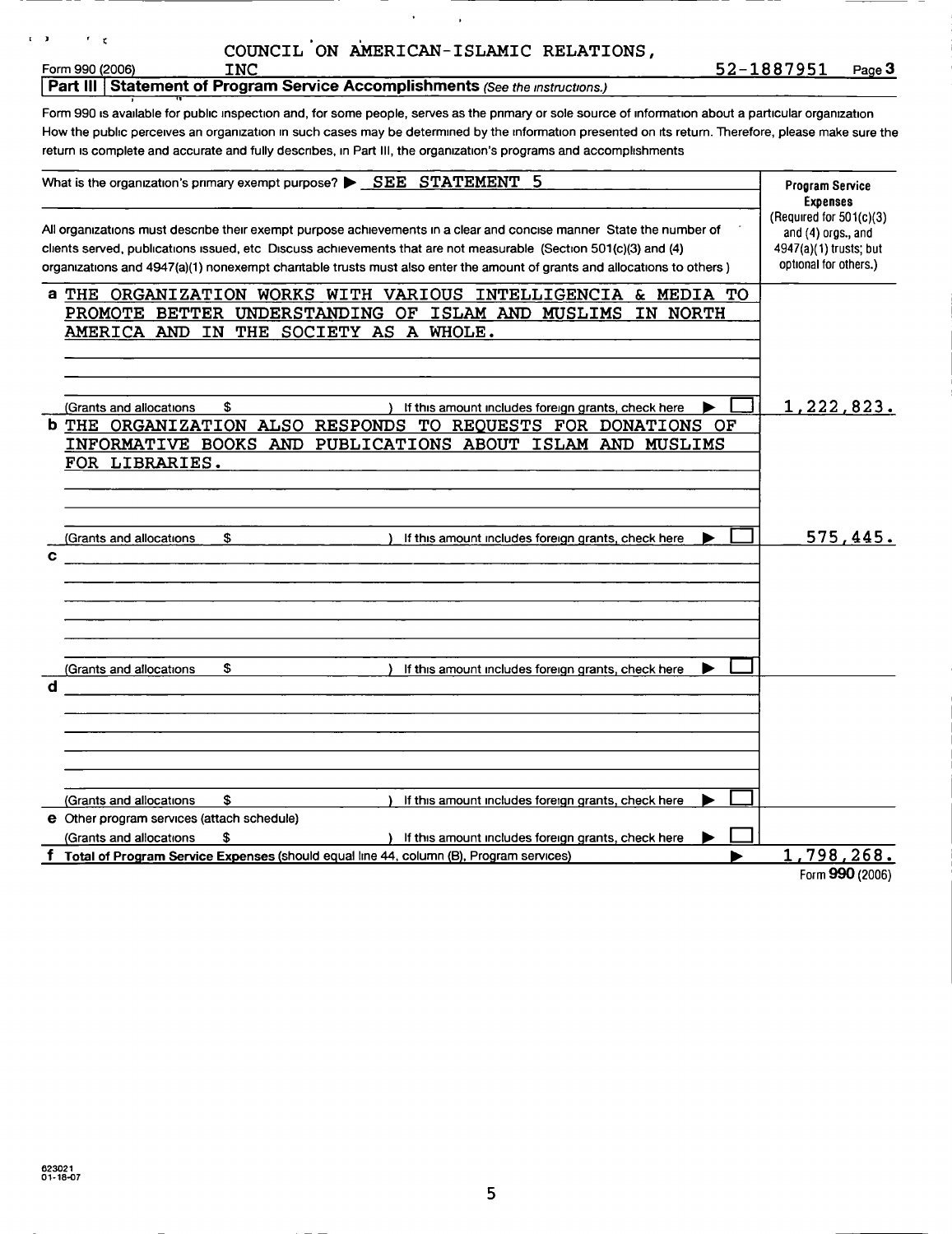| COUNCIL ON AMERICAN-ISLAMIC RELATIONS, |  |
|----------------------------------------|--|
|                                        |  |

,

## $\mathcal{F}$  .

 $\tilde{\mathbf{x}}$ 

 $x = 0$ 

**Part III Statement of Program Service Accomplishments (See the instructions.)** 

Form 990 is available for public inspection and, for some people, serves as the primary or sole source of information about a particular organization How the public perceives an organization in such cases may be determined by the information presented on its return. Therefore, please make sure the return is complete and accurate and fully describes, in Part III, the organization's programs and accomplishments

|   | What is the organization's primary exempt purpose? $\blacktriangleright$ $\underline{\text{SEE}}$ STATEMENT<br>5                                                                                                                                                                                                                                                   | <b>Program Service</b>                                                                                                  |
|---|--------------------------------------------------------------------------------------------------------------------------------------------------------------------------------------------------------------------------------------------------------------------------------------------------------------------------------------------------------------------|-------------------------------------------------------------------------------------------------------------------------|
|   | All organizations must describe their exempt purpose achievements in a clear and concise manner State the number of<br>clients served, publications issued, etc Discuss achievements that are not measurable (Section 501(c)(3) and (4)<br>organizations and 4947(a)(1) nonexempt chantable trusts must also enter the amount of grants and allocations to others) | <b>Expenses</b><br>(Required for $501(c)(3)$<br>and $(4)$ orgs., and<br>4947(a)(1) trusts; but<br>optional for others.) |
|   | a THE ORGANIZATION WORKS WITH VARIOUS INTELLIGENCIA & MEDIA TO                                                                                                                                                                                                                                                                                                     |                                                                                                                         |
|   | PROMOTE BETTER UNDERSTANDING OF ISLAM AND MUSLIMS<br>IN NORTH                                                                                                                                                                                                                                                                                                      |                                                                                                                         |
|   | AMERICA AND IN THE SOCIETY AS A WHOLE.                                                                                                                                                                                                                                                                                                                             |                                                                                                                         |
|   |                                                                                                                                                                                                                                                                                                                                                                    |                                                                                                                         |
|   |                                                                                                                                                                                                                                                                                                                                                                    |                                                                                                                         |
|   | \$<br>(Grants and allocations<br>If this amount includes foreign grants, check here                                                                                                                                                                                                                                                                                | 1,222,823.                                                                                                              |
|   | <b>b</b> THE ORGANIZATION ALSO RESPONDS TO REOUESTS FOR DONATIONS OF                                                                                                                                                                                                                                                                                               |                                                                                                                         |
|   | INFORMATIVE BOOKS AND PUBLICATIONS ABOUT ISLAM AND MUSLIMS                                                                                                                                                                                                                                                                                                         |                                                                                                                         |
|   | FOR LIBRARIES.                                                                                                                                                                                                                                                                                                                                                     |                                                                                                                         |
|   |                                                                                                                                                                                                                                                                                                                                                                    |                                                                                                                         |
|   |                                                                                                                                                                                                                                                                                                                                                                    |                                                                                                                         |
|   | (Grants and allocations<br>\$<br>If this amount includes foreign grants, check here                                                                                                                                                                                                                                                                                | 575,445.                                                                                                                |
| с |                                                                                                                                                                                                                                                                                                                                                                    |                                                                                                                         |
|   |                                                                                                                                                                                                                                                                                                                                                                    |                                                                                                                         |
|   |                                                                                                                                                                                                                                                                                                                                                                    |                                                                                                                         |
|   |                                                                                                                                                                                                                                                                                                                                                                    |                                                                                                                         |
|   |                                                                                                                                                                                                                                                                                                                                                                    |                                                                                                                         |
|   | \$<br>(Grants and allocations<br>If this amount includes foreign grants, check here                                                                                                                                                                                                                                                                                |                                                                                                                         |
| d |                                                                                                                                                                                                                                                                                                                                                                    |                                                                                                                         |
|   |                                                                                                                                                                                                                                                                                                                                                                    |                                                                                                                         |
|   |                                                                                                                                                                                                                                                                                                                                                                    |                                                                                                                         |
|   |                                                                                                                                                                                                                                                                                                                                                                    |                                                                                                                         |
|   |                                                                                                                                                                                                                                                                                                                                                                    |                                                                                                                         |
|   | \$<br>(Grants and allocations<br>If this amount includes foreign grants, check here                                                                                                                                                                                                                                                                                |                                                                                                                         |
|   | e Other program services (attach schedule)                                                                                                                                                                                                                                                                                                                         |                                                                                                                         |
|   | (Grants and allocations<br>\$<br>If this amount includes foreign grants, check here                                                                                                                                                                                                                                                                                |                                                                                                                         |
|   | f Total of Program Service Expenses (should equal line 44, column (B), Program services)                                                                                                                                                                                                                                                                           | 1,798,268.                                                                                                              |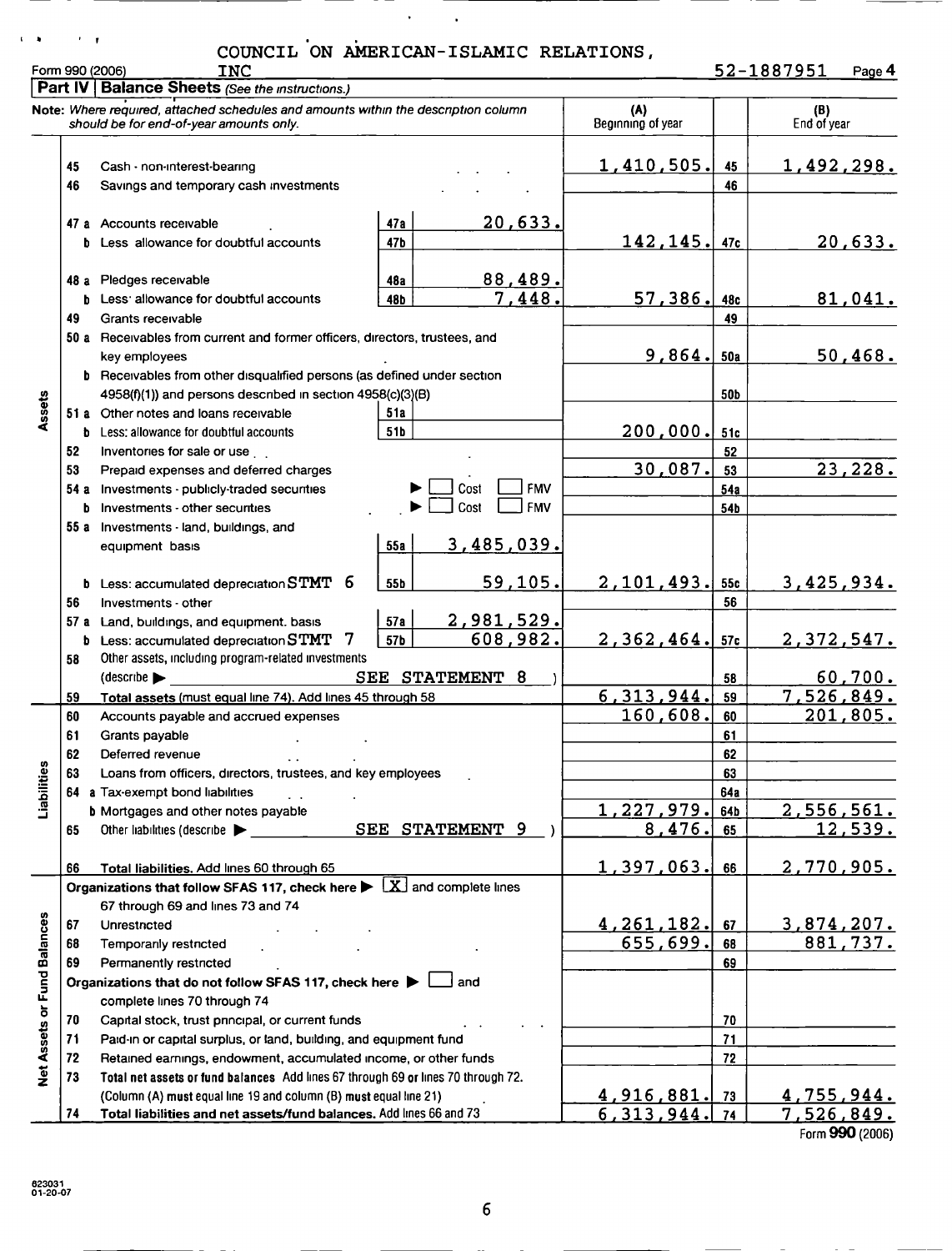t ' $\mathbf{a}$ ' /  $\mathbf{r}$  '  $\mathbf{r}$ 

## COUNCIL ON AMERICAN-ISLAMIC RELATIONS, Form <sup>990</sup> 2006INC 52-1887951 Pag <sup>e</sup> <sup>4</sup>

 $\ddot{\phantom{a}}$ 

 $\sim$ 

|                             |    | Part IV   Balance Sheets (See the instructions.)                                                                                               |     |                    |                          |     |                    |
|-----------------------------|----|------------------------------------------------------------------------------------------------------------------------------------------------|-----|--------------------|--------------------------|-----|--------------------|
|                             |    | Note: Where required, attached schedules and amounts within the description column<br>should be for end-of-year amounts only.                  |     |                    | (A)<br>Beginning of year |     | (B)<br>End of year |
|                             |    |                                                                                                                                                |     |                    |                          |     |                    |
|                             | 45 | Cash - non-interest-bearing                                                                                                                    |     |                    | 1,410,505.               | 45  | 1,492,298.         |
|                             | 46 | Savings and temporary cash investments                                                                                                         |     |                    |                          | 46  |                    |
|                             |    | 47 a Accounts receivable                                                                                                                       |     | 20,633.            |                          |     |                    |
|                             | b  | Less allowance for doubtful accounts                                                                                                           | 47b |                    | 142,145.                 | 47c | 20,633.            |
|                             |    |                                                                                                                                                |     |                    |                          |     |                    |
|                             |    | 48 a Pledges receivable                                                                                                                        | 48a | 88,489.            |                          |     |                    |
|                             | b  | Less: allowance for doubtful accounts                                                                                                          | 48b | 7,448              | 57,386.                  | 48c | 81,041.            |
|                             | 49 | Grants receivable                                                                                                                              |     |                    |                          | 49  |                    |
|                             |    | 50 a Receivables from current and former officers, directors, trustees, and                                                                    |     |                    |                          |     |                    |
|                             |    | key employees                                                                                                                                  |     |                    | 9,864.                   | 50a | 50,468.            |
|                             |    | <b>b</b> Receivables from other disqualified persons (as defined under section                                                                 |     |                    |                          |     |                    |
|                             |    | 4958(f)(1)) and persons described in section 4958(c)(3)(B)                                                                                     |     |                    |                          | 50b |                    |
| Assets                      |    | 51 a Other notes and loans receivable                                                                                                          | 51a |                    |                          |     |                    |
|                             | b  | Less: allowance for doubtful accounts                                                                                                          | 51b |                    | 200,000.                 | 51c |                    |
|                             | 52 | Inventories for sale or use                                                                                                                    |     |                    |                          | 52  |                    |
|                             | 53 | Prepaid expenses and deferred charges                                                                                                          |     |                    | 30,087.                  | 53  | 23,228.            |
|                             |    | 54 a Investments - publicly-traded securities                                                                                                  |     | Cost<br><b>FMV</b> |                          | 54a |                    |
|                             |    | <b>b</b> Investments - other securities                                                                                                        |     | Cost<br><b>FMV</b> |                          | 54b |                    |
|                             |    | 55 a Investments $\cdot$ land, buildings, and                                                                                                  |     |                    |                          |     |                    |
|                             |    | equipment basis                                                                                                                                | 55a | 3,485,039.         |                          |     |                    |
|                             | b  | 6<br>Less: accumulated depreciation $\operatorname{STMT}$                                                                                      | 55b | 59,105.            | 2, 101, 493.             | 55c | 3,425,934.         |
|                             | 56 | Investments other                                                                                                                              |     |                    |                          | 56  |                    |
|                             |    | 57 a Land, buildings, and equipment. basis                                                                                                     | 57a | 2,981,529.         |                          |     |                    |
|                             |    | 7<br>$b$ Less: accumulated depreciation $STMT$                                                                                                 | 57b | 608,982.           | 2,362,464.               | 57c | 2,372,547.         |
|                             | 58 | Other assets, including program-related investments                                                                                            |     |                    |                          |     |                    |
|                             |    | SEE STATEMENT 8<br>$\left($ describe                                                                                                           |     | 58                 | 60,700.                  |     |                    |
|                             | 59 | Total assets (must equal line 74). Add lines 45 through 58                                                                                     |     |                    | 6,313,944.               | 59  | 7,526,849.         |
|                             | 60 | Accounts payable and accrued expenses                                                                                                          |     |                    | 160,608.                 | 60  | 201,805.           |
|                             | 61 | Grants payable                                                                                                                                 |     |                    |                          | 61  |                    |
|                             | 62 | Deferred revenue                                                                                                                               |     |                    |                          | 62  |                    |
| ilities                     | 63 | Loans from officers, directors, trustees, and key employees                                                                                    |     |                    |                          | 63  |                    |
|                             |    | 64 a Tax-exempt bond liabilities                                                                                                               |     |                    |                          | 64a |                    |
| iabi                        |    | <b>b</b> Mortgages and other notes payable                                                                                                     |     |                    | 227,979.                 | 64b | 2,556,561.         |
|                             | 65 | Other liabilities (describe                                                                                                                    |     | SEE STATEMENT 9    | 8,476.                   | 65  | 12,539.            |
|                             |    |                                                                                                                                                |     |                    |                          |     |                    |
|                             | 66 | Total liabilities. Add lines 60 through 65                                                                                                     |     |                    | 1,397,063.               | 66  | <u>2,770,905.</u>  |
|                             |    | Organizations that follow SFAS 117, check here $\blacktriangleright \lfloor x \rfloor$ and complete lines<br>67 through 69 and lines 73 and 74 |     |                    |                          |     |                    |
|                             | 67 | Unrestricted                                                                                                                                   |     |                    | 4, 261, 182.             | 67  | 3,874,207.         |
|                             | 68 | Temporanly restricted                                                                                                                          |     |                    | 655,699.                 | 68  | 881,737.           |
|                             | 69 | Permanently restricted                                                                                                                         |     |                    |                          | 69  |                    |
|                             |    | Organizations that do not follow SFAS 117, check here $\blacktriangleright$                                                                    |     | and                |                          |     |                    |
|                             |    | complete lines 70 through 74                                                                                                                   |     |                    |                          |     |                    |
|                             | 70 | Capital stock, trust principal, or current funds                                                                                               |     |                    |                          | 70  |                    |
|                             | 71 | Paid-in or capital surplus, or land, building, and equipment fund                                                                              |     |                    | 71                       |     |                    |
|                             | 72 | Retained earnings, endowment, accumulated income, or other funds                                                                               |     |                    | 72                       |     |                    |
| Net Assets or Fund Balances | 73 | Total net assets or fund balances Add lines 67 through 69 or lines 70 through 72.                                                              |     |                    |                          |     |                    |
|                             |    | (Column (A) must equal line 19 and column (B) must equal line 21)                                                                              |     |                    | <u>4,916,881. </u>       | 73  | 4,755,944.         |
|                             | 74 | Total liabilities and net assets/fund balances. Add lines 66 and 73                                                                            |     |                    | 6, 313, 944.             | 74  | 7,526,849.         |
|                             |    |                                                                                                                                                |     |                    |                          |     | Form 990 (2006)    |

 $6\phantom{1}6$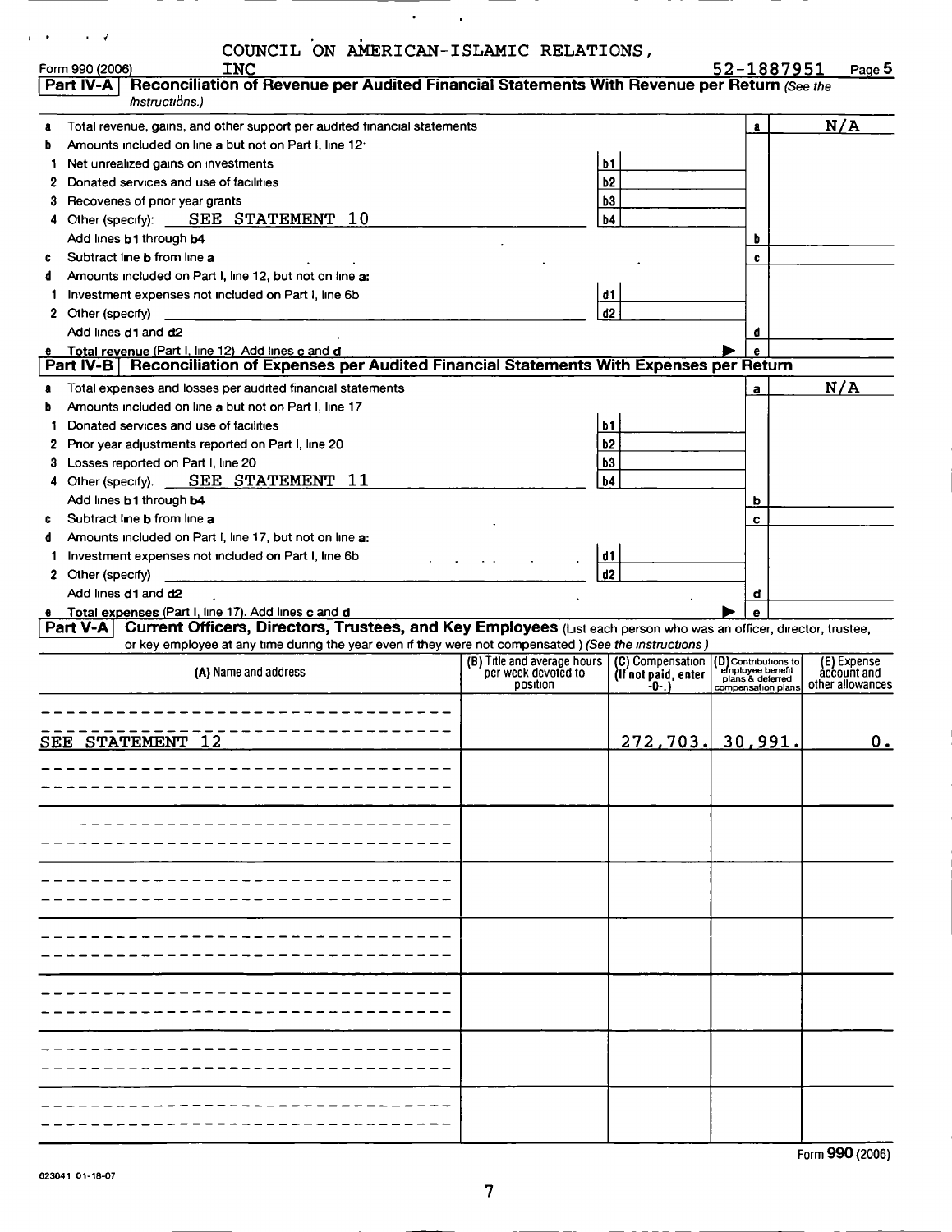|     | COUNCIL ON AMERICAN-ISLAMIC RELATIONS,                                                                                                                                                |                                 |                             |    |                                          |     |                                 |
|-----|---------------------------------------------------------------------------------------------------------------------------------------------------------------------------------------|---------------------------------|-----------------------------|----|------------------------------------------|-----|---------------------------------|
|     | <b>INC</b><br>Form 990 (2006)                                                                                                                                                         |                                 |                             |    | 52-1887951                               |     | Page 5                          |
|     | Reconciliation of Revenue per Audited Financial Statements With Revenue per Return (See the<br>Part IV-A                                                                              |                                 |                             |    |                                          |     |                                 |
|     | mstructions.)                                                                                                                                                                         |                                 |                             |    |                                          |     |                                 |
| a   | Total revenue, gains, and other support per audited financial statements                                                                                                              |                                 |                             |    | a                                        | N/A |                                 |
| b   | Amounts included on line a but not on Part I, line 12.                                                                                                                                |                                 |                             |    |                                          |     |                                 |
| 1   | Net unrealized gains on investments                                                                                                                                                   |                                 | <b>b1</b>                   |    |                                          |     |                                 |
| 2   | Donated services and use of facilities                                                                                                                                                |                                 | b <sub>2</sub>              |    |                                          |     |                                 |
| 3   | Recovenes of pnor year grants                                                                                                                                                         |                                 | b3                          |    |                                          |     |                                 |
| 4   | Other (specify): SEE STATEMENT 10                                                                                                                                                     |                                 | b4                          |    |                                          |     |                                 |
|     | Add lines b1 through b4                                                                                                                                                               |                                 |                             |    | b                                        |     |                                 |
| c   | Subtract line <b>b</b> from line a                                                                                                                                                    |                                 |                             |    | c                                        |     |                                 |
| đ   | Amounts included on Part I, line 12, but not on line a:                                                                                                                               |                                 |                             |    |                                          |     |                                 |
| 1   | Investment expenses not included on Part I, line 6b                                                                                                                                   |                                 | d1                          |    |                                          |     |                                 |
|     | 2 Other (specify)                                                                                                                                                                     |                                 | d2                          |    |                                          |     |                                 |
|     | Add lines d1 and d2                                                                                                                                                                   |                                 |                             |    | d                                        |     |                                 |
|     | Total revenue (Part I, line 12) Add lines c and d                                                                                                                                     |                                 |                             |    |                                          |     |                                 |
|     | <b>Reconciliation of Expenses per Audited Financial Statements With Expenses per Return</b><br>Part IV-B                                                                              |                                 |                             |    |                                          |     |                                 |
| a   | Total expenses and losses per audited financial statements                                                                                                                            |                                 |                             |    | a                                        | N/A |                                 |
| b   | Amounts included on line a but not on Part I, line 17                                                                                                                                 |                                 |                             |    |                                          |     |                                 |
|     | Donated services and use of facilities                                                                                                                                                |                                 | b1                          |    |                                          |     |                                 |
| 2   | Prior year adjustments reported on Part I, line 20                                                                                                                                    |                                 | b2                          |    |                                          |     |                                 |
| 3   | Losses reported on Part I, line 20                                                                                                                                                    |                                 | b3                          |    |                                          |     |                                 |
| 4   | SEE STATEMENT 11<br>Other (specify).                                                                                                                                                  |                                 | b4                          |    |                                          |     |                                 |
|     | Add lines <b>b1</b> through <b>b4</b>                                                                                                                                                 |                                 |                             |    | b                                        |     |                                 |
| c   | Subtract line <b>b</b> from line a                                                                                                                                                    |                                 |                             |    | c                                        |     |                                 |
| d   | Amounts included on Part I, line 17, but not on line a:                                                                                                                               |                                 |                             |    |                                          |     |                                 |
| 1   | Investment expenses not included on Part I, line 6b                                                                                                                                   |                                 | d1                          |    |                                          |     |                                 |
|     | 2 Other (specify)                                                                                                                                                                     |                                 | d2                          |    |                                          |     |                                 |
|     | Add lines d1 and d2                                                                                                                                                                   |                                 |                             |    | đ                                        |     |                                 |
|     | e Total expenses (Part I, line 17). Add lines c and d<br>Part V-A   Current Officers, Directors, Trustees, and Key Employees (List each person who was an officer, director, trustee, |                                 |                             |    | $\mathbf{e}$                             |     |                                 |
|     | or key employee at any time during the year even if they were not compensated ) (See the instructions)                                                                                |                                 |                             |    |                                          |     |                                 |
|     |                                                                                                                                                                                       | (B) Title and average hours     | (C) Compensation            |    | (D) Contributions to<br>employee benefit |     | $\overline{E}$ ) Expense        |
|     | (A) Name and address                                                                                                                                                                  | per week devoted to<br>position | (If not paid, enter<br>-0-. |    | plans & deferred                         |     | account and<br>other allowances |
|     |                                                                                                                                                                                       |                                 |                             |    | compensation plans                       |     |                                 |
|     |                                                                                                                                                                                       |                                 |                             |    |                                          |     |                                 |
| SEE | STATEMENT 12                                                                                                                                                                          |                                 | 272<br>703                  | 30 | 991                                      |     | Ο.                              |
|     |                                                                                                                                                                                       |                                 |                             |    |                                          |     |                                 |
|     |                                                                                                                                                                                       |                                 |                             |    |                                          |     |                                 |
|     |                                                                                                                                                                                       |                                 |                             |    |                                          |     |                                 |
|     |                                                                                                                                                                                       |                                 |                             |    |                                          |     |                                 |
|     |                                                                                                                                                                                       |                                 |                             |    |                                          |     |                                 |
|     |                                                                                                                                                                                       |                                 |                             |    |                                          |     |                                 |
|     |                                                                                                                                                                                       |                                 |                             |    |                                          |     |                                 |
|     |                                                                                                                                                                                       |                                 |                             |    |                                          |     |                                 |
|     |                                                                                                                                                                                       |                                 |                             |    |                                          |     |                                 |
|     |                                                                                                                                                                                       |                                 |                             |    |                                          |     |                                 |
|     |                                                                                                                                                                                       |                                 |                             |    |                                          |     |                                 |
|     |                                                                                                                                                                                       |                                 |                             |    |                                          |     |                                 |
|     |                                                                                                                                                                                       |                                 |                             |    |                                          |     |                                 |
|     |                                                                                                                                                                                       |                                 |                             |    |                                          |     |                                 |
|     |                                                                                                                                                                                       |                                 |                             |    |                                          |     |                                 |
|     |                                                                                                                                                                                       |                                 |                             |    |                                          |     |                                 |
|     |                                                                                                                                                                                       |                                 |                             |    |                                          |     |                                 |
|     |                                                                                                                                                                                       |                                 |                             |    |                                          |     |                                 |
|     |                                                                                                                                                                                       |                                 |                             |    |                                          |     |                                 |
|     |                                                                                                                                                                                       |                                 |                             |    |                                          |     |                                 |
|     |                                                                                                                                                                                       |                                 |                             |    |                                          |     |                                 |

 $\mathcal{A}^{\pm}$ 

 $\sim 100$  km  $^{-1}$ 

Form 990 (2006)

 $- - -$ 

### 823041 01-18-07

- -

 $\sim 100$  km s  $^{-1}$ 

 $\sim$  $\ddot{\phantom{a}}$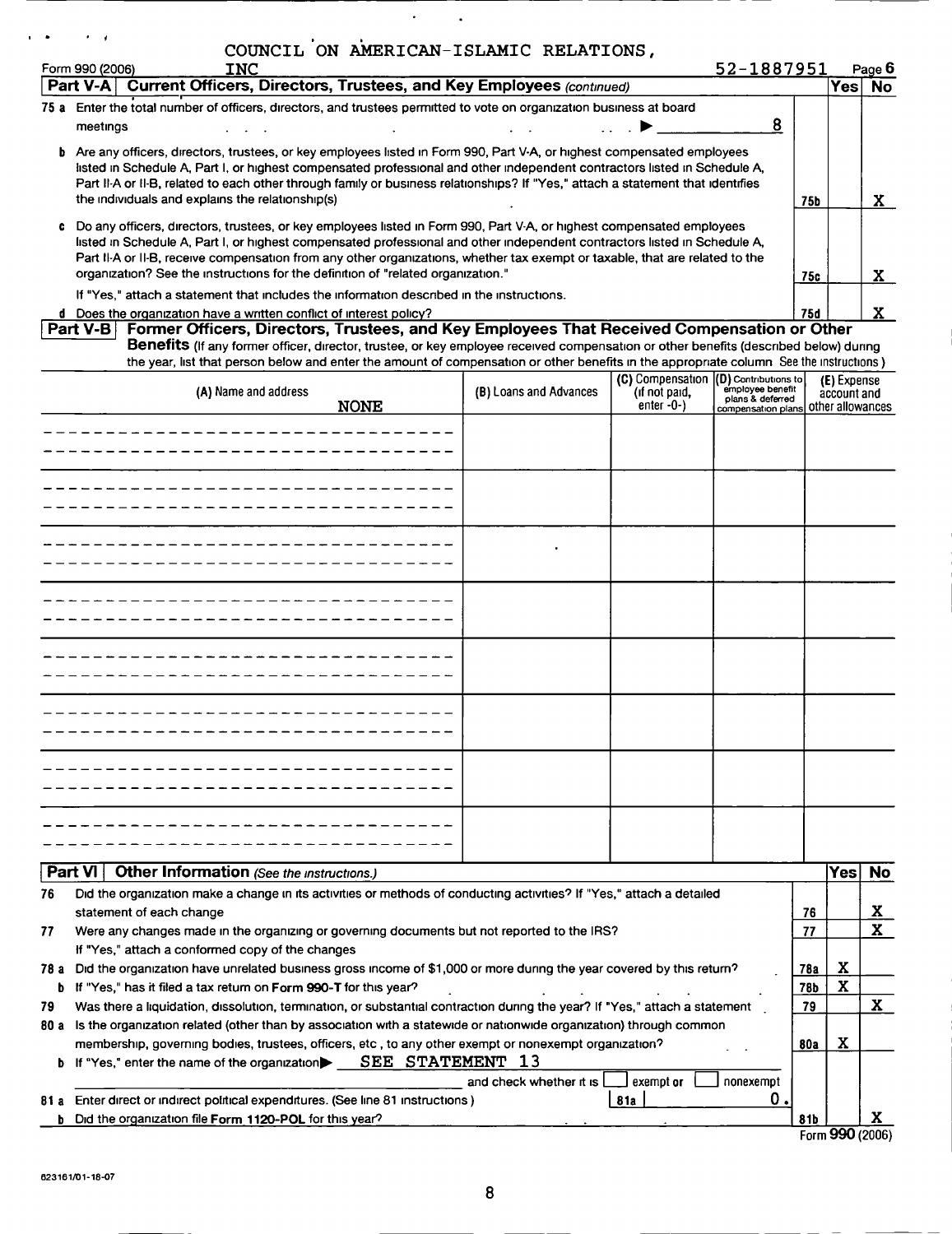|         | COUNCIL ON AMERICAN-ISLAMIC RELATIONS,                                                                                                                                                                                                                                          |                         |                                       |                                      |     |                  |                     |
|---------|---------------------------------------------------------------------------------------------------------------------------------------------------------------------------------------------------------------------------------------------------------------------------------|-------------------------|---------------------------------------|--------------------------------------|-----|------------------|---------------------|
|         | Form 990 (2006)<br><b>INC</b><br>Part V-A Current Officers, Directors, Trustees, and Key Employees (continued)                                                                                                                                                                  |                         |                                       | 52-1887951                           |     | <b>Yes</b>       | Page 6<br><b>No</b> |
|         | 75 a Enter the total number of officers, directors, and trustees permitted to vote on organization business at board                                                                                                                                                            |                         |                                       |                                      |     |                  |                     |
|         | meetings                                                                                                                                                                                                                                                                        |                         |                                       | 8                                    |     |                  |                     |
|         | b Are any officers, directors, trustees, or key employees listed in Form 990, Part V-A, or highest compensated employees                                                                                                                                                        |                         |                                       |                                      |     |                  |                     |
|         | isted in Schedule A, Part I, or highest compensated professional and other independent contractors listed in Schedule A,                                                                                                                                                        |                         |                                       |                                      |     |                  |                     |
|         | Part II-A or II-B, related to each other through family or business relationships? If "Yes," attach a statement that identifies                                                                                                                                                 |                         |                                       |                                      |     |                  |                     |
|         | the individuals and explains the relationship(s)                                                                                                                                                                                                                                |                         |                                       |                                      | 75b |                  | $\mathbf x$         |
|         | c Do any officers, directors, trustees, or key employees listed in Form 990, Part V-A, or highest compensated employees                                                                                                                                                         |                         |                                       |                                      |     |                  |                     |
|         | listed in Schedule A, Part I, or highest compensated professional and other independent contractors listed in Schedule A,<br>Part II-A or II-B, receive compensation from any other organizations, whether tax exempt or taxable, that are related to the                       |                         |                                       |                                      |     |                  |                     |
|         | organization? See the instructions for the definition of "related organization."                                                                                                                                                                                                |                         |                                       |                                      | 75c |                  | X                   |
|         | If "Yes," attach a statement that includes the information described in the instructions.                                                                                                                                                                                       |                         |                                       |                                      |     |                  |                     |
|         | d Does the organization have a written conflict of interest policy?                                                                                                                                                                                                             |                         |                                       |                                      | 75d |                  | X.                  |
|         | Former Officers, Directors, Trustees, and Key Employees That Received Compensation or Other<br>Part $V-B$                                                                                                                                                                       |                         |                                       |                                      |     |                  |                     |
|         | Benefits (If any former officer, director, trustee, or key employee received compensation or other benefits (described below) during<br>the year, list that person below and enter the amount of compensation or other benefits in the appropriate column See the instructions) |                         |                                       |                                      |     |                  |                     |
|         |                                                                                                                                                                                                                                                                                 |                         | (C) Compensation (D) Contributions to |                                      |     | (E) Expense      |                     |
|         | (A) Name and address                                                                                                                                                                                                                                                            | (B) Loans and Advances  | (if not paid,                         | employee benefit<br>plans & deferred |     | account and      |                     |
|         | <b>NONE</b>                                                                                                                                                                                                                                                                     |                         | enter $-0-$ )                         | compensation plans other allowances  |     |                  |                     |
|         |                                                                                                                                                                                                                                                                                 |                         |                                       |                                      |     |                  |                     |
|         |                                                                                                                                                                                                                                                                                 |                         |                                       |                                      |     |                  |                     |
|         |                                                                                                                                                                                                                                                                                 |                         |                                       |                                      |     |                  |                     |
|         |                                                                                                                                                                                                                                                                                 |                         |                                       |                                      |     |                  |                     |
|         |                                                                                                                                                                                                                                                                                 |                         |                                       |                                      |     |                  |                     |
|         |                                                                                                                                                                                                                                                                                 |                         |                                       |                                      |     |                  |                     |
|         |                                                                                                                                                                                                                                                                                 |                         |                                       |                                      |     |                  |                     |
|         |                                                                                                                                                                                                                                                                                 |                         |                                       |                                      |     |                  |                     |
|         |                                                                                                                                                                                                                                                                                 |                         |                                       |                                      |     |                  |                     |
|         |                                                                                                                                                                                                                                                                                 |                         |                                       |                                      |     |                  |                     |
|         |                                                                                                                                                                                                                                                                                 |                         |                                       |                                      |     |                  |                     |
|         |                                                                                                                                                                                                                                                                                 |                         |                                       |                                      |     |                  |                     |
|         |                                                                                                                                                                                                                                                                                 |                         |                                       |                                      |     |                  |                     |
|         |                                                                                                                                                                                                                                                                                 |                         |                                       |                                      |     |                  |                     |
|         |                                                                                                                                                                                                                                                                                 |                         |                                       |                                      |     |                  |                     |
|         |                                                                                                                                                                                                                                                                                 |                         |                                       |                                      |     |                  |                     |
|         |                                                                                                                                                                                                                                                                                 |                         |                                       |                                      |     |                  |                     |
|         |                                                                                                                                                                                                                                                                                 |                         |                                       |                                      |     |                  |                     |
|         |                                                                                                                                                                                                                                                                                 |                         |                                       |                                      |     |                  |                     |
|         |                                                                                                                                                                                                                                                                                 |                         |                                       |                                      |     |                  |                     |
|         |                                                                                                                                                                                                                                                                                 |                         |                                       |                                      |     |                  |                     |
| Part VI | Other Information (See the instructions.)                                                                                                                                                                                                                                       |                         |                                       |                                      |     | Yes              | No                  |
|         | Did the organization make a change in its activities or methods of conducting activities? If "Yes," attach a detailed                                                                                                                                                           |                         |                                       |                                      |     |                  |                     |
|         | statement of each change                                                                                                                                                                                                                                                        |                         |                                       |                                      | 76  |                  | <u>x</u>            |
|         | Were any changes made in the organizing or governing documents but not reported to the IRS?                                                                                                                                                                                     |                         |                                       |                                      | 77  |                  |                     |
|         | If "Yes," attach a conformed copy of the changes                                                                                                                                                                                                                                |                         |                                       |                                      |     |                  |                     |
|         | 78 a Did the organization have unrelated business gross income of \$1,000 or more during the year covered by this return?                                                                                                                                                       |                         |                                       |                                      | 78a | X<br>$\mathbf x$ |                     |
|         | b If "Yes," has it filed a tax return on Form 990-T for this year?                                                                                                                                                                                                              |                         |                                       |                                      | 78b |                  | $\mathbf{x}$        |
| 80 a    | Was there a liquidation, dissolution, termination, or substantial contraction during the year? If "Yes," attach a statement<br>Is the organization related (other than by association with a statewide or nationwide organization) through common                               |                         |                                       |                                      | 79  |                  |                     |
|         | membership, governing bodies, trustees, officers, etc, to any other exempt or nonexempt organization?                                                                                                                                                                           |                         |                                       |                                      | 80a | X                |                     |
|         | b If "Yes," enter the name of the organization SEE STATEMENT 13                                                                                                                                                                                                                 |                         |                                       |                                      |     |                  |                     |
|         |                                                                                                                                                                                                                                                                                 | and check whether it is | exempt or                             | nonexempt                            |     |                  |                     |
|         | 81 a Enter direct or indirect political expenditures. (See line 81 instructions)                                                                                                                                                                                                |                         | <b>81a</b>                            | 0.                                   |     |                  |                     |
| b       | Did the organization file Form 1120-POL for this year?                                                                                                                                                                                                                          |                         |                                       |                                      | 81b |                  | x                   |
|         |                                                                                                                                                                                                                                                                                 |                         |                                       |                                      |     | Form 990 (2006)  |                     |

 $\epsilon_{\rm{max}}$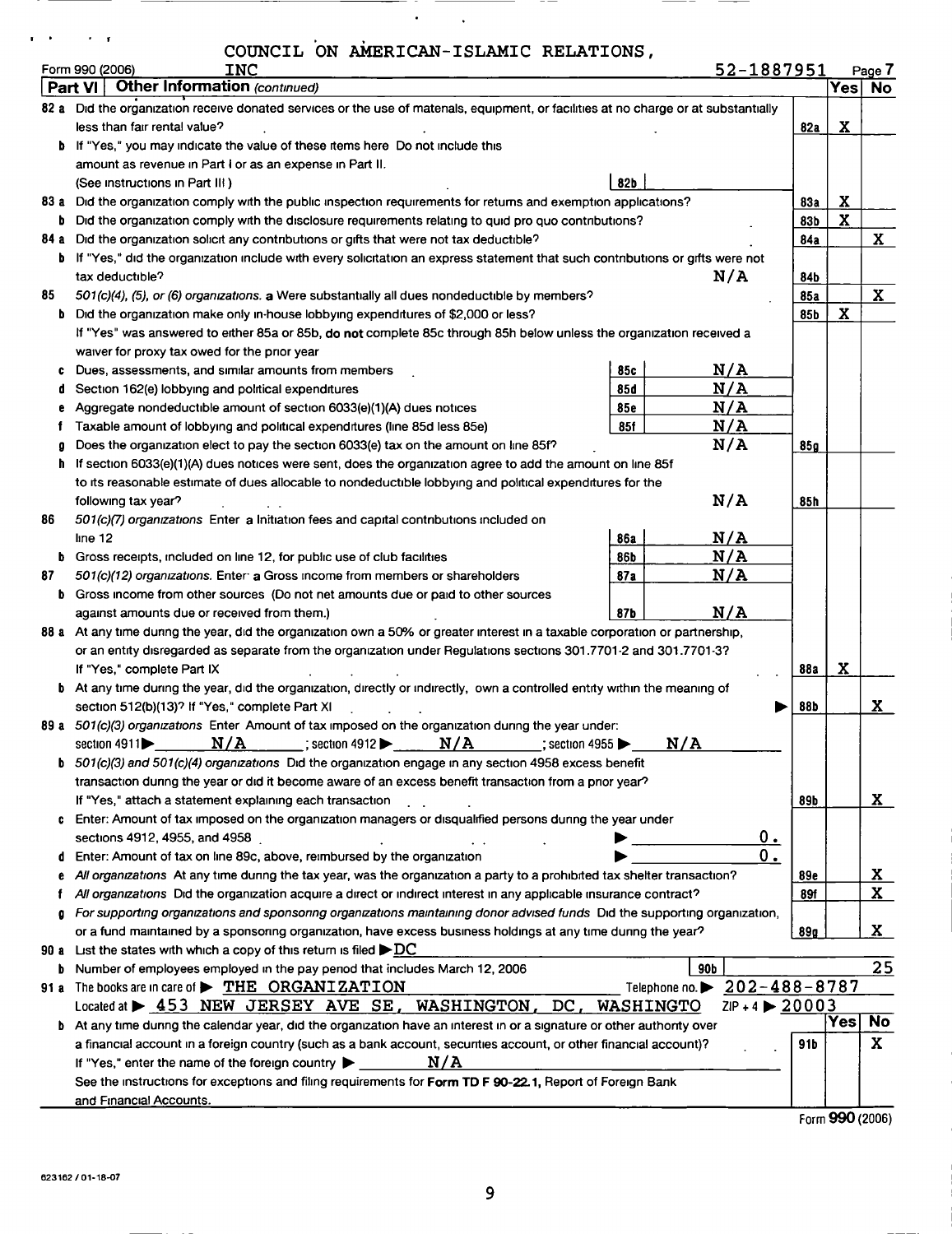$\ddot{\phantom{0}}$ 

 $\mathcal{A}^{\text{max}}$ 

<u> The Communication of the Communication of the Communication of the Communication of the Communication of the Communication of the Communication of the Communication of the Communication of the Communication of the Commun</u>

 $-$ 

\_\_\_\_

 $\sim$   $\sim$ 

\_\_\_\_\_

 $\mathbf{r} = \mathbf{r}^{\top}$  ,  $\mathbf{r} = \mathbf{r}^{\top}$  ,  $\mathbf{r} = \mathbf{r}^{\top}$ 

----

| 52-1887951<br>Form 990 (2006)<br><b>INC</b><br>Page 7<br><b>Other Information (continued)</b><br>$Yes$ No<br><b>Part VI</b><br>82 a Did the organization receive donated services or the use of materials, equipment, or facilities at no charge or at substantially<br>X<br>less than fair rental value?<br>82a<br><b>b</b> If "Yes," you may indicate the value of these items here Do not include this<br>amount as revenue in Part I or as an expense in Part II.<br>82b<br>(See instructions in Part III)<br>$\mathbf x$<br><b>83a</b><br>83 a Did the organization comply with the public inspection requirements for returns and exemption applications?<br>$\mathbf x$<br>b Did the organization comply with the disclosure requirements relating to quid pro quo contributions?<br>83b<br>X<br>Did the organization solicit any contributions or gifts that were not tax deductible?<br>84a<br>84 а<br>If "Yes," did the organization include with every solicitation an express statement that such contributions or gifts were not<br>b<br>N/A<br>tax deductible?<br>84b<br>$\mathbf{x}$<br>85<br>85a<br>501(c)(4), (5), or (6) organizations. a Were substantially all dues nondeductible by members?<br>$\mathbf x$<br>b Did the organization make only in-house lobbying expenditures of \$2,000 or less?<br>85b<br>If "Yes" was answered to either 85a or 85b, do not complete 85c through 85h below unless the organization received a<br>waiver for proxy tax owed for the prior year<br>N/A<br>Dues, assessments, and similar amounts from members<br>85c<br>c.<br>N/A<br>Section 162(e) lobbying and political expenditures<br>85d<br>a<br>N/A<br>Aggregate nondeductible amount of section 6033(e)(1)(A) dues notices<br><b>85e</b><br>e<br>N/A<br>85f<br>Taxable amount of lobbying and political expenditures (line 85d less 85e)<br>f.<br>N/A<br>Does the organization elect to pay the section 6033(e) tax on the amount on line 85f?<br>85 p<br>g<br>If section 6033(e)(1)(A) dues notices were sent, does the organization agree to add the amount on line 85f<br>h.<br>to its reasonable estimate of dues allocable to nondeductible lobbying and political expenditures for the<br>N/A<br>85h<br>following tax year?<br>86<br>501(c)(7) organizations Enter a Initiation fees and capital contributions included on<br>N/A<br>line 12<br>86a<br>N/A<br><b>b</b> Gross receipts, included on line 12, for public use of club facilities<br>86b<br>N/A<br>87<br>501(c)(12) organizations. Enter a Gross income from members or shareholders<br>87a<br><b>b</b> Gross income from other sources (Do not net amounts due or paid to other sources<br>N/A<br>87b<br>against amounts due or received from them.)<br>88 a At any time during the year, did the organization own a 50% or greater interest in a taxable corporation or partnership,<br>or an entity disregarded as separate from the organization under Regulations sections 301.7701-2 and 301.7701-3?<br>X<br>If "Yes," complete Part IX<br>88a<br>b At any time during the year, did the organization, directly or indirectly, own a controlled entity within the meaning of<br>X<br>section 512(b)(13)? If "Yes," complete Part XI<br>88b<br>89 a 501(c)(3) organizations Enter Amount of tax imposed on the organization during the year under:<br>$\overline{\text{N/A}}$ ; section 4912 $\blacktriangleright$ $\overline{\text{N/A}}$ ; section 4955 $\blacktriangleright$<br>N/A<br>section $4911$<br>$\mathbf b$ 501(c)(3) and 501(c)(4) organizations Did the organization engage in any section 4958 excess benefit<br>transaction during the year or did it become aware of an excess benefit transaction from a prior year?<br>X<br>If "Yes," attach a statement explaining each transaction<br>89b<br>Enter: Amount of tax imposed on the organization managers or disqualified persons during the year under<br>C.<br>$\mathbf{0}$ .<br>sections 4912, 4955, and 4958<br>$0_{\cdot}$<br>Enter: Amount of tax on line 89c, above, reimbursed by the organization<br>đ<br><u>x</u><br>All organizations At any time during the tax year, was the organization a party to a prohibited tax shelter transaction?<br>89e<br>e<br>$\mathbf{x}$<br>All organizations Did the organization acquire a direct or indirect interest in any applicable insurance contract?<br>89f<br>For supporting organizations and sponsonng organizations maintaining donor advised funds. Did the supporting organization,<br>a<br>$\mathbf{x}_\parallel$<br>or a fund maintained by a sponsoring organization, have excess business holdings at any time dunng the year?<br>89g<br>List the states with which a copy of this return is filed $\blacktriangleright$ DC<br>90 a<br>25<br>Number of employees employed in the pay penod that includes March 12, 2006<br>90b<br>b.<br>Telephone no. 202-488-8787<br>The books are in care of $\triangleright$ THE ORGANIZATION<br>91 a<br>Located at > 453 NEW JERSEY AVE SE, WASHINGTON,<br>$DC_{L}$<br>$ZIP + 4$ $\triangleright$ 20003<br>WASHINGTO<br>Yes No<br>b At any time during the calendar year, did the organization have an interest in or a signature or other authority over<br>X.<br>a financial account in a foreign country (such as a bank account, securities account, or other financial account)?<br>91 b<br>N/A<br>If "Yes," enter the name of the foreign country $\blacktriangleright$<br>See the instructions for exceptions and filing requirements for Form TD F 90-22.1, Report of Foreign Bank | COUNCIL ON AMERICAN-ISLAMIC RELATIONS, |  |  |
|-------------------------------------------------------------------------------------------------------------------------------------------------------------------------------------------------------------------------------------------------------------------------------------------------------------------------------------------------------------------------------------------------------------------------------------------------------------------------------------------------------------------------------------------------------------------------------------------------------------------------------------------------------------------------------------------------------------------------------------------------------------------------------------------------------------------------------------------------------------------------------------------------------------------------------------------------------------------------------------------------------------------------------------------------------------------------------------------------------------------------------------------------------------------------------------------------------------------------------------------------------------------------------------------------------------------------------------------------------------------------------------------------------------------------------------------------------------------------------------------------------------------------------------------------------------------------------------------------------------------------------------------------------------------------------------------------------------------------------------------------------------------------------------------------------------------------------------------------------------------------------------------------------------------------------------------------------------------------------------------------------------------------------------------------------------------------------------------------------------------------------------------------------------------------------------------------------------------------------------------------------------------------------------------------------------------------------------------------------------------------------------------------------------------------------------------------------------------------------------------------------------------------------------------------------------------------------------------------------------------------------------------------------------------------------------------------------------------------------------------------------------------------------------------------------------------------------------------------------------------------------------------------------------------------------------------------------------------------------------------------------------------------------------------------------------------------------------------------------------------------------------------------------------------------------------------------------------------------------------------------------------------------------------------------------------------------------------------------------------------------------------------------------------------------------------------------------------------------------------------------------------------------------------------------------------------------------------------------------------------------------------------------------------------------------------------------------------------------------------------------------------------------------------------------------------------------------------------------------------------------------------------------------------------------------------------------------------------------------------------------------------------------------------------------------------------------------------------------------------------------------------------------------------------------------------------------------------------------------------------------------------------------------------------------------------------------------------------------------------------------------------------------------------------------------------------------------------------------------------------------------------------------------------------------------------------------------------------------------------------------------------------------------------------------------------------------------------------------------------------------------------------------------------------------------------------------------------------------------------------------------------------------------------------------------------------------------------------------------------------------------------------------------------------------------------------------------------------------------------------------------------------------------------------------------------------------------------------------------------------------------------------------------------------------------------------------------------------------------------------------------------------------------------------------------------------------------------------------------------------------------------------------------------------------------|----------------------------------------|--|--|
|                                                                                                                                                                                                                                                                                                                                                                                                                                                                                                                                                                                                                                                                                                                                                                                                                                                                                                                                                                                                                                                                                                                                                                                                                                                                                                                                                                                                                                                                                                                                                                                                                                                                                                                                                                                                                                                                                                                                                                                                                                                                                                                                                                                                                                                                                                                                                                                                                                                                                                                                                                                                                                                                                                                                                                                                                                                                                                                                                                                                                                                                                                                                                                                                                                                                                                                                                                                                                                                                                                                                                                                                                                                                                                                                                                                                                                                                                                                                                                                                                                                                                                                                                                                                                                                                                                                                                                                                                                                                                                                                                                                                                                                                                                                                                                                                                                                                                                                                                                                                                                                                                                                                                                                                                                                                                                                                                                                                                                                                                                                                                       |                                        |  |  |
|                                                                                                                                                                                                                                                                                                                                                                                                                                                                                                                                                                                                                                                                                                                                                                                                                                                                                                                                                                                                                                                                                                                                                                                                                                                                                                                                                                                                                                                                                                                                                                                                                                                                                                                                                                                                                                                                                                                                                                                                                                                                                                                                                                                                                                                                                                                                                                                                                                                                                                                                                                                                                                                                                                                                                                                                                                                                                                                                                                                                                                                                                                                                                                                                                                                                                                                                                                                                                                                                                                                                                                                                                                                                                                                                                                                                                                                                                                                                                                                                                                                                                                                                                                                                                                                                                                                                                                                                                                                                                                                                                                                                                                                                                                                                                                                                                                                                                                                                                                                                                                                                                                                                                                                                                                                                                                                                                                                                                                                                                                                                                       |                                        |  |  |
|                                                                                                                                                                                                                                                                                                                                                                                                                                                                                                                                                                                                                                                                                                                                                                                                                                                                                                                                                                                                                                                                                                                                                                                                                                                                                                                                                                                                                                                                                                                                                                                                                                                                                                                                                                                                                                                                                                                                                                                                                                                                                                                                                                                                                                                                                                                                                                                                                                                                                                                                                                                                                                                                                                                                                                                                                                                                                                                                                                                                                                                                                                                                                                                                                                                                                                                                                                                                                                                                                                                                                                                                                                                                                                                                                                                                                                                                                                                                                                                                                                                                                                                                                                                                                                                                                                                                                                                                                                                                                                                                                                                                                                                                                                                                                                                                                                                                                                                                                                                                                                                                                                                                                                                                                                                                                                                                                                                                                                                                                                                                                       |                                        |  |  |
|                                                                                                                                                                                                                                                                                                                                                                                                                                                                                                                                                                                                                                                                                                                                                                                                                                                                                                                                                                                                                                                                                                                                                                                                                                                                                                                                                                                                                                                                                                                                                                                                                                                                                                                                                                                                                                                                                                                                                                                                                                                                                                                                                                                                                                                                                                                                                                                                                                                                                                                                                                                                                                                                                                                                                                                                                                                                                                                                                                                                                                                                                                                                                                                                                                                                                                                                                                                                                                                                                                                                                                                                                                                                                                                                                                                                                                                                                                                                                                                                                                                                                                                                                                                                                                                                                                                                                                                                                                                                                                                                                                                                                                                                                                                                                                                                                                                                                                                                                                                                                                                                                                                                                                                                                                                                                                                                                                                                                                                                                                                                                       |                                        |  |  |
|                                                                                                                                                                                                                                                                                                                                                                                                                                                                                                                                                                                                                                                                                                                                                                                                                                                                                                                                                                                                                                                                                                                                                                                                                                                                                                                                                                                                                                                                                                                                                                                                                                                                                                                                                                                                                                                                                                                                                                                                                                                                                                                                                                                                                                                                                                                                                                                                                                                                                                                                                                                                                                                                                                                                                                                                                                                                                                                                                                                                                                                                                                                                                                                                                                                                                                                                                                                                                                                                                                                                                                                                                                                                                                                                                                                                                                                                                                                                                                                                                                                                                                                                                                                                                                                                                                                                                                                                                                                                                                                                                                                                                                                                                                                                                                                                                                                                                                                                                                                                                                                                                                                                                                                                                                                                                                                                                                                                                                                                                                                                                       |                                        |  |  |
|                                                                                                                                                                                                                                                                                                                                                                                                                                                                                                                                                                                                                                                                                                                                                                                                                                                                                                                                                                                                                                                                                                                                                                                                                                                                                                                                                                                                                                                                                                                                                                                                                                                                                                                                                                                                                                                                                                                                                                                                                                                                                                                                                                                                                                                                                                                                                                                                                                                                                                                                                                                                                                                                                                                                                                                                                                                                                                                                                                                                                                                                                                                                                                                                                                                                                                                                                                                                                                                                                                                                                                                                                                                                                                                                                                                                                                                                                                                                                                                                                                                                                                                                                                                                                                                                                                                                                                                                                                                                                                                                                                                                                                                                                                                                                                                                                                                                                                                                                                                                                                                                                                                                                                                                                                                                                                                                                                                                                                                                                                                                                       |                                        |  |  |
|                                                                                                                                                                                                                                                                                                                                                                                                                                                                                                                                                                                                                                                                                                                                                                                                                                                                                                                                                                                                                                                                                                                                                                                                                                                                                                                                                                                                                                                                                                                                                                                                                                                                                                                                                                                                                                                                                                                                                                                                                                                                                                                                                                                                                                                                                                                                                                                                                                                                                                                                                                                                                                                                                                                                                                                                                                                                                                                                                                                                                                                                                                                                                                                                                                                                                                                                                                                                                                                                                                                                                                                                                                                                                                                                                                                                                                                                                                                                                                                                                                                                                                                                                                                                                                                                                                                                                                                                                                                                                                                                                                                                                                                                                                                                                                                                                                                                                                                                                                                                                                                                                                                                                                                                                                                                                                                                                                                                                                                                                                                                                       |                                        |  |  |
|                                                                                                                                                                                                                                                                                                                                                                                                                                                                                                                                                                                                                                                                                                                                                                                                                                                                                                                                                                                                                                                                                                                                                                                                                                                                                                                                                                                                                                                                                                                                                                                                                                                                                                                                                                                                                                                                                                                                                                                                                                                                                                                                                                                                                                                                                                                                                                                                                                                                                                                                                                                                                                                                                                                                                                                                                                                                                                                                                                                                                                                                                                                                                                                                                                                                                                                                                                                                                                                                                                                                                                                                                                                                                                                                                                                                                                                                                                                                                                                                                                                                                                                                                                                                                                                                                                                                                                                                                                                                                                                                                                                                                                                                                                                                                                                                                                                                                                                                                                                                                                                                                                                                                                                                                                                                                                                                                                                                                                                                                                                                                       |                                        |  |  |
|                                                                                                                                                                                                                                                                                                                                                                                                                                                                                                                                                                                                                                                                                                                                                                                                                                                                                                                                                                                                                                                                                                                                                                                                                                                                                                                                                                                                                                                                                                                                                                                                                                                                                                                                                                                                                                                                                                                                                                                                                                                                                                                                                                                                                                                                                                                                                                                                                                                                                                                                                                                                                                                                                                                                                                                                                                                                                                                                                                                                                                                                                                                                                                                                                                                                                                                                                                                                                                                                                                                                                                                                                                                                                                                                                                                                                                                                                                                                                                                                                                                                                                                                                                                                                                                                                                                                                                                                                                                                                                                                                                                                                                                                                                                                                                                                                                                                                                                                                                                                                                                                                                                                                                                                                                                                                                                                                                                                                                                                                                                                                       |                                        |  |  |
|                                                                                                                                                                                                                                                                                                                                                                                                                                                                                                                                                                                                                                                                                                                                                                                                                                                                                                                                                                                                                                                                                                                                                                                                                                                                                                                                                                                                                                                                                                                                                                                                                                                                                                                                                                                                                                                                                                                                                                                                                                                                                                                                                                                                                                                                                                                                                                                                                                                                                                                                                                                                                                                                                                                                                                                                                                                                                                                                                                                                                                                                                                                                                                                                                                                                                                                                                                                                                                                                                                                                                                                                                                                                                                                                                                                                                                                                                                                                                                                                                                                                                                                                                                                                                                                                                                                                                                                                                                                                                                                                                                                                                                                                                                                                                                                                                                                                                                                                                                                                                                                                                                                                                                                                                                                                                                                                                                                                                                                                                                                                                       |                                        |  |  |
|                                                                                                                                                                                                                                                                                                                                                                                                                                                                                                                                                                                                                                                                                                                                                                                                                                                                                                                                                                                                                                                                                                                                                                                                                                                                                                                                                                                                                                                                                                                                                                                                                                                                                                                                                                                                                                                                                                                                                                                                                                                                                                                                                                                                                                                                                                                                                                                                                                                                                                                                                                                                                                                                                                                                                                                                                                                                                                                                                                                                                                                                                                                                                                                                                                                                                                                                                                                                                                                                                                                                                                                                                                                                                                                                                                                                                                                                                                                                                                                                                                                                                                                                                                                                                                                                                                                                                                                                                                                                                                                                                                                                                                                                                                                                                                                                                                                                                                                                                                                                                                                                                                                                                                                                                                                                                                                                                                                                                                                                                                                                                       |                                        |  |  |
|                                                                                                                                                                                                                                                                                                                                                                                                                                                                                                                                                                                                                                                                                                                                                                                                                                                                                                                                                                                                                                                                                                                                                                                                                                                                                                                                                                                                                                                                                                                                                                                                                                                                                                                                                                                                                                                                                                                                                                                                                                                                                                                                                                                                                                                                                                                                                                                                                                                                                                                                                                                                                                                                                                                                                                                                                                                                                                                                                                                                                                                                                                                                                                                                                                                                                                                                                                                                                                                                                                                                                                                                                                                                                                                                                                                                                                                                                                                                                                                                                                                                                                                                                                                                                                                                                                                                                                                                                                                                                                                                                                                                                                                                                                                                                                                                                                                                                                                                                                                                                                                                                                                                                                                                                                                                                                                                                                                                                                                                                                                                                       |                                        |  |  |
|                                                                                                                                                                                                                                                                                                                                                                                                                                                                                                                                                                                                                                                                                                                                                                                                                                                                                                                                                                                                                                                                                                                                                                                                                                                                                                                                                                                                                                                                                                                                                                                                                                                                                                                                                                                                                                                                                                                                                                                                                                                                                                                                                                                                                                                                                                                                                                                                                                                                                                                                                                                                                                                                                                                                                                                                                                                                                                                                                                                                                                                                                                                                                                                                                                                                                                                                                                                                                                                                                                                                                                                                                                                                                                                                                                                                                                                                                                                                                                                                                                                                                                                                                                                                                                                                                                                                                                                                                                                                                                                                                                                                                                                                                                                                                                                                                                                                                                                                                                                                                                                                                                                                                                                                                                                                                                                                                                                                                                                                                                                                                       |                                        |  |  |
|                                                                                                                                                                                                                                                                                                                                                                                                                                                                                                                                                                                                                                                                                                                                                                                                                                                                                                                                                                                                                                                                                                                                                                                                                                                                                                                                                                                                                                                                                                                                                                                                                                                                                                                                                                                                                                                                                                                                                                                                                                                                                                                                                                                                                                                                                                                                                                                                                                                                                                                                                                                                                                                                                                                                                                                                                                                                                                                                                                                                                                                                                                                                                                                                                                                                                                                                                                                                                                                                                                                                                                                                                                                                                                                                                                                                                                                                                                                                                                                                                                                                                                                                                                                                                                                                                                                                                                                                                                                                                                                                                                                                                                                                                                                                                                                                                                                                                                                                                                                                                                                                                                                                                                                                                                                                                                                                                                                                                                                                                                                                                       |                                        |  |  |
|                                                                                                                                                                                                                                                                                                                                                                                                                                                                                                                                                                                                                                                                                                                                                                                                                                                                                                                                                                                                                                                                                                                                                                                                                                                                                                                                                                                                                                                                                                                                                                                                                                                                                                                                                                                                                                                                                                                                                                                                                                                                                                                                                                                                                                                                                                                                                                                                                                                                                                                                                                                                                                                                                                                                                                                                                                                                                                                                                                                                                                                                                                                                                                                                                                                                                                                                                                                                                                                                                                                                                                                                                                                                                                                                                                                                                                                                                                                                                                                                                                                                                                                                                                                                                                                                                                                                                                                                                                                                                                                                                                                                                                                                                                                                                                                                                                                                                                                                                                                                                                                                                                                                                                                                                                                                                                                                                                                                                                                                                                                                                       |                                        |  |  |
|                                                                                                                                                                                                                                                                                                                                                                                                                                                                                                                                                                                                                                                                                                                                                                                                                                                                                                                                                                                                                                                                                                                                                                                                                                                                                                                                                                                                                                                                                                                                                                                                                                                                                                                                                                                                                                                                                                                                                                                                                                                                                                                                                                                                                                                                                                                                                                                                                                                                                                                                                                                                                                                                                                                                                                                                                                                                                                                                                                                                                                                                                                                                                                                                                                                                                                                                                                                                                                                                                                                                                                                                                                                                                                                                                                                                                                                                                                                                                                                                                                                                                                                                                                                                                                                                                                                                                                                                                                                                                                                                                                                                                                                                                                                                                                                                                                                                                                                                                                                                                                                                                                                                                                                                                                                                                                                                                                                                                                                                                                                                                       |                                        |  |  |
|                                                                                                                                                                                                                                                                                                                                                                                                                                                                                                                                                                                                                                                                                                                                                                                                                                                                                                                                                                                                                                                                                                                                                                                                                                                                                                                                                                                                                                                                                                                                                                                                                                                                                                                                                                                                                                                                                                                                                                                                                                                                                                                                                                                                                                                                                                                                                                                                                                                                                                                                                                                                                                                                                                                                                                                                                                                                                                                                                                                                                                                                                                                                                                                                                                                                                                                                                                                                                                                                                                                                                                                                                                                                                                                                                                                                                                                                                                                                                                                                                                                                                                                                                                                                                                                                                                                                                                                                                                                                                                                                                                                                                                                                                                                                                                                                                                                                                                                                                                                                                                                                                                                                                                                                                                                                                                                                                                                                                                                                                                                                                       |                                        |  |  |
|                                                                                                                                                                                                                                                                                                                                                                                                                                                                                                                                                                                                                                                                                                                                                                                                                                                                                                                                                                                                                                                                                                                                                                                                                                                                                                                                                                                                                                                                                                                                                                                                                                                                                                                                                                                                                                                                                                                                                                                                                                                                                                                                                                                                                                                                                                                                                                                                                                                                                                                                                                                                                                                                                                                                                                                                                                                                                                                                                                                                                                                                                                                                                                                                                                                                                                                                                                                                                                                                                                                                                                                                                                                                                                                                                                                                                                                                                                                                                                                                                                                                                                                                                                                                                                                                                                                                                                                                                                                                                                                                                                                                                                                                                                                                                                                                                                                                                                                                                                                                                                                                                                                                                                                                                                                                                                                                                                                                                                                                                                                                                       |                                        |  |  |
|                                                                                                                                                                                                                                                                                                                                                                                                                                                                                                                                                                                                                                                                                                                                                                                                                                                                                                                                                                                                                                                                                                                                                                                                                                                                                                                                                                                                                                                                                                                                                                                                                                                                                                                                                                                                                                                                                                                                                                                                                                                                                                                                                                                                                                                                                                                                                                                                                                                                                                                                                                                                                                                                                                                                                                                                                                                                                                                                                                                                                                                                                                                                                                                                                                                                                                                                                                                                                                                                                                                                                                                                                                                                                                                                                                                                                                                                                                                                                                                                                                                                                                                                                                                                                                                                                                                                                                                                                                                                                                                                                                                                                                                                                                                                                                                                                                                                                                                                                                                                                                                                                                                                                                                                                                                                                                                                                                                                                                                                                                                                                       |                                        |  |  |
|                                                                                                                                                                                                                                                                                                                                                                                                                                                                                                                                                                                                                                                                                                                                                                                                                                                                                                                                                                                                                                                                                                                                                                                                                                                                                                                                                                                                                                                                                                                                                                                                                                                                                                                                                                                                                                                                                                                                                                                                                                                                                                                                                                                                                                                                                                                                                                                                                                                                                                                                                                                                                                                                                                                                                                                                                                                                                                                                                                                                                                                                                                                                                                                                                                                                                                                                                                                                                                                                                                                                                                                                                                                                                                                                                                                                                                                                                                                                                                                                                                                                                                                                                                                                                                                                                                                                                                                                                                                                                                                                                                                                                                                                                                                                                                                                                                                                                                                                                                                                                                                                                                                                                                                                                                                                                                                                                                                                                                                                                                                                                       |                                        |  |  |
|                                                                                                                                                                                                                                                                                                                                                                                                                                                                                                                                                                                                                                                                                                                                                                                                                                                                                                                                                                                                                                                                                                                                                                                                                                                                                                                                                                                                                                                                                                                                                                                                                                                                                                                                                                                                                                                                                                                                                                                                                                                                                                                                                                                                                                                                                                                                                                                                                                                                                                                                                                                                                                                                                                                                                                                                                                                                                                                                                                                                                                                                                                                                                                                                                                                                                                                                                                                                                                                                                                                                                                                                                                                                                                                                                                                                                                                                                                                                                                                                                                                                                                                                                                                                                                                                                                                                                                                                                                                                                                                                                                                                                                                                                                                                                                                                                                                                                                                                                                                                                                                                                                                                                                                                                                                                                                                                                                                                                                                                                                                                                       |                                        |  |  |
|                                                                                                                                                                                                                                                                                                                                                                                                                                                                                                                                                                                                                                                                                                                                                                                                                                                                                                                                                                                                                                                                                                                                                                                                                                                                                                                                                                                                                                                                                                                                                                                                                                                                                                                                                                                                                                                                                                                                                                                                                                                                                                                                                                                                                                                                                                                                                                                                                                                                                                                                                                                                                                                                                                                                                                                                                                                                                                                                                                                                                                                                                                                                                                                                                                                                                                                                                                                                                                                                                                                                                                                                                                                                                                                                                                                                                                                                                                                                                                                                                                                                                                                                                                                                                                                                                                                                                                                                                                                                                                                                                                                                                                                                                                                                                                                                                                                                                                                                                                                                                                                                                                                                                                                                                                                                                                                                                                                                                                                                                                                                                       |                                        |  |  |
|                                                                                                                                                                                                                                                                                                                                                                                                                                                                                                                                                                                                                                                                                                                                                                                                                                                                                                                                                                                                                                                                                                                                                                                                                                                                                                                                                                                                                                                                                                                                                                                                                                                                                                                                                                                                                                                                                                                                                                                                                                                                                                                                                                                                                                                                                                                                                                                                                                                                                                                                                                                                                                                                                                                                                                                                                                                                                                                                                                                                                                                                                                                                                                                                                                                                                                                                                                                                                                                                                                                                                                                                                                                                                                                                                                                                                                                                                                                                                                                                                                                                                                                                                                                                                                                                                                                                                                                                                                                                                                                                                                                                                                                                                                                                                                                                                                                                                                                                                                                                                                                                                                                                                                                                                                                                                                                                                                                                                                                                                                                                                       |                                        |  |  |
|                                                                                                                                                                                                                                                                                                                                                                                                                                                                                                                                                                                                                                                                                                                                                                                                                                                                                                                                                                                                                                                                                                                                                                                                                                                                                                                                                                                                                                                                                                                                                                                                                                                                                                                                                                                                                                                                                                                                                                                                                                                                                                                                                                                                                                                                                                                                                                                                                                                                                                                                                                                                                                                                                                                                                                                                                                                                                                                                                                                                                                                                                                                                                                                                                                                                                                                                                                                                                                                                                                                                                                                                                                                                                                                                                                                                                                                                                                                                                                                                                                                                                                                                                                                                                                                                                                                                                                                                                                                                                                                                                                                                                                                                                                                                                                                                                                                                                                                                                                                                                                                                                                                                                                                                                                                                                                                                                                                                                                                                                                                                                       |                                        |  |  |
|                                                                                                                                                                                                                                                                                                                                                                                                                                                                                                                                                                                                                                                                                                                                                                                                                                                                                                                                                                                                                                                                                                                                                                                                                                                                                                                                                                                                                                                                                                                                                                                                                                                                                                                                                                                                                                                                                                                                                                                                                                                                                                                                                                                                                                                                                                                                                                                                                                                                                                                                                                                                                                                                                                                                                                                                                                                                                                                                                                                                                                                                                                                                                                                                                                                                                                                                                                                                                                                                                                                                                                                                                                                                                                                                                                                                                                                                                                                                                                                                                                                                                                                                                                                                                                                                                                                                                                                                                                                                                                                                                                                                                                                                                                                                                                                                                                                                                                                                                                                                                                                                                                                                                                                                                                                                                                                                                                                                                                                                                                                                                       |                                        |  |  |
|                                                                                                                                                                                                                                                                                                                                                                                                                                                                                                                                                                                                                                                                                                                                                                                                                                                                                                                                                                                                                                                                                                                                                                                                                                                                                                                                                                                                                                                                                                                                                                                                                                                                                                                                                                                                                                                                                                                                                                                                                                                                                                                                                                                                                                                                                                                                                                                                                                                                                                                                                                                                                                                                                                                                                                                                                                                                                                                                                                                                                                                                                                                                                                                                                                                                                                                                                                                                                                                                                                                                                                                                                                                                                                                                                                                                                                                                                                                                                                                                                                                                                                                                                                                                                                                                                                                                                                                                                                                                                                                                                                                                                                                                                                                                                                                                                                                                                                                                                                                                                                                                                                                                                                                                                                                                                                                                                                                                                                                                                                                                                       |                                        |  |  |
|                                                                                                                                                                                                                                                                                                                                                                                                                                                                                                                                                                                                                                                                                                                                                                                                                                                                                                                                                                                                                                                                                                                                                                                                                                                                                                                                                                                                                                                                                                                                                                                                                                                                                                                                                                                                                                                                                                                                                                                                                                                                                                                                                                                                                                                                                                                                                                                                                                                                                                                                                                                                                                                                                                                                                                                                                                                                                                                                                                                                                                                                                                                                                                                                                                                                                                                                                                                                                                                                                                                                                                                                                                                                                                                                                                                                                                                                                                                                                                                                                                                                                                                                                                                                                                                                                                                                                                                                                                                                                                                                                                                                                                                                                                                                                                                                                                                                                                                                                                                                                                                                                                                                                                                                                                                                                                                                                                                                                                                                                                                                                       |                                        |  |  |
|                                                                                                                                                                                                                                                                                                                                                                                                                                                                                                                                                                                                                                                                                                                                                                                                                                                                                                                                                                                                                                                                                                                                                                                                                                                                                                                                                                                                                                                                                                                                                                                                                                                                                                                                                                                                                                                                                                                                                                                                                                                                                                                                                                                                                                                                                                                                                                                                                                                                                                                                                                                                                                                                                                                                                                                                                                                                                                                                                                                                                                                                                                                                                                                                                                                                                                                                                                                                                                                                                                                                                                                                                                                                                                                                                                                                                                                                                                                                                                                                                                                                                                                                                                                                                                                                                                                                                                                                                                                                                                                                                                                                                                                                                                                                                                                                                                                                                                                                                                                                                                                                                                                                                                                                                                                                                                                                                                                                                                                                                                                                                       |                                        |  |  |
|                                                                                                                                                                                                                                                                                                                                                                                                                                                                                                                                                                                                                                                                                                                                                                                                                                                                                                                                                                                                                                                                                                                                                                                                                                                                                                                                                                                                                                                                                                                                                                                                                                                                                                                                                                                                                                                                                                                                                                                                                                                                                                                                                                                                                                                                                                                                                                                                                                                                                                                                                                                                                                                                                                                                                                                                                                                                                                                                                                                                                                                                                                                                                                                                                                                                                                                                                                                                                                                                                                                                                                                                                                                                                                                                                                                                                                                                                                                                                                                                                                                                                                                                                                                                                                                                                                                                                                                                                                                                                                                                                                                                                                                                                                                                                                                                                                                                                                                                                                                                                                                                                                                                                                                                                                                                                                                                                                                                                                                                                                                                                       |                                        |  |  |
|                                                                                                                                                                                                                                                                                                                                                                                                                                                                                                                                                                                                                                                                                                                                                                                                                                                                                                                                                                                                                                                                                                                                                                                                                                                                                                                                                                                                                                                                                                                                                                                                                                                                                                                                                                                                                                                                                                                                                                                                                                                                                                                                                                                                                                                                                                                                                                                                                                                                                                                                                                                                                                                                                                                                                                                                                                                                                                                                                                                                                                                                                                                                                                                                                                                                                                                                                                                                                                                                                                                                                                                                                                                                                                                                                                                                                                                                                                                                                                                                                                                                                                                                                                                                                                                                                                                                                                                                                                                                                                                                                                                                                                                                                                                                                                                                                                                                                                                                                                                                                                                                                                                                                                                                                                                                                                                                                                                                                                                                                                                                                       |                                        |  |  |
|                                                                                                                                                                                                                                                                                                                                                                                                                                                                                                                                                                                                                                                                                                                                                                                                                                                                                                                                                                                                                                                                                                                                                                                                                                                                                                                                                                                                                                                                                                                                                                                                                                                                                                                                                                                                                                                                                                                                                                                                                                                                                                                                                                                                                                                                                                                                                                                                                                                                                                                                                                                                                                                                                                                                                                                                                                                                                                                                                                                                                                                                                                                                                                                                                                                                                                                                                                                                                                                                                                                                                                                                                                                                                                                                                                                                                                                                                                                                                                                                                                                                                                                                                                                                                                                                                                                                                                                                                                                                                                                                                                                                                                                                                                                                                                                                                                                                                                                                                                                                                                                                                                                                                                                                                                                                                                                                                                                                                                                                                                                                                       |                                        |  |  |
|                                                                                                                                                                                                                                                                                                                                                                                                                                                                                                                                                                                                                                                                                                                                                                                                                                                                                                                                                                                                                                                                                                                                                                                                                                                                                                                                                                                                                                                                                                                                                                                                                                                                                                                                                                                                                                                                                                                                                                                                                                                                                                                                                                                                                                                                                                                                                                                                                                                                                                                                                                                                                                                                                                                                                                                                                                                                                                                                                                                                                                                                                                                                                                                                                                                                                                                                                                                                                                                                                                                                                                                                                                                                                                                                                                                                                                                                                                                                                                                                                                                                                                                                                                                                                                                                                                                                                                                                                                                                                                                                                                                                                                                                                                                                                                                                                                                                                                                                                                                                                                                                                                                                                                                                                                                                                                                                                                                                                                                                                                                                                       |                                        |  |  |
|                                                                                                                                                                                                                                                                                                                                                                                                                                                                                                                                                                                                                                                                                                                                                                                                                                                                                                                                                                                                                                                                                                                                                                                                                                                                                                                                                                                                                                                                                                                                                                                                                                                                                                                                                                                                                                                                                                                                                                                                                                                                                                                                                                                                                                                                                                                                                                                                                                                                                                                                                                                                                                                                                                                                                                                                                                                                                                                                                                                                                                                                                                                                                                                                                                                                                                                                                                                                                                                                                                                                                                                                                                                                                                                                                                                                                                                                                                                                                                                                                                                                                                                                                                                                                                                                                                                                                                                                                                                                                                                                                                                                                                                                                                                                                                                                                                                                                                                                                                                                                                                                                                                                                                                                                                                                                                                                                                                                                                                                                                                                                       |                                        |  |  |
|                                                                                                                                                                                                                                                                                                                                                                                                                                                                                                                                                                                                                                                                                                                                                                                                                                                                                                                                                                                                                                                                                                                                                                                                                                                                                                                                                                                                                                                                                                                                                                                                                                                                                                                                                                                                                                                                                                                                                                                                                                                                                                                                                                                                                                                                                                                                                                                                                                                                                                                                                                                                                                                                                                                                                                                                                                                                                                                                                                                                                                                                                                                                                                                                                                                                                                                                                                                                                                                                                                                                                                                                                                                                                                                                                                                                                                                                                                                                                                                                                                                                                                                                                                                                                                                                                                                                                                                                                                                                                                                                                                                                                                                                                                                                                                                                                                                                                                                                                                                                                                                                                                                                                                                                                                                                                                                                                                                                                                                                                                                                                       |                                        |  |  |
|                                                                                                                                                                                                                                                                                                                                                                                                                                                                                                                                                                                                                                                                                                                                                                                                                                                                                                                                                                                                                                                                                                                                                                                                                                                                                                                                                                                                                                                                                                                                                                                                                                                                                                                                                                                                                                                                                                                                                                                                                                                                                                                                                                                                                                                                                                                                                                                                                                                                                                                                                                                                                                                                                                                                                                                                                                                                                                                                                                                                                                                                                                                                                                                                                                                                                                                                                                                                                                                                                                                                                                                                                                                                                                                                                                                                                                                                                                                                                                                                                                                                                                                                                                                                                                                                                                                                                                                                                                                                                                                                                                                                                                                                                                                                                                                                                                                                                                                                                                                                                                                                                                                                                                                                                                                                                                                                                                                                                                                                                                                                                       |                                        |  |  |
|                                                                                                                                                                                                                                                                                                                                                                                                                                                                                                                                                                                                                                                                                                                                                                                                                                                                                                                                                                                                                                                                                                                                                                                                                                                                                                                                                                                                                                                                                                                                                                                                                                                                                                                                                                                                                                                                                                                                                                                                                                                                                                                                                                                                                                                                                                                                                                                                                                                                                                                                                                                                                                                                                                                                                                                                                                                                                                                                                                                                                                                                                                                                                                                                                                                                                                                                                                                                                                                                                                                                                                                                                                                                                                                                                                                                                                                                                                                                                                                                                                                                                                                                                                                                                                                                                                                                                                                                                                                                                                                                                                                                                                                                                                                                                                                                                                                                                                                                                                                                                                                                                                                                                                                                                                                                                                                                                                                                                                                                                                                                                       |                                        |  |  |
|                                                                                                                                                                                                                                                                                                                                                                                                                                                                                                                                                                                                                                                                                                                                                                                                                                                                                                                                                                                                                                                                                                                                                                                                                                                                                                                                                                                                                                                                                                                                                                                                                                                                                                                                                                                                                                                                                                                                                                                                                                                                                                                                                                                                                                                                                                                                                                                                                                                                                                                                                                                                                                                                                                                                                                                                                                                                                                                                                                                                                                                                                                                                                                                                                                                                                                                                                                                                                                                                                                                                                                                                                                                                                                                                                                                                                                                                                                                                                                                                                                                                                                                                                                                                                                                                                                                                                                                                                                                                                                                                                                                                                                                                                                                                                                                                                                                                                                                                                                                                                                                                                                                                                                                                                                                                                                                                                                                                                                                                                                                                                       |                                        |  |  |
|                                                                                                                                                                                                                                                                                                                                                                                                                                                                                                                                                                                                                                                                                                                                                                                                                                                                                                                                                                                                                                                                                                                                                                                                                                                                                                                                                                                                                                                                                                                                                                                                                                                                                                                                                                                                                                                                                                                                                                                                                                                                                                                                                                                                                                                                                                                                                                                                                                                                                                                                                                                                                                                                                                                                                                                                                                                                                                                                                                                                                                                                                                                                                                                                                                                                                                                                                                                                                                                                                                                                                                                                                                                                                                                                                                                                                                                                                                                                                                                                                                                                                                                                                                                                                                                                                                                                                                                                                                                                                                                                                                                                                                                                                                                                                                                                                                                                                                                                                                                                                                                                                                                                                                                                                                                                                                                                                                                                                                                                                                                                                       |                                        |  |  |
|                                                                                                                                                                                                                                                                                                                                                                                                                                                                                                                                                                                                                                                                                                                                                                                                                                                                                                                                                                                                                                                                                                                                                                                                                                                                                                                                                                                                                                                                                                                                                                                                                                                                                                                                                                                                                                                                                                                                                                                                                                                                                                                                                                                                                                                                                                                                                                                                                                                                                                                                                                                                                                                                                                                                                                                                                                                                                                                                                                                                                                                                                                                                                                                                                                                                                                                                                                                                                                                                                                                                                                                                                                                                                                                                                                                                                                                                                                                                                                                                                                                                                                                                                                                                                                                                                                                                                                                                                                                                                                                                                                                                                                                                                                                                                                                                                                                                                                                                                                                                                                                                                                                                                                                                                                                                                                                                                                                                                                                                                                                                                       |                                        |  |  |
|                                                                                                                                                                                                                                                                                                                                                                                                                                                                                                                                                                                                                                                                                                                                                                                                                                                                                                                                                                                                                                                                                                                                                                                                                                                                                                                                                                                                                                                                                                                                                                                                                                                                                                                                                                                                                                                                                                                                                                                                                                                                                                                                                                                                                                                                                                                                                                                                                                                                                                                                                                                                                                                                                                                                                                                                                                                                                                                                                                                                                                                                                                                                                                                                                                                                                                                                                                                                                                                                                                                                                                                                                                                                                                                                                                                                                                                                                                                                                                                                                                                                                                                                                                                                                                                                                                                                                                                                                                                                                                                                                                                                                                                                                                                                                                                                                                                                                                                                                                                                                                                                                                                                                                                                                                                                                                                                                                                                                                                                                                                                                       |                                        |  |  |
|                                                                                                                                                                                                                                                                                                                                                                                                                                                                                                                                                                                                                                                                                                                                                                                                                                                                                                                                                                                                                                                                                                                                                                                                                                                                                                                                                                                                                                                                                                                                                                                                                                                                                                                                                                                                                                                                                                                                                                                                                                                                                                                                                                                                                                                                                                                                                                                                                                                                                                                                                                                                                                                                                                                                                                                                                                                                                                                                                                                                                                                                                                                                                                                                                                                                                                                                                                                                                                                                                                                                                                                                                                                                                                                                                                                                                                                                                                                                                                                                                                                                                                                                                                                                                                                                                                                                                                                                                                                                                                                                                                                                                                                                                                                                                                                                                                                                                                                                                                                                                                                                                                                                                                                                                                                                                                                                                                                                                                                                                                                                                       |                                        |  |  |
|                                                                                                                                                                                                                                                                                                                                                                                                                                                                                                                                                                                                                                                                                                                                                                                                                                                                                                                                                                                                                                                                                                                                                                                                                                                                                                                                                                                                                                                                                                                                                                                                                                                                                                                                                                                                                                                                                                                                                                                                                                                                                                                                                                                                                                                                                                                                                                                                                                                                                                                                                                                                                                                                                                                                                                                                                                                                                                                                                                                                                                                                                                                                                                                                                                                                                                                                                                                                                                                                                                                                                                                                                                                                                                                                                                                                                                                                                                                                                                                                                                                                                                                                                                                                                                                                                                                                                                                                                                                                                                                                                                                                                                                                                                                                                                                                                                                                                                                                                                                                                                                                                                                                                                                                                                                                                                                                                                                                                                                                                                                                                       |                                        |  |  |
|                                                                                                                                                                                                                                                                                                                                                                                                                                                                                                                                                                                                                                                                                                                                                                                                                                                                                                                                                                                                                                                                                                                                                                                                                                                                                                                                                                                                                                                                                                                                                                                                                                                                                                                                                                                                                                                                                                                                                                                                                                                                                                                                                                                                                                                                                                                                                                                                                                                                                                                                                                                                                                                                                                                                                                                                                                                                                                                                                                                                                                                                                                                                                                                                                                                                                                                                                                                                                                                                                                                                                                                                                                                                                                                                                                                                                                                                                                                                                                                                                                                                                                                                                                                                                                                                                                                                                                                                                                                                                                                                                                                                                                                                                                                                                                                                                                                                                                                                                                                                                                                                                                                                                                                                                                                                                                                                                                                                                                                                                                                                                       |                                        |  |  |
|                                                                                                                                                                                                                                                                                                                                                                                                                                                                                                                                                                                                                                                                                                                                                                                                                                                                                                                                                                                                                                                                                                                                                                                                                                                                                                                                                                                                                                                                                                                                                                                                                                                                                                                                                                                                                                                                                                                                                                                                                                                                                                                                                                                                                                                                                                                                                                                                                                                                                                                                                                                                                                                                                                                                                                                                                                                                                                                                                                                                                                                                                                                                                                                                                                                                                                                                                                                                                                                                                                                                                                                                                                                                                                                                                                                                                                                                                                                                                                                                                                                                                                                                                                                                                                                                                                                                                                                                                                                                                                                                                                                                                                                                                                                                                                                                                                                                                                                                                                                                                                                                                                                                                                                                                                                                                                                                                                                                                                                                                                                                                       |                                        |  |  |
|                                                                                                                                                                                                                                                                                                                                                                                                                                                                                                                                                                                                                                                                                                                                                                                                                                                                                                                                                                                                                                                                                                                                                                                                                                                                                                                                                                                                                                                                                                                                                                                                                                                                                                                                                                                                                                                                                                                                                                                                                                                                                                                                                                                                                                                                                                                                                                                                                                                                                                                                                                                                                                                                                                                                                                                                                                                                                                                                                                                                                                                                                                                                                                                                                                                                                                                                                                                                                                                                                                                                                                                                                                                                                                                                                                                                                                                                                                                                                                                                                                                                                                                                                                                                                                                                                                                                                                                                                                                                                                                                                                                                                                                                                                                                                                                                                                                                                                                                                                                                                                                                                                                                                                                                                                                                                                                                                                                                                                                                                                                                                       |                                        |  |  |
|                                                                                                                                                                                                                                                                                                                                                                                                                                                                                                                                                                                                                                                                                                                                                                                                                                                                                                                                                                                                                                                                                                                                                                                                                                                                                                                                                                                                                                                                                                                                                                                                                                                                                                                                                                                                                                                                                                                                                                                                                                                                                                                                                                                                                                                                                                                                                                                                                                                                                                                                                                                                                                                                                                                                                                                                                                                                                                                                                                                                                                                                                                                                                                                                                                                                                                                                                                                                                                                                                                                                                                                                                                                                                                                                                                                                                                                                                                                                                                                                                                                                                                                                                                                                                                                                                                                                                                                                                                                                                                                                                                                                                                                                                                                                                                                                                                                                                                                                                                                                                                                                                                                                                                                                                                                                                                                                                                                                                                                                                                                                                       |                                        |  |  |
|                                                                                                                                                                                                                                                                                                                                                                                                                                                                                                                                                                                                                                                                                                                                                                                                                                                                                                                                                                                                                                                                                                                                                                                                                                                                                                                                                                                                                                                                                                                                                                                                                                                                                                                                                                                                                                                                                                                                                                                                                                                                                                                                                                                                                                                                                                                                                                                                                                                                                                                                                                                                                                                                                                                                                                                                                                                                                                                                                                                                                                                                                                                                                                                                                                                                                                                                                                                                                                                                                                                                                                                                                                                                                                                                                                                                                                                                                                                                                                                                                                                                                                                                                                                                                                                                                                                                                                                                                                                                                                                                                                                                                                                                                                                                                                                                                                                                                                                                                                                                                                                                                                                                                                                                                                                                                                                                                                                                                                                                                                                                                       |                                        |  |  |
|                                                                                                                                                                                                                                                                                                                                                                                                                                                                                                                                                                                                                                                                                                                                                                                                                                                                                                                                                                                                                                                                                                                                                                                                                                                                                                                                                                                                                                                                                                                                                                                                                                                                                                                                                                                                                                                                                                                                                                                                                                                                                                                                                                                                                                                                                                                                                                                                                                                                                                                                                                                                                                                                                                                                                                                                                                                                                                                                                                                                                                                                                                                                                                                                                                                                                                                                                                                                                                                                                                                                                                                                                                                                                                                                                                                                                                                                                                                                                                                                                                                                                                                                                                                                                                                                                                                                                                                                                                                                                                                                                                                                                                                                                                                                                                                                                                                                                                                                                                                                                                                                                                                                                                                                                                                                                                                                                                                                                                                                                                                                                       |                                        |  |  |
|                                                                                                                                                                                                                                                                                                                                                                                                                                                                                                                                                                                                                                                                                                                                                                                                                                                                                                                                                                                                                                                                                                                                                                                                                                                                                                                                                                                                                                                                                                                                                                                                                                                                                                                                                                                                                                                                                                                                                                                                                                                                                                                                                                                                                                                                                                                                                                                                                                                                                                                                                                                                                                                                                                                                                                                                                                                                                                                                                                                                                                                                                                                                                                                                                                                                                                                                                                                                                                                                                                                                                                                                                                                                                                                                                                                                                                                                                                                                                                                                                                                                                                                                                                                                                                                                                                                                                                                                                                                                                                                                                                                                                                                                                                                                                                                                                                                                                                                                                                                                                                                                                                                                                                                                                                                                                                                                                                                                                                                                                                                                                       |                                        |  |  |
|                                                                                                                                                                                                                                                                                                                                                                                                                                                                                                                                                                                                                                                                                                                                                                                                                                                                                                                                                                                                                                                                                                                                                                                                                                                                                                                                                                                                                                                                                                                                                                                                                                                                                                                                                                                                                                                                                                                                                                                                                                                                                                                                                                                                                                                                                                                                                                                                                                                                                                                                                                                                                                                                                                                                                                                                                                                                                                                                                                                                                                                                                                                                                                                                                                                                                                                                                                                                                                                                                                                                                                                                                                                                                                                                                                                                                                                                                                                                                                                                                                                                                                                                                                                                                                                                                                                                                                                                                                                                                                                                                                                                                                                                                                                                                                                                                                                                                                                                                                                                                                                                                                                                                                                                                                                                                                                                                                                                                                                                                                                                                       |                                        |  |  |
|                                                                                                                                                                                                                                                                                                                                                                                                                                                                                                                                                                                                                                                                                                                                                                                                                                                                                                                                                                                                                                                                                                                                                                                                                                                                                                                                                                                                                                                                                                                                                                                                                                                                                                                                                                                                                                                                                                                                                                                                                                                                                                                                                                                                                                                                                                                                                                                                                                                                                                                                                                                                                                                                                                                                                                                                                                                                                                                                                                                                                                                                                                                                                                                                                                                                                                                                                                                                                                                                                                                                                                                                                                                                                                                                                                                                                                                                                                                                                                                                                                                                                                                                                                                                                                                                                                                                                                                                                                                                                                                                                                                                                                                                                                                                                                                                                                                                                                                                                                                                                                                                                                                                                                                                                                                                                                                                                                                                                                                                                                                                                       |                                        |  |  |
|                                                                                                                                                                                                                                                                                                                                                                                                                                                                                                                                                                                                                                                                                                                                                                                                                                                                                                                                                                                                                                                                                                                                                                                                                                                                                                                                                                                                                                                                                                                                                                                                                                                                                                                                                                                                                                                                                                                                                                                                                                                                                                                                                                                                                                                                                                                                                                                                                                                                                                                                                                                                                                                                                                                                                                                                                                                                                                                                                                                                                                                                                                                                                                                                                                                                                                                                                                                                                                                                                                                                                                                                                                                                                                                                                                                                                                                                                                                                                                                                                                                                                                                                                                                                                                                                                                                                                                                                                                                                                                                                                                                                                                                                                                                                                                                                                                                                                                                                                                                                                                                                                                                                                                                                                                                                                                                                                                                                                                                                                                                                                       |                                        |  |  |
|                                                                                                                                                                                                                                                                                                                                                                                                                                                                                                                                                                                                                                                                                                                                                                                                                                                                                                                                                                                                                                                                                                                                                                                                                                                                                                                                                                                                                                                                                                                                                                                                                                                                                                                                                                                                                                                                                                                                                                                                                                                                                                                                                                                                                                                                                                                                                                                                                                                                                                                                                                                                                                                                                                                                                                                                                                                                                                                                                                                                                                                                                                                                                                                                                                                                                                                                                                                                                                                                                                                                                                                                                                                                                                                                                                                                                                                                                                                                                                                                                                                                                                                                                                                                                                                                                                                                                                                                                                                                                                                                                                                                                                                                                                                                                                                                                                                                                                                                                                                                                                                                                                                                                                                                                                                                                                                                                                                                                                                                                                                                                       |                                        |  |  |
|                                                                                                                                                                                                                                                                                                                                                                                                                                                                                                                                                                                                                                                                                                                                                                                                                                                                                                                                                                                                                                                                                                                                                                                                                                                                                                                                                                                                                                                                                                                                                                                                                                                                                                                                                                                                                                                                                                                                                                                                                                                                                                                                                                                                                                                                                                                                                                                                                                                                                                                                                                                                                                                                                                                                                                                                                                                                                                                                                                                                                                                                                                                                                                                                                                                                                                                                                                                                                                                                                                                                                                                                                                                                                                                                                                                                                                                                                                                                                                                                                                                                                                                                                                                                                                                                                                                                                                                                                                                                                                                                                                                                                                                                                                                                                                                                                                                                                                                                                                                                                                                                                                                                                                                                                                                                                                                                                                                                                                                                                                                                                       | and Financial Accounts.                |  |  |

Form 990 (2006)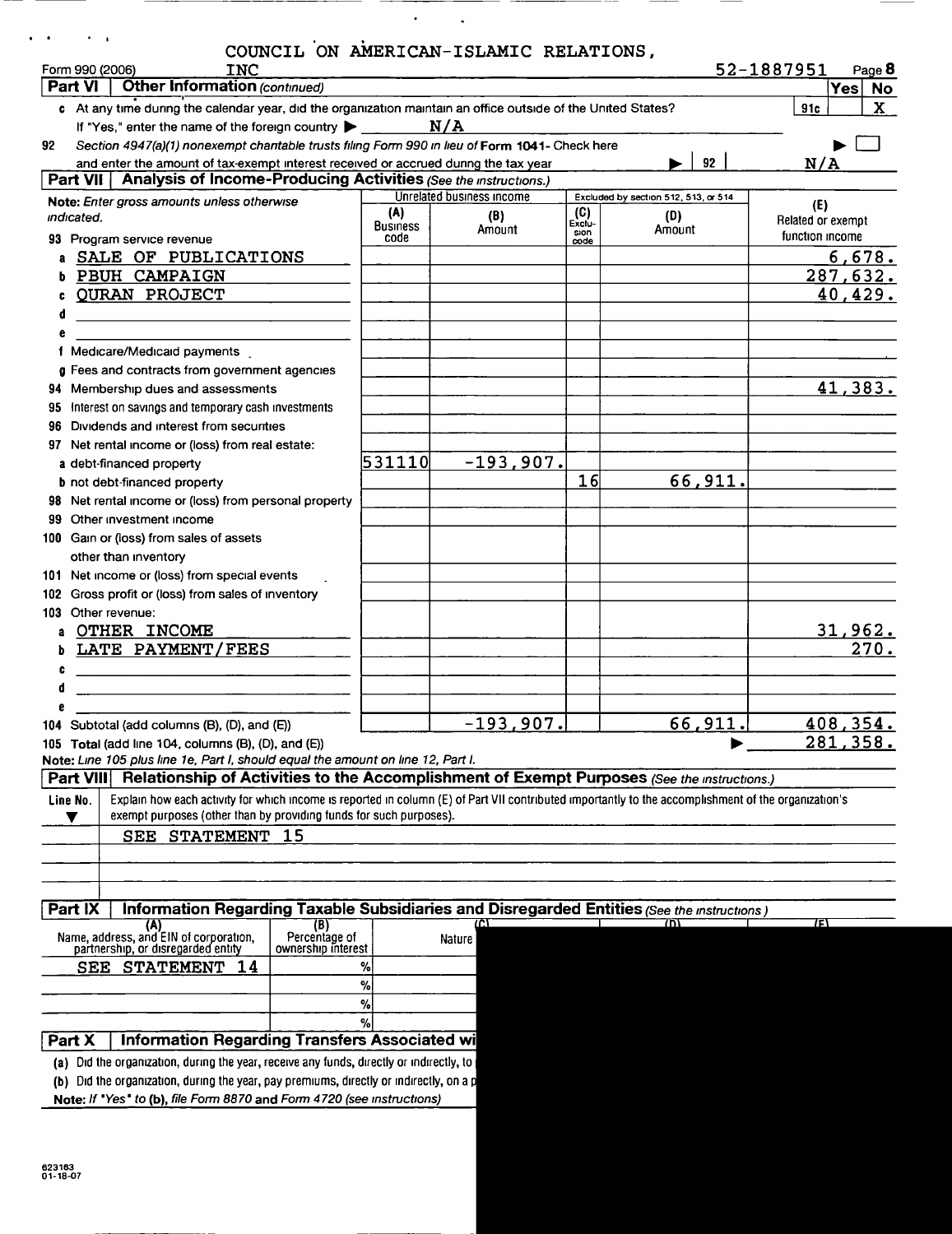| Form 990 (2006)<br><b>INC</b><br><b>Other Information (continued)</b><br>Part VI                                                                                 |                         |                           |               |                                      | 52-1887951<br>Page 8<br> Yes <br><b>No</b> |
|------------------------------------------------------------------------------------------------------------------------------------------------------------------|-------------------------|---------------------------|---------------|--------------------------------------|--------------------------------------------|
| c At any time during the calendar year, did the organization maintain an office outside of the United States?                                                    |                         |                           |               |                                      | X<br>91c                                   |
| If "Yes," enter the name of the foreign country<br>Section 4947(a)(1) nonexempt chantable trusts filing Form 990 in lieu of Form 1041- Check here<br>92          |                         | N/A                       |               |                                      |                                            |
| and enter the amount of tax-exempt interest received or accrued during the tax year                                                                              |                         |                           |               | 92                                   | N/A                                        |
| Part VII   Analysis of Income-Producing Activities (See the instructions.)                                                                                       |                         |                           |               |                                      |                                            |
| Note: Enter gross amounts unless otherwise                                                                                                                       |                         | Unrelated business income |               | Excluded by section 512, 513, or 514 | (E)                                        |
| indicated.                                                                                                                                                       | (A)                     | (B)                       | (C)<br>Exclu- | (D)                                  | Related or exempt                          |
| 93 Program service revenue                                                                                                                                       | <b>Business</b><br>code | Amount                    | sion<br>code  | Amount                               | function income                            |
| a SALE OF PUBLICATIONS                                                                                                                                           |                         |                           |               |                                      | 6,678.                                     |
| PBUH CAMPAIGN                                                                                                                                                    |                         |                           |               |                                      | <u>287,632.</u>                            |
| <b>QURAN PROJECT</b>                                                                                                                                             |                         |                           |               |                                      | 40,429.                                    |
| d                                                                                                                                                                |                         |                           |               |                                      |                                            |
|                                                                                                                                                                  |                         |                           |               |                                      |                                            |
| f Medicare/Medicaid payments                                                                                                                                     |                         |                           |               |                                      |                                            |
| g Fees and contracts from government agencies                                                                                                                    |                         |                           |               |                                      |                                            |
| 94 Membership dues and assessments                                                                                                                               |                         |                           |               |                                      | 41,383.                                    |
| 95 Interest on savings and temporary cash investments                                                                                                            |                         |                           |               |                                      |                                            |
| Dividends and interest from securities<br>96                                                                                                                     |                         |                           |               |                                      |                                            |
| 97 Net rental income or (loss) from real estate:                                                                                                                 | 531110                  | $-193,907.$               |               |                                      |                                            |
| a debt-financed property<br><b>b</b> not debt-financed property                                                                                                  |                         |                           | 16            | 66,911.                              |                                            |
| 98 Net rental income or (loss) from personal property                                                                                                            |                         |                           |               |                                      |                                            |
| Other investment income<br>99                                                                                                                                    |                         |                           |               |                                      |                                            |
| 100 Gain or (loss) from sales of assets                                                                                                                          |                         |                           |               |                                      |                                            |
| other than inventory                                                                                                                                             |                         |                           |               |                                      |                                            |
| 101 Net income or (loss) from special events                                                                                                                     |                         |                           |               |                                      |                                            |
| 102 Gross profit or (loss) from sales of inventory                                                                                                               |                         |                           |               |                                      |                                            |
| 103 Other revenue:                                                                                                                                               |                         |                           |               |                                      |                                            |
| OTHER INCOME                                                                                                                                                     |                         |                           |               |                                      | <u>31,962.</u>                             |
| LATE PAYMENT/FEES                                                                                                                                                |                         |                           |               |                                      | $\overline{270}$ .                         |
| c<br>the contract of the contract of the contract of the contract of the contract of the contract of the contract of                                             |                         |                           |               |                                      |                                            |
|                                                                                                                                                                  |                         |                           |               |                                      |                                            |
|                                                                                                                                                                  |                         |                           |               |                                      |                                            |
| 104 Subtotal (add columns (B), (D), and (E))                                                                                                                     |                         | $-193,907.$               |               | 66,911.                              | 408, 354.                                  |
| 105 Total (add line 104, columns $(B)$ , $(D)$ , and $(E)$ )                                                                                                     |                         |                           |               |                                      | <u>281,358.</u>                            |
| Note: Line 105 plus line 1e, Part I, should equal the amount on line 12, Part I.                                                                                 |                         |                           |               |                                      |                                            |
| Relationship of Activities to the Accomplishment of Exempt Purposes (See the instructions.)<br>Part VIII                                                         |                         |                           |               |                                      |                                            |
| Explain how each activity for which income is reported in column (E) of Part VII contributed importantly to the accomplishment of the organization's<br>Line No. |                         |                           |               |                                      |                                            |
| exempt purposes (other than by providing funds for such purposes).<br>v                                                                                          |                         |                           |               |                                      |                                            |
| SEE STATEMENT 15                                                                                                                                                 |                         |                           |               |                                      |                                            |
|                                                                                                                                                                  |                         |                           |               |                                      |                                            |
|                                                                                                                                                                  |                         |                           |               |                                      |                                            |
| <b>Part IX</b>                                                                                                                                                   |                         |                           |               |                                      |                                            |
| Information Regarding Taxable Subsidiaries and Disregarded Entities (See the Instructions)<br>(A)<br>(B)                                                         |                         | mτ                        |               | זחז                                  | 7F)                                        |
| Name, address, and EIN of corporation,<br>Percentage of                                                                                                          |                         | Nature                    |               |                                      |                                            |
| partnership, or disregarded entity<br>ownership interest<br>14                                                                                                   | %                       |                           |               |                                      |                                            |
| SEE STATEMENT                                                                                                                                                    | %                       |                           |               |                                      |                                            |
|                                                                                                                                                                  | %                       |                           |               |                                      |                                            |
|                                                                                                                                                                  | $\%$                    |                           |               |                                      |                                            |
| <b>Information Regarding Transfers Associated wi</b><br>Part X                                                                                                   |                         |                           |               |                                      |                                            |
| (a) Did the organization, during the year, receive any funds, directly or indirectly, to                                                                         |                         |                           |               |                                      |                                            |
| (b) Did the organization, during the year, pay premiums, directly or indirectly, on a p                                                                          |                         |                           |               |                                      |                                            |
|                                                                                                                                                                  |                         |                           |               |                                      |                                            |
| Note: If "Yes" to (b), file Form 8870 and Form 4720 (see instructions)                                                                                           |                         |                           |               |                                      |                                            |

 $\sigma_{\rm{max}}$  .

 $\overbrace{\hspace{25mm}}^{}$ 

 $-$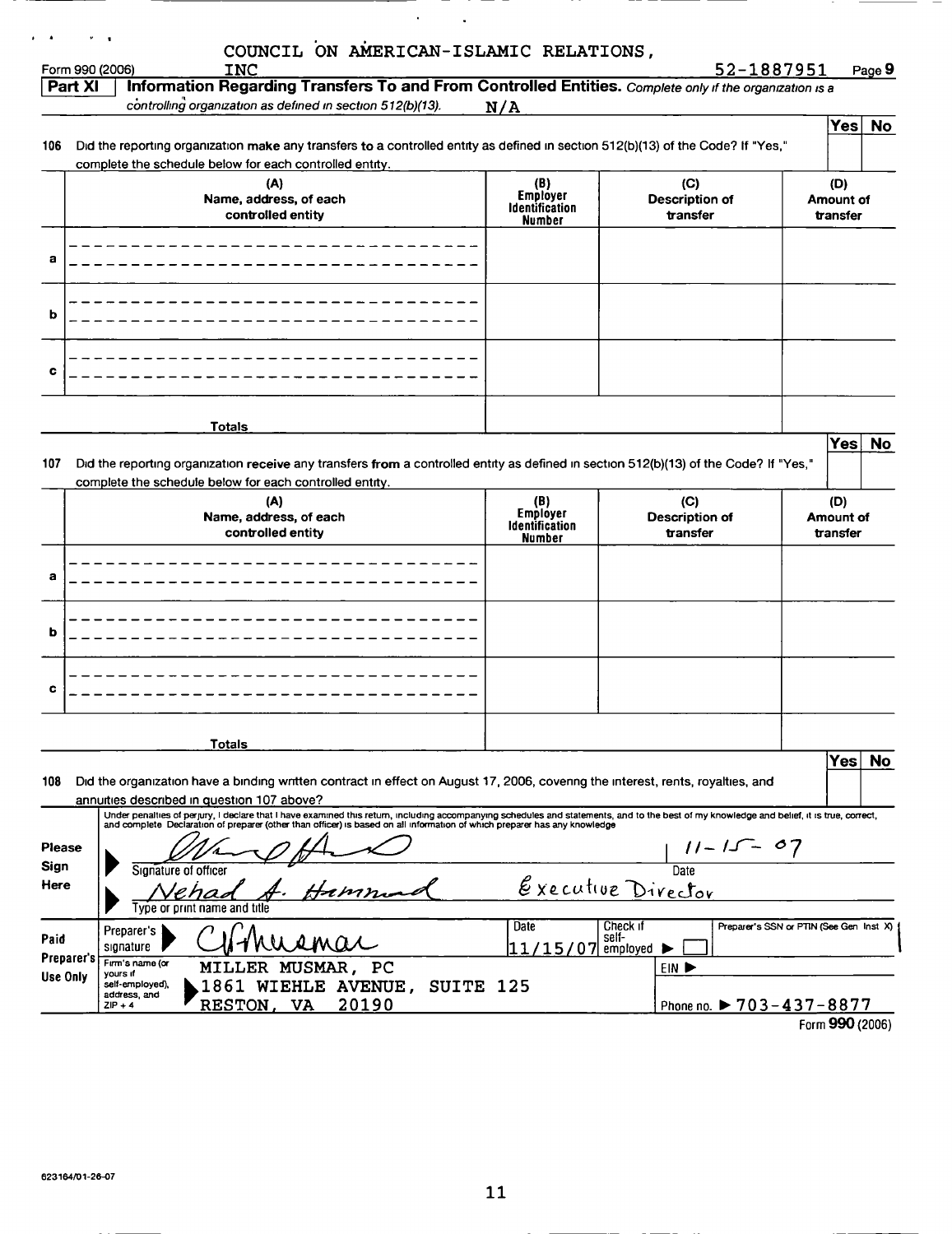|                    | <b>INC</b><br>Form 990 (2006)                                                                                                                                                                                                                                                                                          |                                        | 52-1887951                                          |           | Page 9           |
|--------------------|------------------------------------------------------------------------------------------------------------------------------------------------------------------------------------------------------------------------------------------------------------------------------------------------------------------------|----------------------------------------|-----------------------------------------------------|-----------|------------------|
| Part XI            | Information Regarding Transfers To and From Controlled Entities. Complete only if the organization is a<br>controlling organization as defined in section 512(b)(13).                                                                                                                                                  |                                        |                                                     |           |                  |
|                    |                                                                                                                                                                                                                                                                                                                        | N/A                                    |                                                     |           |                  |
|                    |                                                                                                                                                                                                                                                                                                                        |                                        |                                                     |           | Yes No           |
| 106                | Did the reporting organization make any transfers to a controlled entity as defined in section 512(b)(13) of the Code? If "Yes,"<br>complete the schedule below for each controlled entity.                                                                                                                            |                                        |                                                     |           |                  |
|                    | (A)                                                                                                                                                                                                                                                                                                                    |                                        | (C)                                                 | (D)       |                  |
|                    | Name, address, of each                                                                                                                                                                                                                                                                                                 | (B)<br>Employer                        | <b>Description of</b>                               | Amount of |                  |
|                    | controlled entity                                                                                                                                                                                                                                                                                                      | <b>Identification</b><br><b>Number</b> | transfer                                            | transfer  |                  |
|                    |                                                                                                                                                                                                                                                                                                                        |                                        |                                                     |           |                  |
| а                  |                                                                                                                                                                                                                                                                                                                        |                                        |                                                     |           |                  |
|                    |                                                                                                                                                                                                                                                                                                                        |                                        |                                                     |           |                  |
|                    |                                                                                                                                                                                                                                                                                                                        |                                        |                                                     |           |                  |
| b                  |                                                                                                                                                                                                                                                                                                                        |                                        |                                                     |           |                  |
|                    |                                                                                                                                                                                                                                                                                                                        |                                        |                                                     |           |                  |
|                    |                                                                                                                                                                                                                                                                                                                        |                                        |                                                     |           |                  |
| c                  |                                                                                                                                                                                                                                                                                                                        |                                        |                                                     |           |                  |
|                    |                                                                                                                                                                                                                                                                                                                        |                                        |                                                     |           |                  |
|                    | <b>Totals</b>                                                                                                                                                                                                                                                                                                          |                                        |                                                     |           |                  |
|                    |                                                                                                                                                                                                                                                                                                                        |                                        |                                                     |           | Yes No           |
| 107                | Did the reporting organization receive any transfers from a controlled entity as defined in section 512(b)(13) of the Code? If "Yes,"                                                                                                                                                                                  |                                        |                                                     |           |                  |
|                    | complete the schedule below for each controlled entity.                                                                                                                                                                                                                                                                |                                        |                                                     |           |                  |
|                    | (A)                                                                                                                                                                                                                                                                                                                    | (B)<br>Employer                        | (C)                                                 | (D)       |                  |
|                    | Name, address, of each                                                                                                                                                                                                                                                                                                 | Identification                         | <b>Description of</b>                               | Amount of |                  |
|                    |                                                                                                                                                                                                                                                                                                                        |                                        |                                                     |           |                  |
|                    | controlled entity                                                                                                                                                                                                                                                                                                      | <b>Number</b>                          | transfer                                            | transfer  |                  |
|                    |                                                                                                                                                                                                                                                                                                                        |                                        |                                                     |           |                  |
| a                  |                                                                                                                                                                                                                                                                                                                        |                                        |                                                     |           |                  |
|                    |                                                                                                                                                                                                                                                                                                                        |                                        |                                                     |           |                  |
|                    |                                                                                                                                                                                                                                                                                                                        |                                        |                                                     |           |                  |
| b                  |                                                                                                                                                                                                                                                                                                                        |                                        |                                                     |           |                  |
|                    |                                                                                                                                                                                                                                                                                                                        |                                        |                                                     |           |                  |
|                    |                                                                                                                                                                                                                                                                                                                        |                                        |                                                     |           |                  |
| c                  |                                                                                                                                                                                                                                                                                                                        |                                        |                                                     |           |                  |
|                    |                                                                                                                                                                                                                                                                                                                        |                                        |                                                     |           |                  |
|                    | Totals                                                                                                                                                                                                                                                                                                                 |                                        |                                                     |           |                  |
|                    |                                                                                                                                                                                                                                                                                                                        |                                        |                                                     |           | <b>No</b><br>Yes |
| 108                | Did the organization have a binding written contract in effect on August 17, 2006, covering the interest, rents, royalties, and                                                                                                                                                                                        |                                        |                                                     |           |                  |
|                    | annuities described in question 107 above?                                                                                                                                                                                                                                                                             |                                        |                                                     |           |                  |
|                    | Under penalties of perjury, I declare that I have examined this return, including accompanying schedules and statements, and to the best of my knowledge and belief, it is true, correct,<br>and complete Declaration of preparer (other than officer) is based on all information of which preparer has any knowledge |                                        |                                                     |           |                  |
| Please             |                                                                                                                                                                                                                                                                                                                        |                                        |                                                     |           |                  |
| Sign               | Sionature of officer                                                                                                                                                                                                                                                                                                   |                                        |                                                     |           |                  |
| Here               |                                                                                                                                                                                                                                                                                                                        |                                        | $\frac{11-15-07}{\text{Date}}$                      |           |                  |
|                    | ivpe or print name and title                                                                                                                                                                                                                                                                                           |                                        | Executive Director                                  |           |                  |
|                    | Preparer's                                                                                                                                                                                                                                                                                                             | Date                                   | Check if<br>Preparer's SSN or PTIN (See Gen Inst X) |           |                  |
|                    | signature                                                                                                                                                                                                                                                                                                              | 11/15/07                               | self-<br>employed                                   |           |                  |
| Paid<br>Preparer's | Firm's name (or<br>MILLER<br>MUSMAR, PC                                                                                                                                                                                                                                                                                |                                        | EIN P                                               |           |                  |
| Use Only           | yours if<br>self-employed),<br>1861 WIEHLE AVENUE,<br>SUITE 125<br>address, and<br>20190                                                                                                                                                                                                                               |                                        |                                                     |           |                  |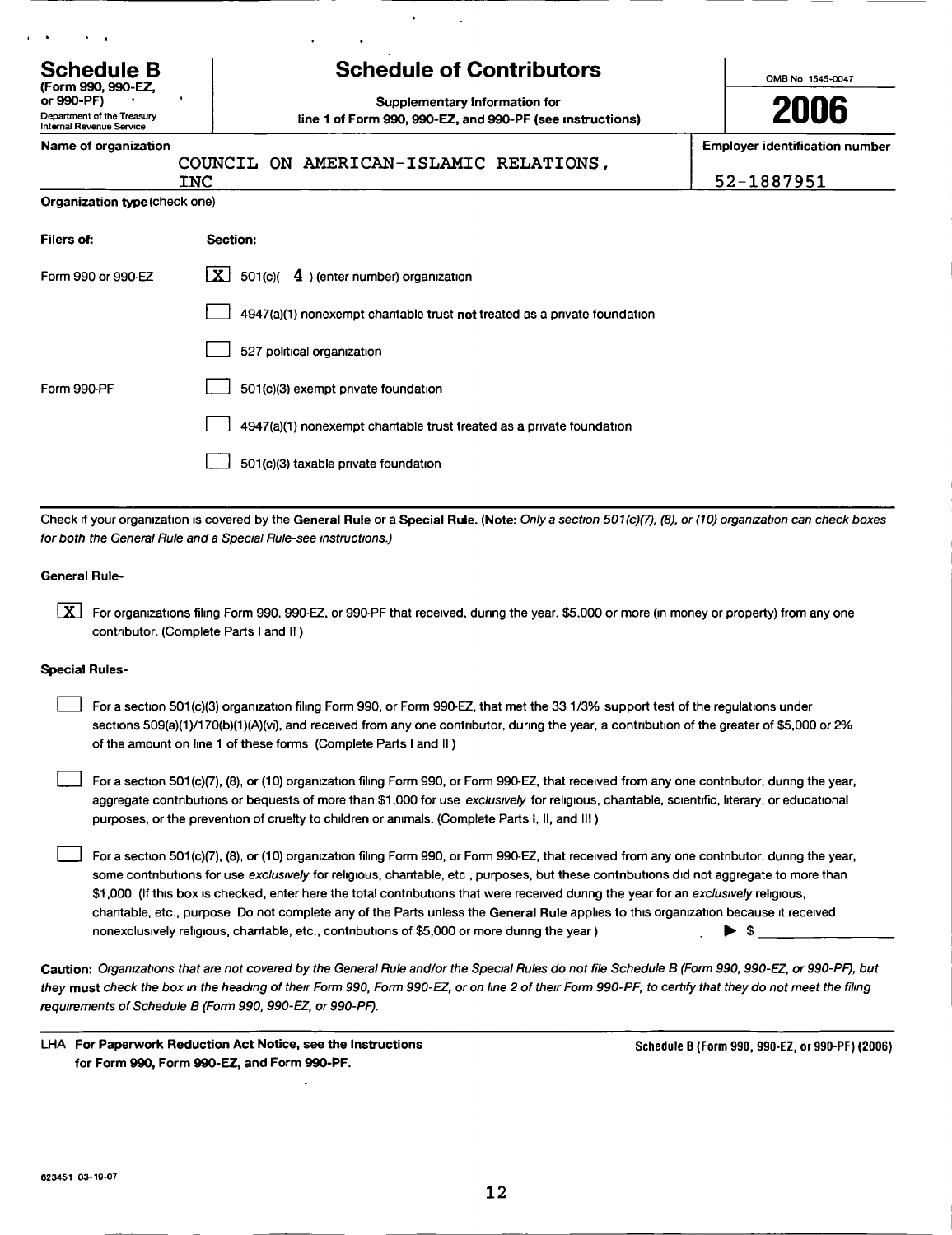| <b>Schedule B</b><br>(Form 990, 990-EZ,                              | <b>Schedule of Contributors</b>                                                                 | OMB No 1545-0047                                    |
|----------------------------------------------------------------------|-------------------------------------------------------------------------------------------------|-----------------------------------------------------|
| or 990-PF)<br>Department of the Treasury<br>Internal Revenue Service | л<br>Supplementary Information for<br>line 1 of Form 990, 990-EZ, and 990-PF (see instructions) | 2006                                                |
| Name of organization                                                 | COUNCIL ON AMERICAN-ISLAMIC RELATIONS,<br>INC                                                   | <b>Employer identification number</b><br>52-1887951 |
| Organization type (check one)                                        |                                                                                                 |                                                     |
| Filers of:                                                           | Section:                                                                                        |                                                     |
| Form 990 or 990-EZ                                                   | LX I<br>501(c)(<br>4) (enter number) organization                                               |                                                     |
|                                                                      | 4947(a)(1) nonexempt chantable trust not treated as a private foundation                        |                                                     |
|                                                                      | 527 political organization                                                                      |                                                     |
| Form 990-PF                                                          | 501(c)(3) exempt private foundation                                                             |                                                     |
|                                                                      | 4947(a)(1) nonexempt chantable trust treated as a private foundation                            |                                                     |

Check if your organization is covered by the General Rule or a Special Rule. (Note: Only a section 501(c)(7), (8), or (10) organization can check boxes for both the General Rule and a Special Rule-see instructions.)

0 501(c)(3) taxable private foundation

### General Rule-

[X] For organizations filing Form 990, 990-EZ, or 990-PF that received, during the year, \$5,000 or more (in money or property) from any one contributor. (Complete Parts I and II)

### Special Rules-

For a section 501(c)(3) organization filing Form 990, or Form 990-EZ, that met the 33 1/3% support test of the regulations under sections 509(a)(1)/170(b)(1)(A)(vi), and received from any one contributor, during the year, a contribution of the greater of \$5,000 or 2% of the amount on line 1 of these forms (Complete Parts I and II)

 $\Box$  For a section 501(c)(7), (8), or (10) organization filing Form 990, or Form 990-EZ, that received from any one contributor, during the year, aggregate contributions or bequests of more than \$1,000 for use exclusively for religious, chantable, scientific, literary, or educational purposes, or the prevention of cruelty to children or animals . ( Complete Parts 1, II, and III )

For a section 501(c)(7), (8), or (10) organization filing Form 990, or Form 990-EZ, that received from any one contributor, during the year, some contributions for use exclusively for religious, charitable, etc, purposes, but these contributions did not aggregate to more than \$1,000 (If this box is checked, enter here the total contributions that were received during the year for an exclusively religious, charitable, etc., purpose Do not complete any of the Parts unless the General Rule applies to this organization because it received nonexclusively religious, charitable, etc., contributions of \$5,000 or more during the year)  $\blacktriangleright$  \$

Caution: Organizations that are not covered by the General Rule and/or the Special Rules do not file Schedule B (Form 990, 990-EZ, or 990-PF), but they must check the box in the heading of their Form 990, Form 990-EZ, or on line 2 of their Form 990-PF, to certify that they do not meet the filing requirements of Schedule B (Form 990, 990-EZ, or 990-PF).

LHA For Paperwork Reduction Act Notice, see the Instructions for Form 990, Form 990-EZ, and Form 990-PF.

Schedule B (Form 990 , 990-EZ , or 990-PF) (2006)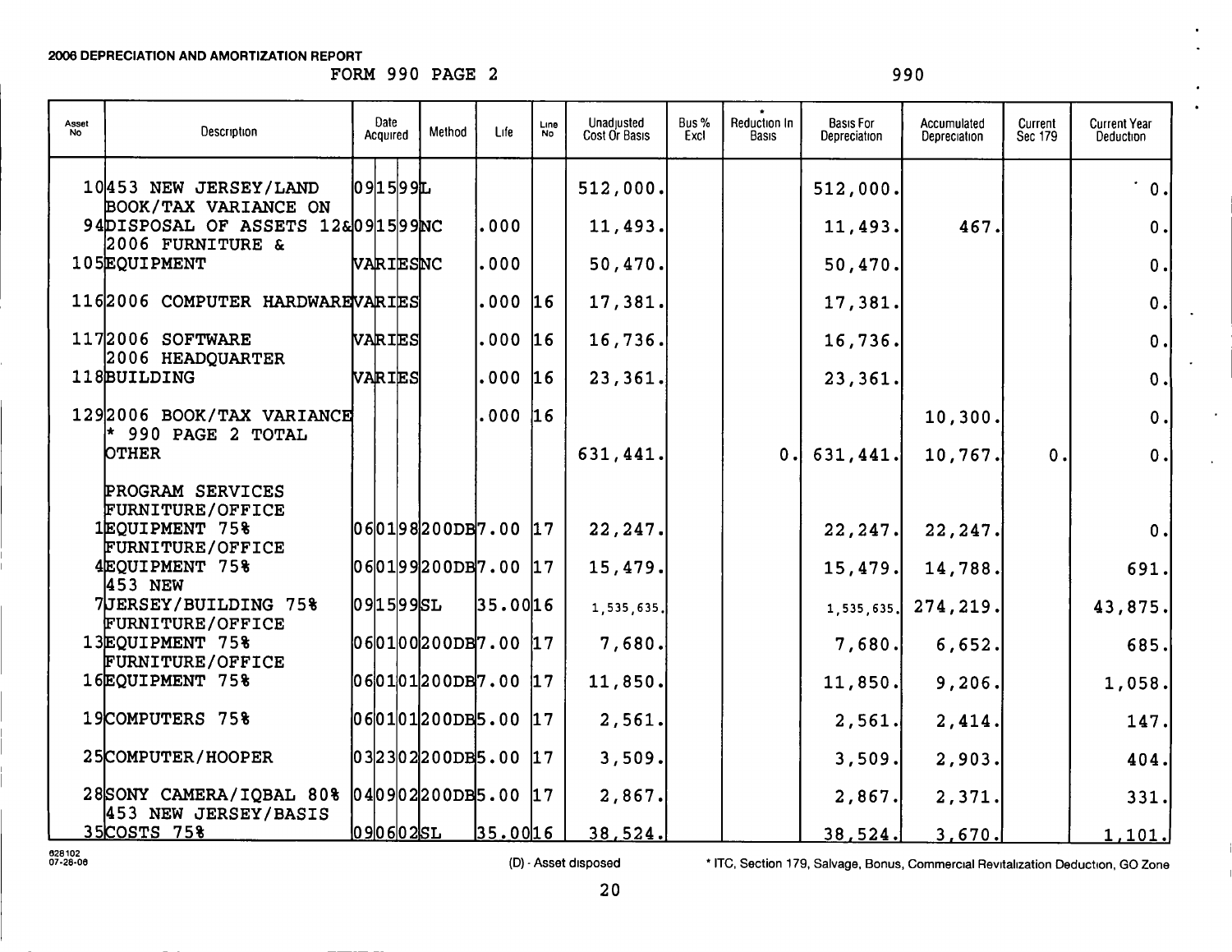FORM 990 PAGE 2 990

| Asset<br>No | Description                                                                       | Date<br>Acquired            | Method | Life      | Line<br><b>No</b> | Unadjusted<br>Cost Or Basis | Bus %<br>Excl | Reduction In<br><b>Basis</b> | Basis For<br>Depreciation | Accumulated<br>Depreciation | Current<br>Sec 179 | <b>Current Year</b><br>Deduction |
|-------------|-----------------------------------------------------------------------------------|-----------------------------|--------|-----------|-------------------|-----------------------------|---------------|------------------------------|---------------------------|-----------------------------|--------------------|----------------------------------|
|             | 10453 NEW JERSEY/LAND<br>BOOK/TAX VARIANCE ON<br>94DISPOSAL OF ASSETS 12&091599NC | 09 15 99L                   |        | 000       |                   | 512,000.<br>11,493.         |               |                              | 512,000.<br>11,493.       | 467.                        |                    | $\dot{ }$ 0.<br>$\mathbf 0$      |
|             | 2006 FURNITURE &<br>105EQUIPMENT                                                  | VARIESNC                    |        | 000       |                   | 50,470.                     |               |                              | 50,470.                   |                             |                    | $\mathbf 0$ .                    |
|             | 1162006 COMPUTER HARDWARE VARIES                                                  |                             |        | .000 16   |                   | 17,381.                     |               |                              | 17,381.                   |                             |                    | $\mathbf 0$ .                    |
|             | 1172006 SOFTWARE<br>2006 HEADQUARTER                                              | VARIES                      |        | .000      | 16                | 16,736.                     |               |                              | 16,736.                   |                             |                    | 0.                               |
|             | 118BUILDING                                                                       | VARIES                      |        | .000 16   |                   | 23,361.                     |               |                              | 23,361.                   |                             |                    | $\mathbf 0$ .                    |
|             | 1292006 BOOK/TAX VARIANCE<br>$*$ 990 PAGE 2 TOTAL                                 |                             |        | .000   16 |                   |                             |               |                              |                           | 10,300.                     |                    | 0.                               |
|             | <b>OTHER</b>                                                                      |                             |        |           |                   | 631,441.                    |               | 0.1                          | 631,441.                  | 10,767.                     | 0.                 | 0.                               |
|             | PROGRAM SERVICES<br><b>FURNITURE/OFFICE</b>                                       |                             |        |           |                   |                             |               |                              |                           |                             |                    |                                  |
|             | 1EQUIPMENT 75%<br>FURNITURE/OFFICE                                                | $060198200DB7.00$ $17$      |        |           |                   | 22,247.                     |               |                              | 22, 247.                  | 22, 247.                    |                    | 0.                               |
|             | 4EOUIPMENT 75%<br>453 NEW                                                         | $060199200DB7.00$ $17$      |        |           |                   | 15,479.                     |               |                              | 15,479.                   | 14,788.                     |                    | 691.                             |
|             | 7JERSEY/BUILDING 75%<br>FURNITURE/OFFICE                                          | 0915995L                    |        | 35.00 16  |                   | 1, 535, 635.                |               |                              | 1, 535, 635.              | 274,219.                    |                    | 43,875.                          |
|             | 13EQUIPMENT 75%<br>FURNITURE/OFFICE                                               | 060100200DB7.00 17          |        |           |                   | 7,680.                      |               |                              | 7,680.                    | 6,652.                      |                    | 685.                             |
|             | 16EQUIPMENT 75%                                                                   | $060101200DB7.00$ 17        |        |           |                   | 11,850.                     |               |                              | 11,850.                   | 9,206.                      |                    | 1,058.                           |
|             | 19COMPUTERS 75%                                                                   | 06 01 01 200DB5.00  17      |        |           |                   | 2,561.                      |               |                              | 2,561.                    | 2,414.                      |                    | 147.                             |
|             | 25COMPUTER/HOOPER                                                                 | $ 03 23 02 200DB5.00$ $ 17$ |        |           |                   | 3,509.                      |               |                              | 3,509.                    | 2,903.                      |                    | 404.                             |
|             | 28SONY CAMERA/IQBAL 80% 040902200DB5.00 17<br>453 NEW JERSEY/BASIS                |                             |        |           |                   | 2,867.                      |               |                              | 2,867.                    | 2,371.                      |                    | 331.                             |
|             | 35COSTS 75%                                                                       | <u> 0906025L</u>            |        | 35.0016   |                   | 38,524.                     |               |                              | 38,524.                   | 3,670.                      |                    | 1,101.                           |

028102<br>07-28-00

(D) - Asset disposed \* ITC, Section 179, Salvage, Bonus, Commercial Revitalization Deduction, GO Zone

 $\sim$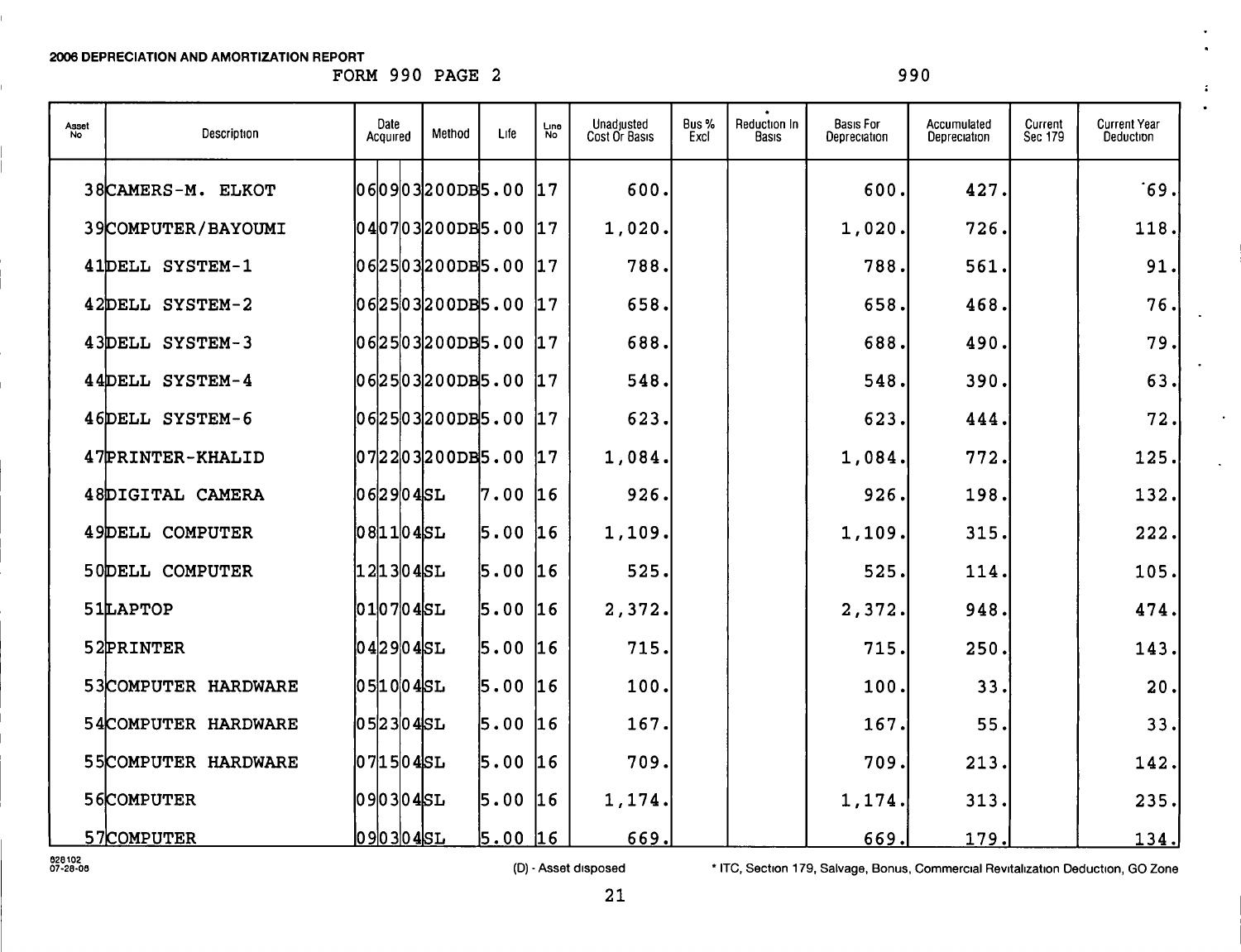FORM 990 PAGE 2 990

 $\mathcal{L}^{\mathcal{L}}$ 

| Asset<br>No | Description             | Date<br>Acquired    | Method | Life | Line<br>No   | Unadjusted<br>Cost Or Basis | Bus %<br>Excl | Reduction In<br>Basıs | <b>Basis For</b><br>Depreciation | Accumulated<br>Depreciation | Current<br>Sec 179 | <b>Current Year</b><br>Deduction |
|-------------|-------------------------|---------------------|--------|------|--------------|-----------------------------|---------------|-----------------------|----------------------------------|-----------------------------|--------------------|----------------------------------|
|             | 38CAMERS-M. ELKOT       | 060903200DB5.00     |        |      | 17           | 600.                        |               |                       | 600.                             | 427.                        |                    | $-69.$                           |
|             | 39COMPUTER/BAYOUMI      | 04 07 03 200DB 5.00 |        |      | 17           | 1,020.                      |               |                       | 1,020.                           | 726.                        |                    | 118.                             |
|             | 41DELL SYSTEM-1         | 062503200DB5.00     |        |      | 17           | 788.                        |               |                       | 788.                             | 561.                        |                    | 91.                              |
|             | 42DELL SYSTEM-2         | 062503200DB5.00     |        |      | 17           | 658.                        |               |                       | 658.                             | 468.                        |                    | 76.                              |
|             | 43DELL SYSTEM-3         | 06 25 03 200DB 5.00 |        |      | 17           | 688.                        |               |                       | 688.                             | 490.                        |                    | 79.                              |
|             | 44DELL SYSTEM-4         | 06 25 03 200DB5.00  |        |      | 17           | 548.                        |               |                       | 548.                             | 390.                        |                    | 63.                              |
|             | 46DELL SYSTEM-6         | [06]25]03]200DB5.00 |        |      | $ 17\rangle$ | 623.                        |               |                       | 623.                             | 444.                        |                    | 72.                              |
|             | 47PRINTER-KHALID        | 072203200DB5.00     |        |      | 17           | 1,084.                      |               |                       | 1,084.                           | 772.                        |                    | 125.                             |
|             | <b>48DIGITAL CAMERA</b> | 062904SL            |        | 7.00 | 16           | 926.                        |               |                       | 926.                             | 198.                        |                    | 132.                             |
|             | 49DELL COMPUTER         | 081104SL            |        | 5.00 | 16           | 1,109.                      |               |                       | 1,109.                           | 315.                        |                    | 222.                             |
|             | 50DELL COMPUTER         | 1 2 1 3 0 4 SL      |        | 5.00 | 16           | 525.                        |               |                       | 525.                             | 114.                        |                    | 105.                             |
|             | 51LAPTOP                | 010704SL            |        | 5.00 | l1 6         | 2,372.                      |               |                       | 2,372.                           | 948.                        |                    | 474.                             |
|             | 52PRINTER               | 042904SL            |        | 5.00 | l1 6         | 715.                        |               |                       | 715.                             | 250.                        |                    | 143.                             |
|             | 53COMPUTER HARDWARE     | 0 5 1 0 0 4 SL      |        | 5.00 | 16           | 100.                        |               |                       | 100.                             | 33.                         |                    | 20.                              |
|             | 54COMPUTER HARDWARE     | $[05]23[04]$ SL     |        | 5.00 | 16           | 167.                        |               |                       | 167.                             | 55.                         |                    | 33.                              |
|             | 55COMPUTER HARDWARE     | 0 7  1 5  0 4  SL   |        | 5.00 | 16           | 709.                        |               |                       | 709.                             | 213.                        |                    | 142.                             |
|             | 56COMPUTER              | 090304SL            |        | 5.00 | 16           | 1,174.                      |               |                       | 1,174.                           | 313.                        |                    | 235.                             |
|             | 57COMPUTER              | 0 9 0 3 0 4 S L     |        | 5.00 | 16           | 669.                        |               |                       | 669.                             | 179.                        |                    | 134.                             |

ezatoz<br>07-28-08 **Marzo f e disposed Marzo F e (D) - Asset disposed** \* ITC, Section 179, Salvage, Bonus, Commercial Revitalization Deduction, GO Zone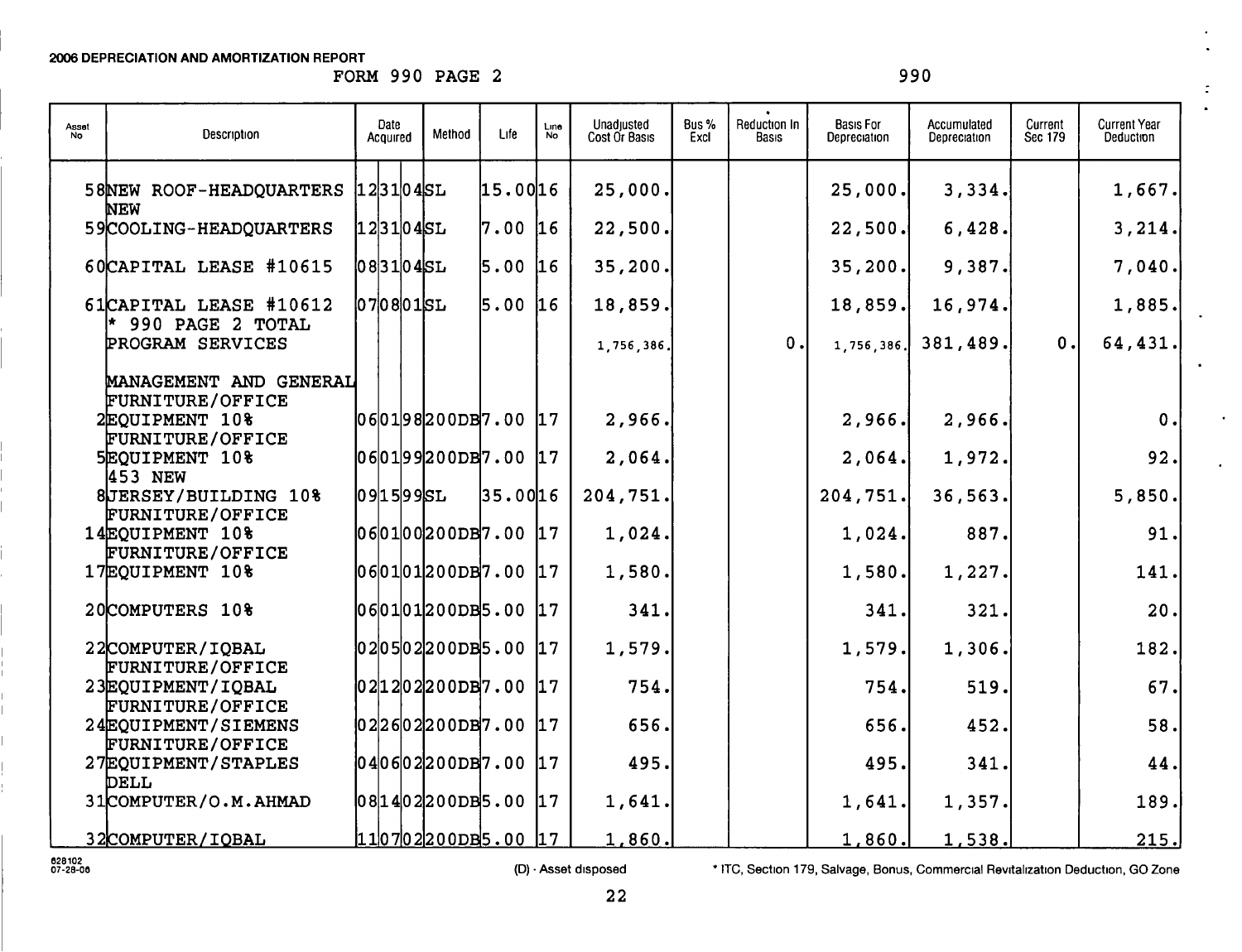FORM 990 PAGE 2 990

÷

 $\bullet$ 

 $\ddot{\phantom{a}}$ 

| Asset<br>No | Description                                                    | Date<br>Acquired | Method                     | Life      | Line<br><b>No</b> | Unadjusted<br>Cost Or Basis | Bus%<br>Excl | Reduction In<br>Basis | <b>Basis For</b><br>Depreciation | Accumulated<br>Depreciation | Current<br>Sec 179 | <b>Current Year</b><br>Deduction |
|-------------|----------------------------------------------------------------|------------------|----------------------------|-----------|-------------------|-----------------------------|--------------|-----------------------|----------------------------------|-----------------------------|--------------------|----------------------------------|
|             | 58NEW ROOF-HEADQUARTERS 123104SL<br>NEW                        |                  |                            | 15.0016   |                   | 25,000.                     |              |                       | 25,000.                          | 3,334.                      |                    | 1,667.                           |
|             | 59COOLING-HEADQUARTERS                                         | 12 31 04 SL      |                            | 7.00 16   |                   | 22,500.                     |              |                       | 22,500.                          | 6,428.                      |                    | 3,214.                           |
|             | 60CAPITAL LEASE #10615                                         | $ 08 31 04$ SL   |                            | $5.00$ 16 |                   | 35,200.                     |              |                       | 35,200.                          | 9,387.                      |                    | 7,040.                           |
|             | 61CAPITAL LEASE #10612                                         | $[07]08]01$ SL   |                            | 5.00 16   |                   | 18,859.                     |              |                       | 18,859.                          | 16,974.                     |                    | 1,885.                           |
|             | $ *$ 990 PAGE 2 TOTAL<br><b>PROGRAM SERVICES</b>               |                  |                            |           |                   | 1,756,386.                  |              | 0.                    | 1,756,386.                       | 381, 489.                   | 0.                 | 64,431.                          |
|             | MANAGEMENT AND GENERAL                                         |                  |                            |           |                   |                             |              |                       |                                  |                             |                    |                                  |
|             | FURNITURE/OFFICE<br>2EQUIPMENT 10%                             |                  | 06 01 98 200DB 7.00 17     |           |                   | 2,966.                      |              |                       | 2,966.                           | 2,966.                      |                    | 0.                               |
|             | <b>FURNITURE/OFFICE</b><br>5EQUIPMENT 10%<br>453 NEW           |                  | $ 06 01 99 200DB 7.00$  17 |           |                   | 2,064.                      |              |                       | 2,064.                           | 1,972.                      |                    | 92.                              |
|             | 8JERSEY/BUILDING 10%                                           | 09 15 995L       |                            | 35.0016   |                   | 204,751.                    |              |                       | 204, 751.                        | 36,563.                     |                    | 5,850.                           |
|             | <b>FURNITURE/OFFICE</b><br>14EQUIPMENT 10%<br>FURNITURE/OFFICE |                  | $ 06 01 00 200DB7.00$ 17   |           |                   | 1,024.                      |              |                       | 1,024.                           | 887.                        |                    | 91.                              |
|             | 17EQUIPMENT 10%                                                |                  | $ 06 01 01 200DB 7.00$ 17  |           |                   | 1,580.                      |              |                       | 1,580.                           | 1,227.                      |                    | 141.                             |
|             | 20COMPUTERS 10%                                                |                  | $ 06 01 01 200DB5.00$ 17   |           |                   | 341.                        |              |                       | 341.                             | 321.                        |                    | 20.                              |
|             | 22COMPUTER/IQBAL                                               |                  | $ 02 05 02 200DB5.00$  17  |           |                   | 1,579.                      |              |                       | 1,579.                           | 1,306.                      |                    | 182.                             |
|             | FURNITURE/OFFICE<br>23EQUIPMENT/IQBAL                          |                  | $ 02 12 02 200DB 7.00$  17 |           |                   | 754.                        |              |                       | 754.                             | 519.                        |                    | 67.                              |
|             | <b>FURNITURE/OFFICE</b><br>24EQUIPMENT/SIEMENS                 |                  | $ 02 26 02 200DB 7.00$ 17  |           |                   | 656.                        |              |                       | 656.                             | 452.                        |                    | 58.                              |
|             | FURNITURE/OFFICE<br>27EQUIPMENT/STAPLES                        |                  | $ 04 06 02 200DB 7.00$ 17  |           |                   | 495.                        |              |                       | 495.                             | 341.                        |                    | 44.                              |
|             | DELL<br>31COMPUTER/O.M.AHMAD                                   |                  | 08 14 02 200DB5.00  17     |           |                   | 1,641.                      |              |                       | 1,641.                           | 1,357.                      |                    | 189.                             |
|             | 32COMPUTER/IQBAL                                               |                  | $110702200005.00$ 17       |           |                   | 1,860.                      |              |                       | 1,860.                           | 1,538.                      |                    | 215.                             |

oiezeoe ( D) - Asset disposed • ITC, Section 179, Salvage , Bonus, Commercial Revitalization Deduction , GO Zone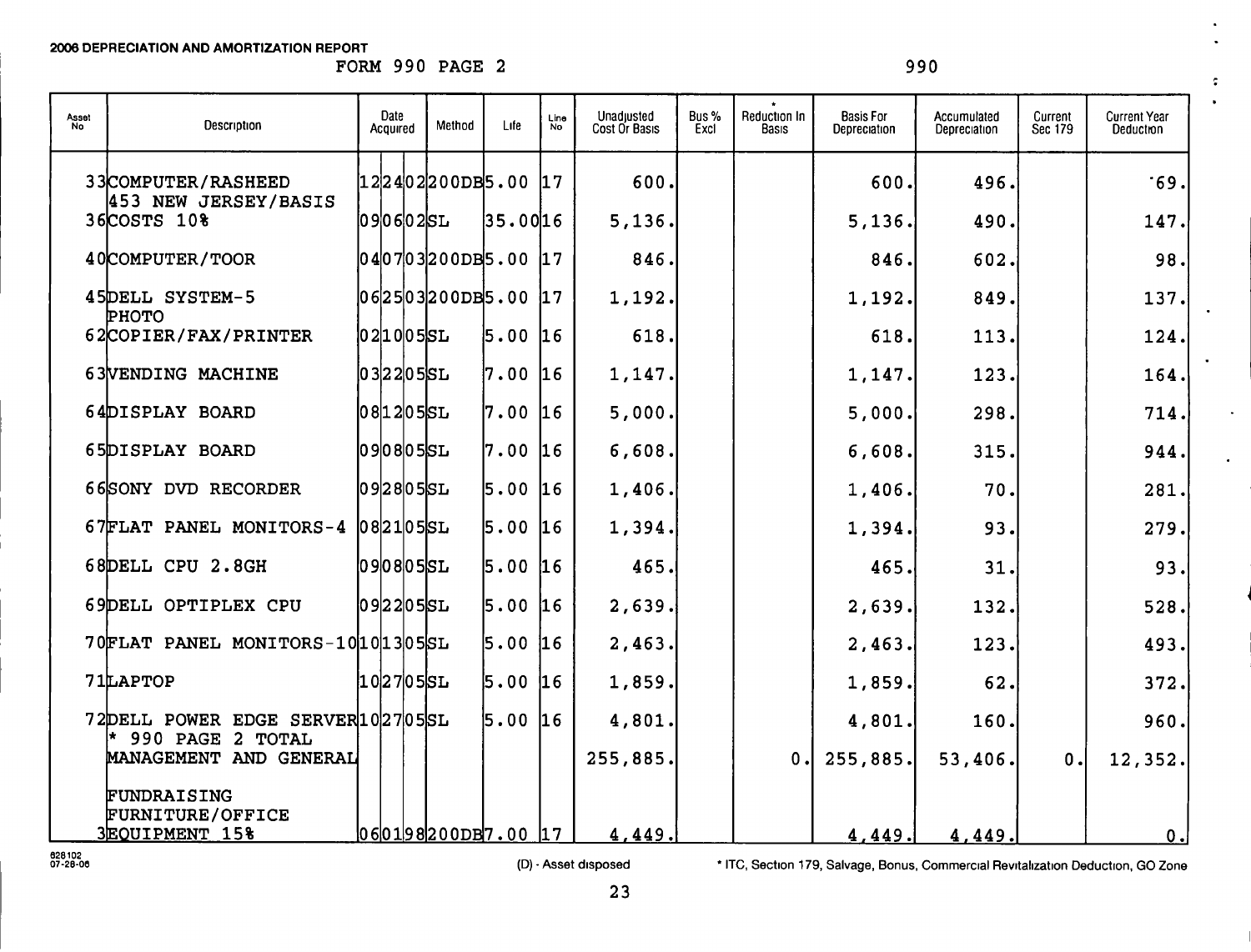FORM 990 PAGE 2 990

 $\epsilon$  $\overline{\phantom{a}}$ 

 $\mathbf{A}^{\mathrm{eff}}$ 

| Asset<br>No | Description                                              | Date<br>Acquired       | Method | Life    | Line<br><b>No</b> | Unadjusted<br>Cost Or Basis | Bus %<br>Excl | Reduction In<br>Basis | <b>Basis For</b><br>Depreciation | Accumulated<br>Depreciation | Current<br>Sec 179 | <b>Current Year</b><br>Deduction |
|-------------|----------------------------------------------------------|------------------------|--------|---------|-------------------|-----------------------------|---------------|-----------------------|----------------------------------|-----------------------------|--------------------|----------------------------------|
|             | 33 COMPUTER / RASHEED<br>453 NEW JERSEY/BASIS            | [12]24]02200DB5.00     |        |         | 17                | 600.                        |               |                       | 600.                             | 496.                        |                    | .69.                             |
|             | 36COSTS 10%                                              | 090602SL               |        | 35.0016 |                   | 5,136.                      |               |                       | 5,136.                           | 490.                        |                    | 147.                             |
|             | 40COMPUTER/TOOR                                          | 04 07 03 200DB5.00  17 |        |         |                   | 846.                        |               |                       | 846.                             | 602.                        |                    | 98.                              |
|             | 45DELL SYSTEM-5<br>PHOTO                                 | 06 25 03 200DB5.00  17 |        |         |                   | 1,192.                      |               |                       | 1,192.                           | 849.                        |                    | 137.                             |
|             | 62COPIER/FAX/PRINTER                                     | $ 02 10 05$ SL         |        | 5.00    | 16                | 618.                        |               |                       | 618.                             | 113.                        |                    | 124.                             |
|             | 63VENDING MACHINE                                        | $[03]22[05]$ SL        |        | 7.00    | 16                | 1,147.                      |               |                       | 1,147.                           | 123.                        |                    | 164.                             |
|             | 64DISPLAY BOARD                                          | 08 12 05 SL            |        | 7.00    | 16                | 5,000.                      |               |                       | 5,000.                           | 298.                        |                    | 714.                             |
|             | 65DISPLAY BOARD                                          | $ 09 08 05$ SL         |        | 7.00 16 |                   | 6,608.                      |               |                       | 6,608.                           | 315.                        |                    | 944.                             |
|             | 66SONY DVD RECORDER                                      | $ 09 28 05$ SL         |        | 5.00    | 16                | 1,406.                      |               |                       | 1,406.                           | 70.                         |                    | 281.                             |
|             | 67FLAT PANEL MONITORS-4 082105SL                         |                        |        | 5.00    | 16                | 1,394.                      |               |                       | 1,394.                           | 93.                         |                    | 279.                             |
|             | 68DELL CPU 2.8GH                                         | 0 9 0 8 0 5 S L        |        | 5.00    | 16                | 465.                        |               |                       | 465.                             | 31.                         |                    | 93.                              |
|             | 69DELL OPTIPLEX CPU                                      | $ 09 22 05$ SL         |        | 5.00    | 16                | 2,639.                      |               |                       | 2,639.                           | 132.                        |                    | 528.                             |
|             | 70FLAT PANEL MONITORS-10 10 13 05 SL                     |                        |        | 5.00    | 16                | 2,463.                      |               |                       | 2,463.                           | 123.                        |                    | 493.                             |
|             | 71LAPTOP                                                 | 1027055L               |        | 5.00    | 16                | 1,859.                      |               |                       | 1,859.                           | 62.                         |                    | 372.                             |
|             | 72DELL POWER EDGE SERVER 102705SL<br>990 PAGE 2 TOTAL    |                        |        | 5.00    | 16                | 4,801.                      |               |                       | 4,801.                           | 160.                        |                    | 960.                             |
|             | MANAGEMENT AND GENERAL                                   |                        |        |         |                   | 255,885.                    |               | 0.1                   | 255,885.                         | 53,406.                     | 0.1                | 12, 352.                         |
|             | FUNDRAISING<br><b>FURNITURE/OFFICE</b><br>3EQUIPMENT 15% | 06 01 98 200DB 7.00 17 |        |         |                   | 4,449.                      |               |                       | 4,449.                           | 4,449.                      |                    | 0.                               |

oiezeoc (D) - Asset disposed • ITC, Section 179, Salvage , Bonus , Commercial Revitalization Deduction , GO Zone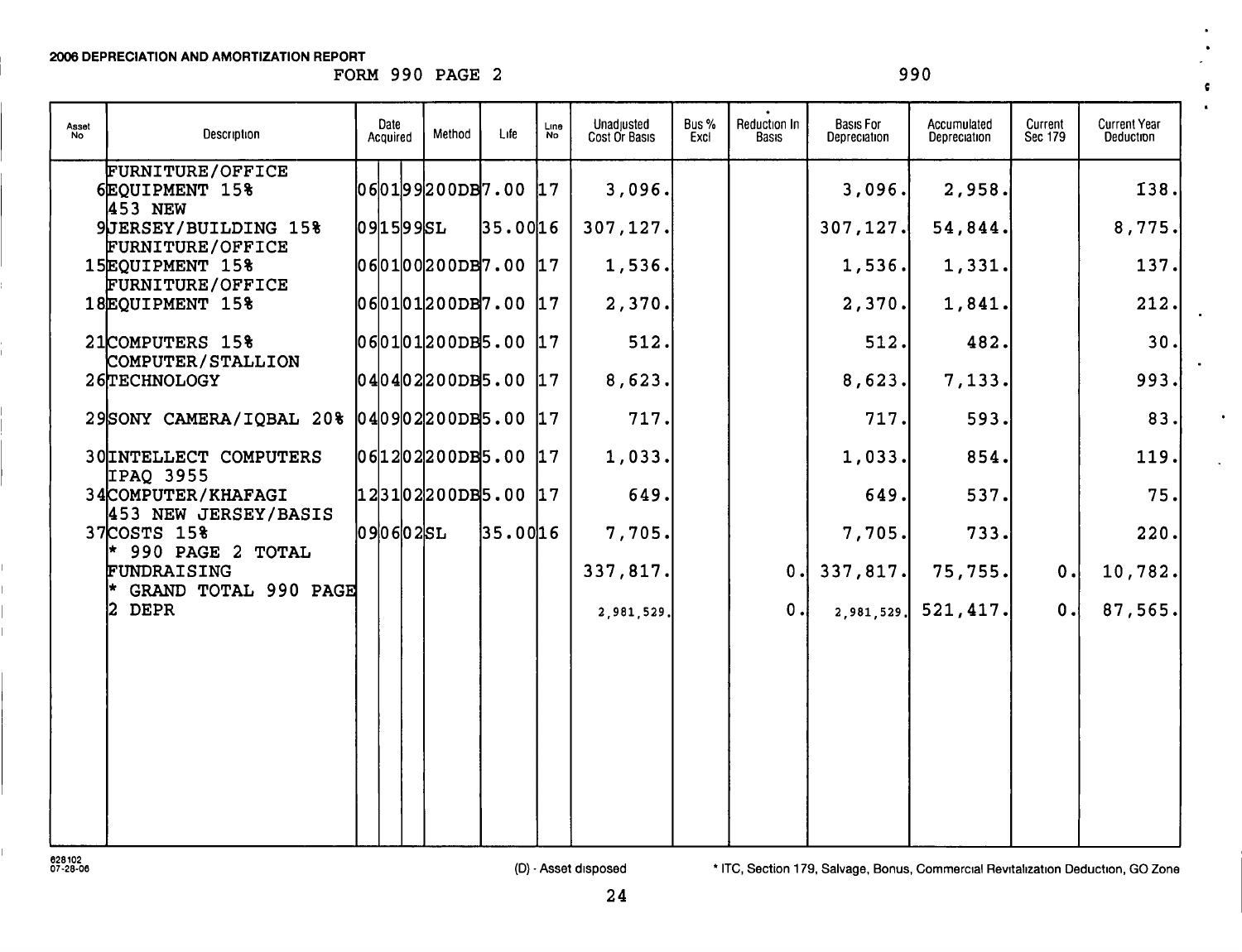FORM 990 PAGE 2 990

 $\epsilon$ 

 $\bullet$ 

 $\ddot{\phantom{a}}$ 

| Asset<br>No | Description                                                | Date<br>Acquired          | Method | Life     | Line<br><b>No</b> | Unadjusted<br>Cost Or Basis | Bus %<br>Excl | Reduction In<br><b>Basis</b> | <b>Basis For</b><br>Depreciation | Accumulated<br>Depreciation | Current<br>Sec 179 | <b>Current Year</b><br>Deduction |
|-------------|------------------------------------------------------------|---------------------------|--------|----------|-------------------|-----------------------------|---------------|------------------------------|----------------------------------|-----------------------------|--------------------|----------------------------------|
|             | FURNITURE/OFFICE<br>6EQUIPMENT 15%<br>453 NEW              | [060199200DB7.00]17       |        |          |                   | 3,096.                      |               |                              | 3,096.                           | 2,958.                      |                    | 138.                             |
|             | 9JERSEY/BUILDING 15%                                       | 09 15 995L                |        | 35.0016  |                   | 307,127.                    |               |                              | 307, 127.                        | 54,844.                     |                    | 8,775.                           |
|             | FURNITURE/OFFICE<br>15EQUIPMENT 15%<br>FURNITURE/OFFICE    | $ 06 01 00 200DB 7.00$ 17 |        |          |                   | 1,536.                      |               |                              | 1,536.                           | 1,331.                      |                    | 137.                             |
|             | 18EOUIPMENT 15%                                            | $060101200DB7.00$ 17      |        |          |                   | 2,370.                      |               |                              | 2,370.                           | 1,841.                      |                    | 212.                             |
|             | 21COMPUTERS 15%<br>COMPUTER/STALLION                       | $060101200DB5.00$ 17      |        |          |                   | 512.                        |               |                              | 512.                             | 482.                        |                    | 30.                              |
|             | 26TECHNOLOGY                                               | $ 04 04 02 200DB5.00$ 17  |        |          |                   | 8,623.                      |               |                              | 8,623.                           | 7,133.                      |                    | 993.                             |
|             | 29SONY CAMERA/IQBAL 20% 040902200DB5.00 17                 |                           |        |          |                   | 717.                        |               |                              | 717.                             | 593.                        |                    | 83.                              |
|             | 30 INTELLECT COMPUTERS                                     | $ 06 12 02 200DB5.00$  17 |        |          |                   | 1,033.                      |               |                              | 1,033.                           | 854.                        |                    | 119.                             |
|             | IPAQ 3955<br>34 COMPUTER / KHAFAGI<br>453 NEW JERSEY/BASIS | $123102200DB5.00$ 17      |        |          |                   | 649.                        |               |                              | 649.                             | 537.                        |                    | 75.                              |
|             | 37 COSTS 15%                                               | $090602$ SL               |        | 35.00 16 |                   | 7,705.                      |               |                              | 7,705.                           | 733.                        |                    | 220.                             |
|             | 990 PAGE 2 TOTAL<br>FUNDRAISING<br>GRAND TOTAL 990 PAGE    |                           |        |          |                   | 337,817.                    |               | 0.1                          | 337,817.                         | 75,755.                     | 0.                 | 10,782.                          |
|             | 2 DEPR                                                     |                           |        |          |                   | 2,981,529.                  |               | 0.1                          | 2,981,529.                       | 521, 417.                   | 0.                 | 87,565.                          |
|             |                                                            |                           |        |          |                   |                             |               |                              |                                  |                             |                    |                                  |
|             |                                                            |                           |        |          |                   |                             |               |                              |                                  |                             |                    |                                  |
|             |                                                            |                           |        |          |                   |                             |               |                              |                                  |                             |                    |                                  |
|             |                                                            |                           |        |          |                   |                             |               |                              |                                  |                             |                    |                                  |
|             |                                                            |                           |        |          |                   |                             |               |                              |                                  |                             |                    |                                  |
|             |                                                            |                           |        |          |                   |                             |               |                              |                                  |                             |                    |                                  |

ezaioz<br>07-28-06 commercial Revitalization Deduction, GO Zone (D) - Asset disposed \* ITC, Section 179, Salvage, Bonus, Commercial Revitalization Deduction, GO Zone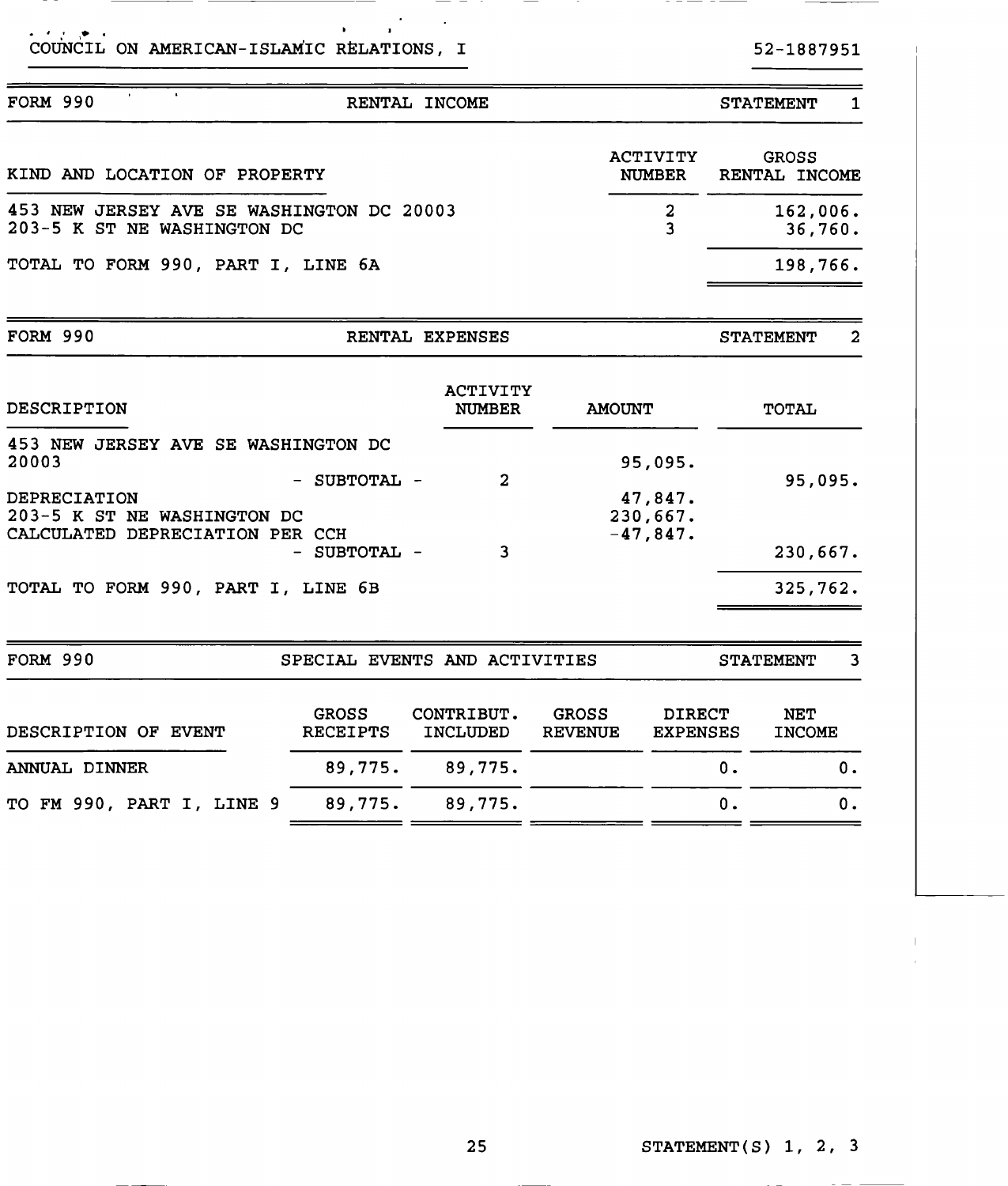| COUNCIL ON AMERICAN-ISLAMIC RELATIONS, I | 52-1887951 |
|------------------------------------------|------------|

- -

\_\_\_

\_\_\_\_\_\_\_\_\_\_

| <b>FORM 990</b>                                                                                    |                                 | RENTAL INCOME                    |                                |                                  | <b>STATEMENT</b>              | 1                   |
|----------------------------------------------------------------------------------------------------|---------------------------------|----------------------------------|--------------------------------|----------------------------------|-------------------------------|---------------------|
| KIND AND LOCATION OF PROPERTY                                                                      |                                 |                                  |                                | <b>ACTIVITY</b><br><b>NUMBER</b> | <b>GROSS</b><br>RENTAL INCOME |                     |
| 453 NEW JERSEY AVE SE WASHINGTON DC 20003<br>203-5 K ST NE WASHINGTON DC                           |                                 |                                  |                                | $\boldsymbol{2}$<br>3            |                               | 162,006.<br>36,760. |
| TOTAL TO FORM 990, PART I, LINE 6A                                                                 |                                 |                                  |                                |                                  |                               | 198,766.            |
| <b>FORM 990</b>                                                                                    |                                 | RENTAL EXPENSES                  |                                |                                  | <b>STATEMENT</b>              | 2                   |
| DESCRIPTION                                                                                        |                                 | <b>ACTIVITY</b><br><b>NUMBER</b> | <b>AMOUNT</b>                  |                                  | TOTAL                         |                     |
| 453 NEW JERSEY AVE SE WASHINGTON DC<br>20003<br><b>DEPRECIATION</b><br>203-5 K ST NE WASHINGTON DC | SUBTOTAL -                      | $\overline{2}$                   |                                | 95,095.<br>47,847.<br>230,667.   |                               | 95,095.             |
| CALCULATED DEPRECIATION PER CCH                                                                    | SUBTOTAL -                      | 3                                |                                | $-47,847.$                       |                               | 230,667.            |
| TOTAL TO FORM 990, PART I, LINE 6B                                                                 |                                 |                                  |                                |                                  |                               | 325,762.            |
| <b>FORM 990</b>                                                                                    | SPECIAL EVENTS AND ACTIVITIES   |                                  |                                |                                  | <b>STATEMENT</b>              | 3                   |
| DESCRIPTION OF EVENT                                                                               | <b>GROSS</b><br><b>RECEIPTS</b> | CONTRIBUT.<br><b>INCLUDED</b>    | <b>GROSS</b><br><b>REVENUE</b> | <b>DIRECT</b><br><b>EXPENSES</b> | <b>NET</b><br><b>INCOME</b>   |                     |
| ANNUAL DINNER                                                                                      | 89,775.                         | 89,775.                          |                                |                                  | 0.                            | 0.                  |
| TO FM 990, PART I, LINE 9                                                                          | 89,775.                         | 89,775.                          |                                |                                  | 0.                            | 0.                  |

<del>er</del> en so

 $\overline{\phantom{a}}$ 

 $\mathbf{I}$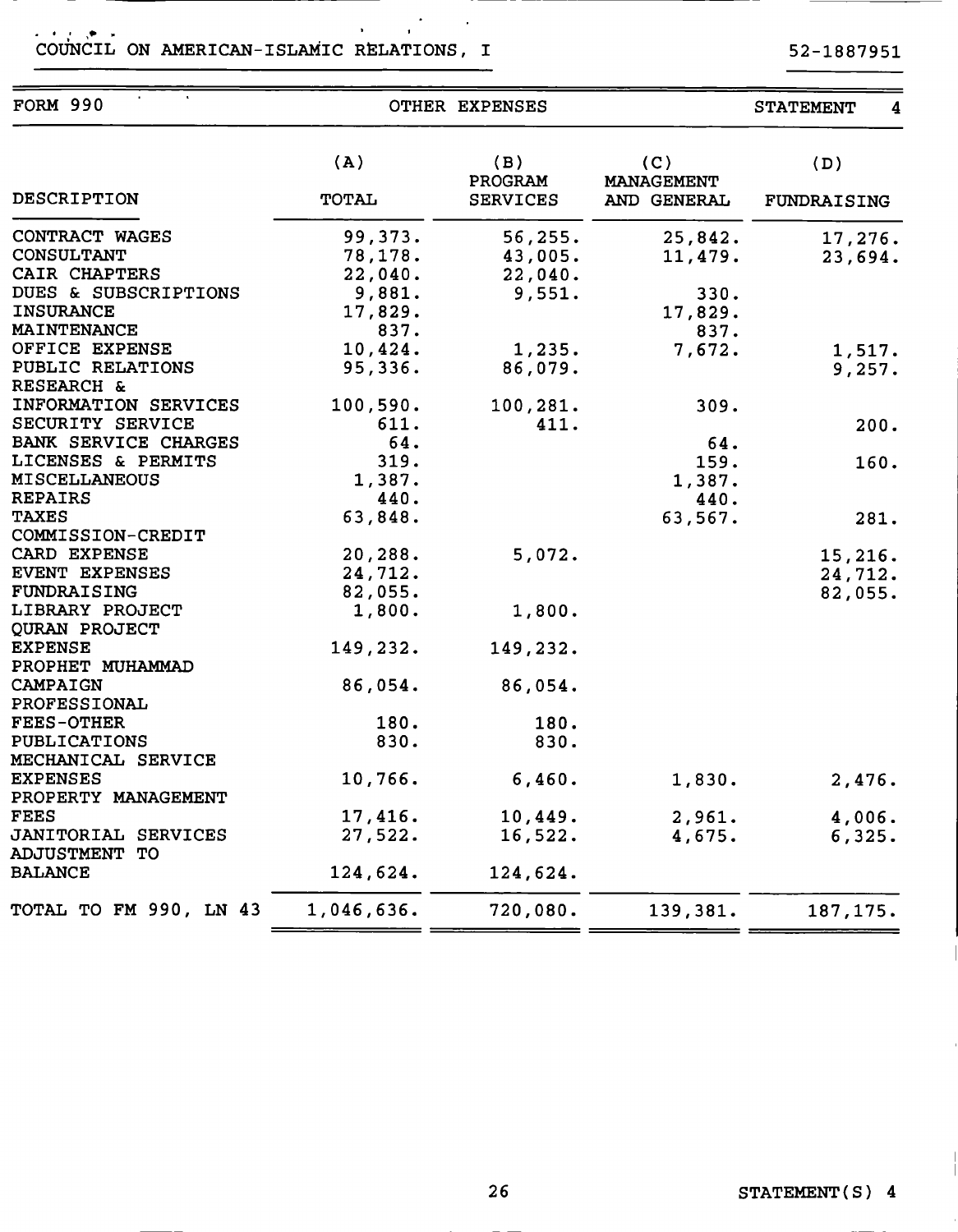### .<br>COUNCIL ON AMERICAN-ISLAMIC RELATIONS, I  $\label{eq:3.1} \frac{1}{2}\sum_{i=1}^n\frac{1}{2}\sum_{j=1}^n\frac{1}{2}\sum_{j=1}^n\frac{1}{2}\sum_{j=1}^n\frac{1}{2}\sum_{j=1}^n\frac{1}{2}\sum_{j=1}^n\frac{1}{2}\sum_{j=1}^n\frac{1}{2}\sum_{j=1}^n\frac{1}{2}\sum_{j=1}^n\frac{1}{2}\sum_{j=1}^n\frac{1}{2}\sum_{j=1}^n\frac{1}{2}\sum_{j=1}^n\frac{1}{2}\sum_{j=1}^n\frac{1}{2}\sum_{j=1}^n\$

| <b>FORM 990</b>             |                     | OTHER EXPENSES                    |                                         | <b>STATEMENT</b>   |
|-----------------------------|---------------------|-----------------------------------|-----------------------------------------|--------------------|
| <b>DESCRIPTION</b>          | (A)<br><b>TOTAL</b> | (B)<br>PROGRAM<br><b>SERVICES</b> | (C)<br><b>MANAGEMENT</b><br>AND GENERAL | (D)<br>FUNDRAISING |
| CONTRACT WAGES              | 99,373.             | 56, 255.                          | 25,842.                                 | 17,276.            |
| <b>CONSULTANT</b>           | 78,178.             | 43,005.                           | 11,479.                                 | 23,694.            |
| CAIR CHAPTERS               | 22,040.             | 22,040.                           |                                         |                    |
| DUES & SUBSCRIPTIONS        | 9,881.              | 9,551.                            | 330.                                    |                    |
| <b>INSURANCE</b>            | 17,829.             |                                   | 17,829.                                 |                    |
| MAINTENANCE                 | 837.                |                                   | 837.                                    |                    |
| OFFICE EXPENSE              | 10,424.             | 1,235.                            | 7,672.                                  | 1,517.             |
| PUBLIC RELATIONS            | 95,336.             | 86,079.                           |                                         | 9,257.             |
| RESEARCH &                  |                     |                                   |                                         |                    |
| INFORMATION SERVICES        | 100,590.            | 100,281.                          | 309.                                    |                    |
| SECURITY SERVICE            | 611.                | 411.                              |                                         | 200.               |
| <b>BANK SERVICE CHARGES</b> | 64.                 |                                   | 64.                                     |                    |
| LICENSES & PERMITS          | 319.                |                                   | 159.                                    | 160.               |
| <b>MISCELLANEOUS</b>        | 1,387.              |                                   | 1,387.                                  |                    |
| <b>REPAIRS</b>              | 440.                |                                   | 440.                                    |                    |
| <b>TAXES</b>                | 63,848.             |                                   | 63,567.                                 | 281.               |
| COMMISSION-CREDIT           |                     |                                   |                                         |                    |
| CARD EXPENSE                | 20,288.             | 5,072.                            |                                         | 15,216.            |
| EVENT EXPENSES              | 24,712.             |                                   |                                         | 24,712.            |
| FUNDRAISING                 | 82,055.             |                                   |                                         | 82,055.            |
| LIBRARY PROJECT             | 1,800.              | 1,800.                            |                                         |                    |
| QURAN PROJECT               |                     |                                   |                                         |                    |
| <b>EXPENSE</b>              | 149,232.            | 149,232.                          |                                         |                    |
| PROPHET MUHAMMAD            |                     |                                   |                                         |                    |
| CAMPAIGN                    | 86,054.             | 86,054.                           |                                         |                    |
| <b>PROFESSIONAL</b>         |                     |                                   |                                         |                    |
| <b>FEES-OTHER</b>           | 180.                | 180.                              |                                         |                    |
| <b>PUBLICATIONS</b>         | 830.                | 830.                              |                                         |                    |
| <b>MECHANICAL SERVICE</b>   |                     |                                   |                                         |                    |
| <b>EXPENSES</b>             | 10,766.             | 6,460.                            | 1,830.                                  | 2,476.             |
| PROPERTY MANAGEMENT         |                     |                                   |                                         |                    |
| <b>FEES</b>                 | 17,416.             | 10,449.                           | 2,961.                                  | 4,006.             |
| <b>JANITORIAL SERVICES</b>  | 27,522.             | 16,522.                           | 4,675.                                  | 6,325.             |
| <b>ADJUSTMENT TO</b>        |                     |                                   |                                         |                    |
| <b>BALANCE</b>              | 124,624.            |                                   |                                         |                    |
|                             |                     | 124,624.                          |                                         |                    |
| TOTAL TO FM 990, LN 43      | 1,046,636.          | 720,080.                          | 139,381.                                | 187, 175.          |
|                             |                     |                                   |                                         |                    |

 $\overline{1}$ 

52-1887951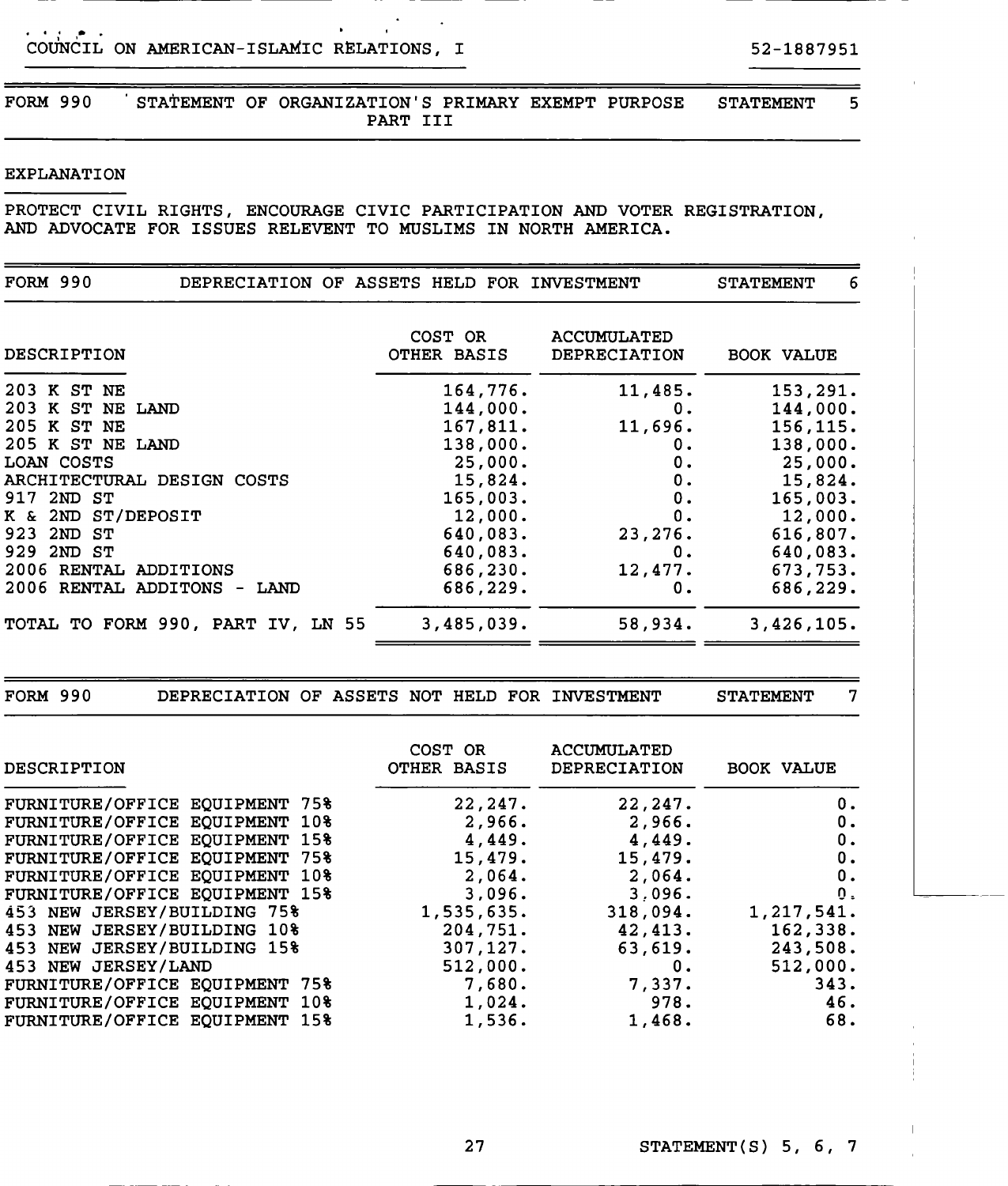بالفراغ الأناب COUNCIL ON AMERICAN-ISLAMIC RELATIONS, <sup>I</sup> 52-1887951

 $\mathbf{A}$ 

FORM 990 STATEMENT OF ORGANIZATION'S PRIMARY EXEMPT PURPOSE STATEMENT 5 PART III

### EXPLANATION

PROTECT CIVIL RIGHTS, ENCOURAGE CIVIC PARTICIPATION AND VOTER REGISTRATION, AND ADVOCATE FOR ISSUES RELEVENT TO MUSLIMS IN NORTH AMERICA.

| <b>FORM 990</b>                                                   | DEPRECIATION OF ASSETS HELD FOR INVESTMENT |                                    | 6<br><b>STATEMENT</b>                                |
|-------------------------------------------------------------------|--------------------------------------------|------------------------------------|------------------------------------------------------|
| DESCRIPTION                                                       | COST OR<br>OTHER BASIS                     | <b>ACCUMULATED</b><br>DEPRECIATION | <b>BOOK VALUE</b>                                    |
| 203 K ST NE                                                       | 164,776.                                   | 11,485.                            | 153,291.                                             |
| 203 K ST NE LAND                                                  | 144,000.                                   | 0.                                 | 144,000.                                             |
| 205 K ST NE                                                       | 167,811.                                   | 11,696.                            | 156, 115.                                            |
| 205 K ST NE LAND                                                  | 138,000.                                   | 0.                                 | 138,000.                                             |
| <b>LOAN COSTS</b>                                                 | 25,000.                                    | 0.                                 | 25,000.                                              |
| ARCHITECTURAL DESIGN COSTS                                        | 15,824.                                    | 0.                                 | 15,824.                                              |
| 917 2ND ST                                                        | 165,003.                                   | 0.                                 | 165,003.                                             |
| K & 2ND ST/DEPOSIT                                                | 12,000.                                    | 0.                                 | 12,000.                                              |
| 923 2ND ST                                                        | 640,083.                                   | 23,276.                            | 616,807.                                             |
| 929 2ND ST                                                        | 640,083.                                   | 0.                                 | 640,083.                                             |
| 2006 RENTAL ADDITIONS                                             | 686,230.                                   | 12,477.                            | 673,753.                                             |
| 2006 RENTAL ADDITONS - LAND                                       | 686,229.                                   | 0.                                 | 686,229.                                             |
| TOTAL TO FORM 990, PART IV, LN 55                                 | 3,485,039.                                 | 58,934.                            | 3,426,105.                                           |
|                                                                   |                                            |                                    |                                                      |
| <b>FORM 990</b><br>DEPRECIATION OF ASSETS NOT HELD FOR INVESTMENT |                                            |                                    | $\overline{7}$<br><b>STATEMENT</b>                   |
| DESCRIPTION                                                       | COST OR<br>OTHER BASIS                     | <b>ACCUMULATED</b><br>DEPRECIATION | <b>BOOK VALUE</b>                                    |
|                                                                   |                                            |                                    |                                                      |
| FURNITURE/OFFICE EQUIPMENT 75%                                    | 22,247.                                    | 22,247.                            | 0.                                                   |
| FURNITURE/OFFICE EQUIPMENT 10%                                    | 2,966.                                     | 2,966.                             |                                                      |
| FURNITURE/OFFICE EQUIPMENT 15%                                    | 4,449.                                     | 4,449.                             |                                                      |
| FURNITURE/OFFICE EQUIPMENT 75%                                    | 15,479.                                    | 15,479.                            |                                                      |
| FURNITURE/OFFICE EQUIPMENT 10%                                    | 2,064.                                     | 2,064.                             | 0.<br>0.<br>$\mathbf 0$ .<br>0.                      |
| FURNITURE/OFFICE EQUIPMENT 15%                                    | 3,096.                                     | 3,096.                             |                                                      |
| 453 NEW JERSEY/BUILDING 75%                                       | 1,535,635.                                 | 318,094.                           |                                                      |
| 453 NEW JERSEY/BUILDING 10%                                       | 204,751.                                   | 42,413.                            |                                                      |
| 453 NEW JERSEY/BUILDING 15%                                       | 307,127.                                   | 63,619.                            |                                                      |
| 453 NEW JERSEY/LAND                                               | 512,000.                                   | 0.                                 | 0.<br>1,217,541.<br>162,338.<br>243,508.<br>512,000. |
| FURNITURE/OFFICE EQUIPMENT 75%<br>FURNITURE/OFFICE EQUIPMENT 10%  | 7,680.<br>1,024.                           | 7,337.<br>978.                     | 343.<br>46.                                          |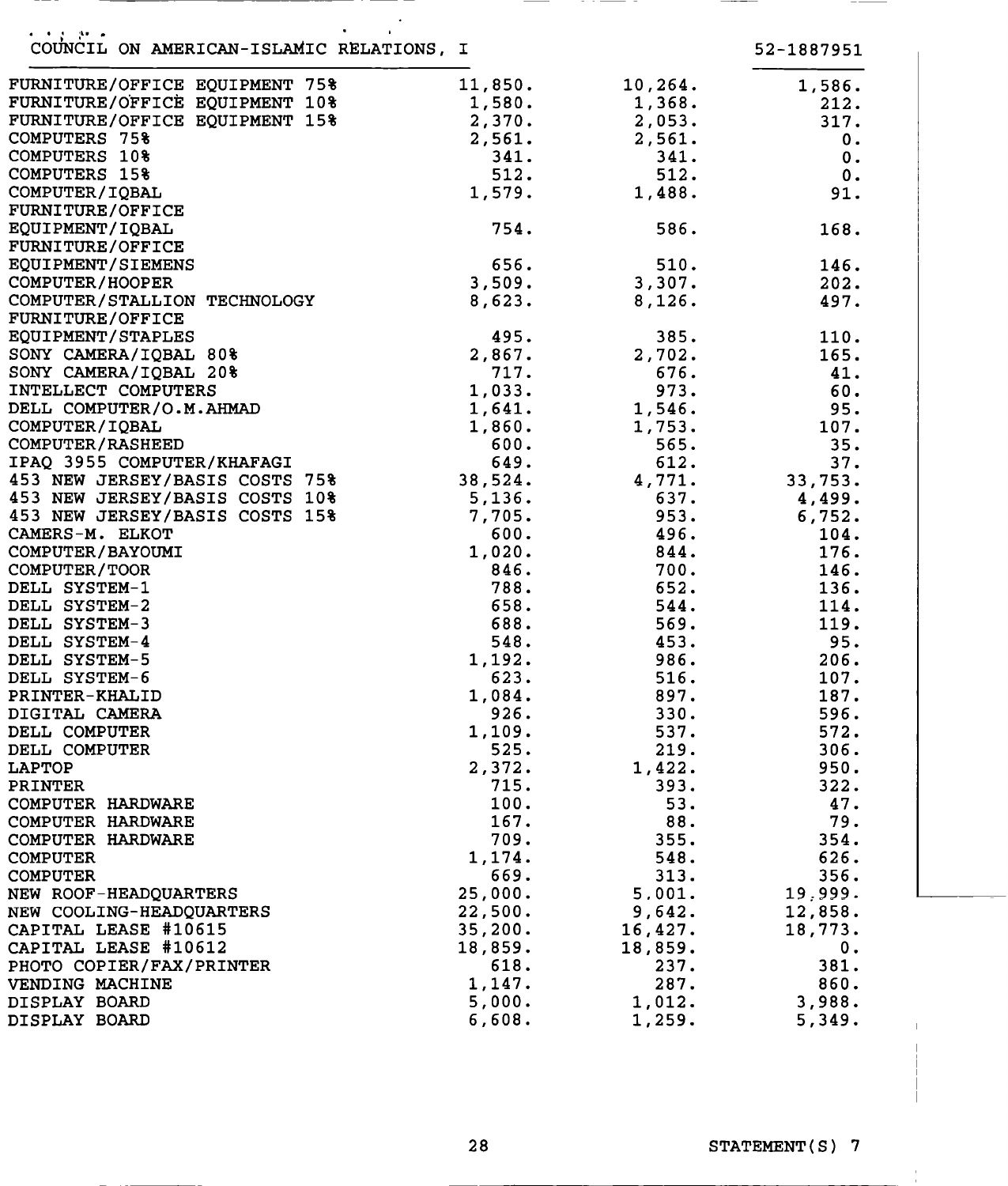| 医心包 医静脉瘤<br>COUNCIL ON AMERICAN-ISLAMIC RELATIONS, I |         |         | 52-1887951    |
|------------------------------------------------------|---------|---------|---------------|
| FURNITURE/OFFICE EQUIPMENT 75%                       | 11,850. | 10,264. | 1,586.        |
| FURNITURE/OFFICE EQUIPMENT 10%                       | 1,580.  | 1,368.  | 212.          |
| FURNITURE/OFFICE EQUIPMENT 15%                       | 2,370.  | 2,053.  | 317.          |
| <b>COMPUTERS 75%</b>                                 | 2,561.  | 2,561.  | 0.            |
| <b>COMPUTERS 10%</b>                                 | 341.    | 341.    | 0.            |
| <b>COMPUTERS 15%</b>                                 | 512.    | 512.    | 0.            |
| COMPUTER/IQBAL                                       | 1,579.  | 1,488.  | 91.           |
| <b>FURNITURE/OFFICE</b>                              |         |         |               |
| EQUIPMENT/IQBAL                                      | 754.    | 586.    | 168.          |
| <b>FURNITURE/OFFICE</b>                              |         |         |               |
| EQUIPMENT/SIEMENS                                    | 656.    | 510.    | 146.          |
| COMPUTER/HOOPER                                      | 3,509.  | 3,307.  | 202.          |
| COMPUTER/STALLION TECHNOLOGY                         | 8,623.  | 8,126.  | 497.          |
| <b>FURNITURE/OFFICE</b>                              |         |         |               |
| EQUIPMENT/STAPLES                                    | 495.    | 385.    | 110.          |
| SONY CAMERA/IQBAL 80%                                | 2,867.  | 2,702.  | 165.          |
| SONY CAMERA/IQBAL 20%                                | 717.    | 676.    | 41.           |
| INTELLECT COMPUTERS                                  | 1,033.  | 973.    | 60.           |
| DELL COMPUTER/O.M.AHMAD                              | 1,641.  | 1,546.  | 95.           |
| COMPUTER/IQBAL                                       | 1,860.  | 1,753.  | 107.          |
| COMPUTER/RASHEED                                     | 600.    | 565.    | 35.           |
| IPAQ 3955 COMPUTER/KHAFAGI                           | 649.    | 612.    | 37.           |
| 453 NEW JERSEY/BASIS COSTS 75%                       | 38,524. | 4,771.  | 33,753.       |
| 453 NEW JERSEY/BASIS COSTS 10%                       | 5,136.  | 637.    | 4,499.        |
| 453 NEW JERSEY/BASIS COSTS 15%                       | 7,705.  | 953.    | 6,752.        |
| CAMERS-M. ELKOT                                      | 600.    | 496.    | 104.          |
| COMPUTER/BAYOUMI                                     | 1,020.  | 844.    | 176.          |
| COMPUTER/TOOR                                        | 846.    | 700.    | 146.          |
| DELL SYSTEM-1                                        | 788.    | 652.    | 136.          |
| DELL SYSTEM-2                                        | 658.    | 544.    | 114.          |
| DELL SYSTEM-3                                        | 688.    | 569.    | 119.          |
| DELL SYSTEM-4                                        | 548.    | 453.    | 95.           |
| DELL SYSTEM-5                                        | 1,192.  | 986.    | 206.          |
| DELL SYSTEM-6                                        | 623.    | 516.    | 107.          |
| PRINTER-KHALID                                       | 1,084.  | 897.    | 187.          |
| DIGITAL CAMERA                                       | 926.    | 330.    | 596.          |
| DELL COMPUTER                                        | 1,109.  | 537.    | 572.          |
| DELL COMPUTER                                        | 525.    | 219.    | 306.          |
| LAPTOP                                               | 2,372.  | 1,422.  | 950.          |
| <b>PRINTER</b>                                       | 715.    | 393.    | 322.          |
| COMPUTER HARDWARE                                    | 100.    | 53.     | 47.           |
| COMPUTER HARDWARE                                    | 167.    | 88.     | 79.           |
| COMPUTER HARDWARE                                    | 709.    | 355.    | 354.          |
| <b>COMPUTER</b>                                      | 1,174.  | 548.    | 626.          |
| <b>COMPUTER</b>                                      | 669.    | 313.    | 356.          |
| NEW ROOF-HEADQUARTERS                                | 25,000. | 5.001.  | 19,999.       |
| NEW COOLING-HEADQUARTERS                             | 22,500. | 9,642.  | 12,858.       |
| CAPITAL LEASE #10615                                 | 35,200. | 16,427. | 18,773.       |
| CAPITAL LEASE #10612                                 | 18,859. | 18,859. | $\mathbf 0$ . |
| PHOTO COPIER/FAX/PRINTER                             | 618.    | 237.    | 381.          |
| VENDING MACHINE                                      | 1,147.  | 287.    | 860.          |
| DISPLAY BOARD                                        | 5,000.  | 1,012.  | 3,988.        |
| DISPLAY BOARD                                        | 6,608.  | 1,259.  | 5,349.        |

 $\bar{\mathbb{L}}$ 

 $\label{eq:2.1} \frac{1}{\sqrt{2}}\left(\frac{1}{\sqrt{2}}\right)^{2} \left(\frac{1}{\sqrt{2}}\right)^{2} \left(\frac{1}{\sqrt{2}}\right)^{2} \left(\frac{1}{\sqrt{2}}\right)^{2} \left(\frac{1}{\sqrt{2}}\right)^{2} \left(\frac{1}{\sqrt{2}}\right)^{2} \left(\frac{1}{\sqrt{2}}\right)^{2} \left(\frac{1}{\sqrt{2}}\right)^{2} \left(\frac{1}{\sqrt{2}}\right)^{2} \left(\frac{1}{\sqrt{2}}\right)^{2} \left(\frac{1}{\sqrt{2}}\right)^{2} \left(\$ 

\_\_\_\_\_\_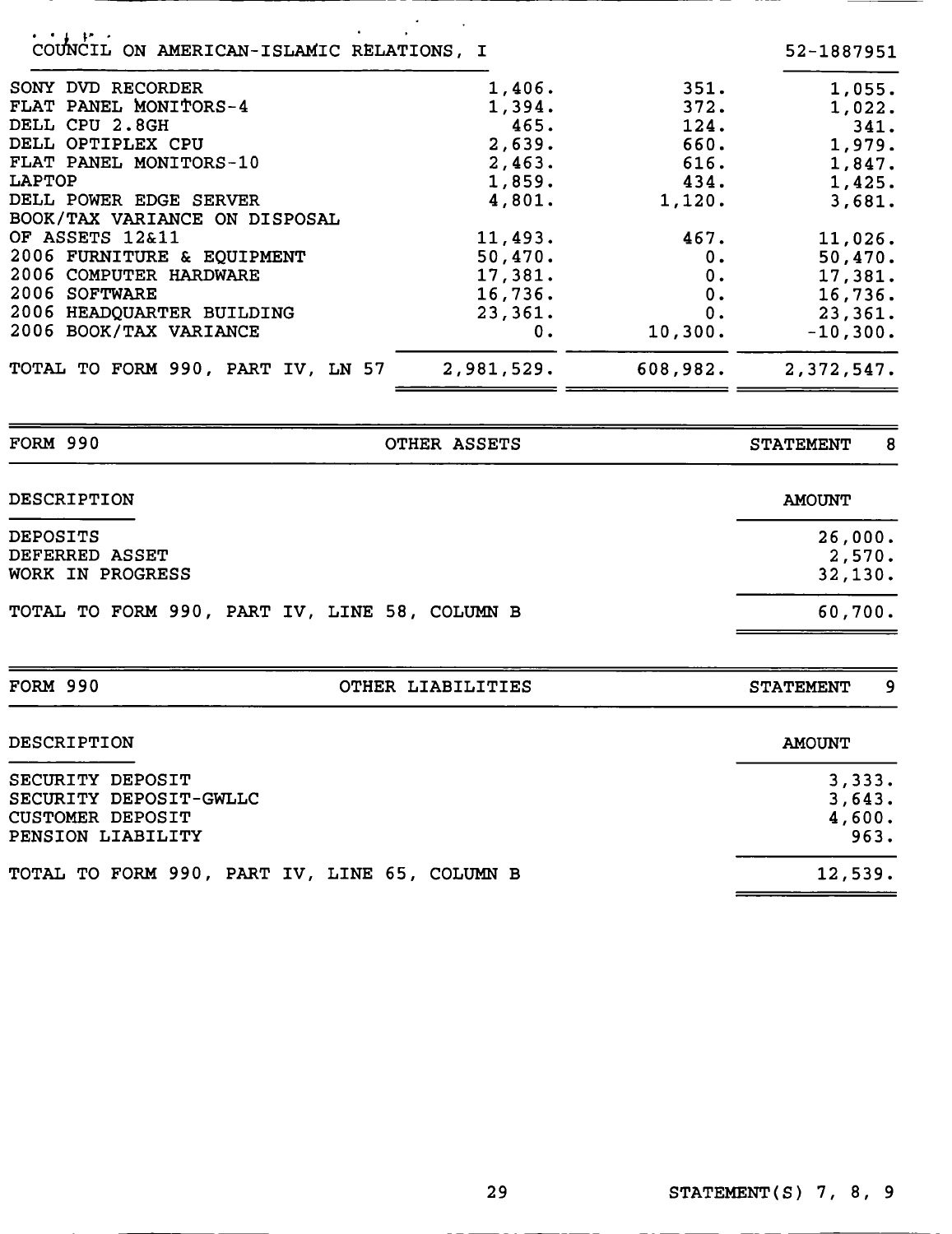| OF ASSETS 12&11                   | 11,493.    | 467.     | 11,026.    |
|-----------------------------------|------------|----------|------------|
| 2006 FURNITURE & EQUIPMENT        | 50,470.    | 0.       | 50,470.    |
| 2006 COMPUTER HARDWARE            | 17,381.    | 0.       | 17,381.    |
| 2006 SOFTWARE                     | 16,736.    | 0.       | 16,736.    |
| 2006 HEADQUARTER BUILDING         | 23,361.    | 0.       | 23,361.    |
| 2006 BOOK/TAX VARIANCE            | 0.         | 10,300.  | $-10,300.$ |
| TOTAL TO FORM 990, PART IV, LN 57 | 2,981,529. | 608,982. | 2,372,547. |

| <b>DESCRIPTION</b>                                           | <b>AMOUNT</b>                |
|--------------------------------------------------------------|------------------------------|
| <b>DEPOSITS</b><br><b>DEFERRED ASSET</b><br>WORK IN PROGRESS | 26,000.<br>2,570.<br>32,130. |
| TOTAL TO FORM 990, PART IV, LINE 58, COLUMN B                | 60,700.                      |

| <b>DESCRIPTION</b>                                                                         | <b>AMOUNT</b>                      |
|--------------------------------------------------------------------------------------------|------------------------------------|
| SECURITY DEPOSIT<br>SECURITY DEPOSIT-GWLLC<br><b>CUSTOMER DEPOSIT</b><br>PENSION LIABILITY | 3,333.<br>3,643.<br>4,600.<br>963. |
| TOTAL TO FORM 990, PART IV, LINE 65, COLUMN B                                              | 12,539.                            |

FORM 990 **OTHER LIABILITIES** STATEMENT 9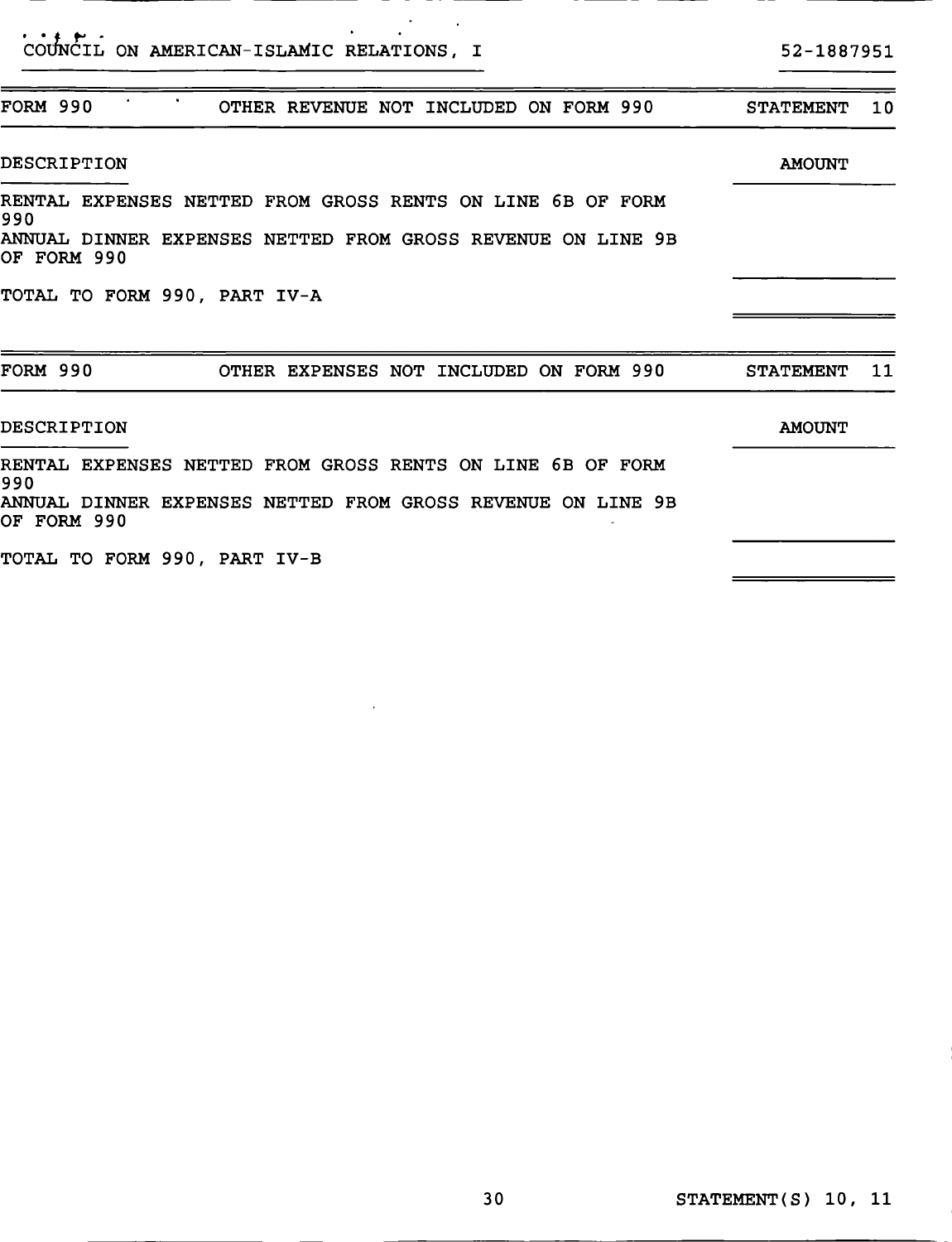| COUNCIL ON AMERICAN-ISLAMIC RELATIONS, I                                                                                                                                         | 52-1887951       |    |
|----------------------------------------------------------------------------------------------------------------------------------------------------------------------------------|------------------|----|
| FORM 990<br>OTHER REVENUE NOT INCLUDED ON FORM 990                                                                                                                               | <b>STATEMENT</b> | 10 |
| DESCRIPTION                                                                                                                                                                      | <b>AMOUNT</b>    |    |
| RENTAL EXPENSES NETTED FROM GROSS RENTS ON LINE 6B OF FORM<br>990<br>ANNUAL DINNER EXPENSES NETTED FROM GROSS REVENUE ON LINE 9B<br>OF FORM 990<br>TOTAL TO FORM 990, PART IV-A  |                  |    |
| FORM 990<br>OTHER EXPENSES NOT INCLUDED ON FORM 990                                                                                                                              | <b>STATEMENT</b> | 11 |
| DESCRIPTION                                                                                                                                                                      | <b>AMOUNT</b>    |    |
| RENTAL EXPENSES NETTED FROM GROSS RENTS ON LINE 6B OF FORM<br>1990<br>ANNUAL DINNER EXPENSES NETTED FROM GROSS REVENUE ON LINE 9B<br>OF FORM 990<br>TOTAL TO FORM 990, PART IV-B |                  |    |

 $\lambda$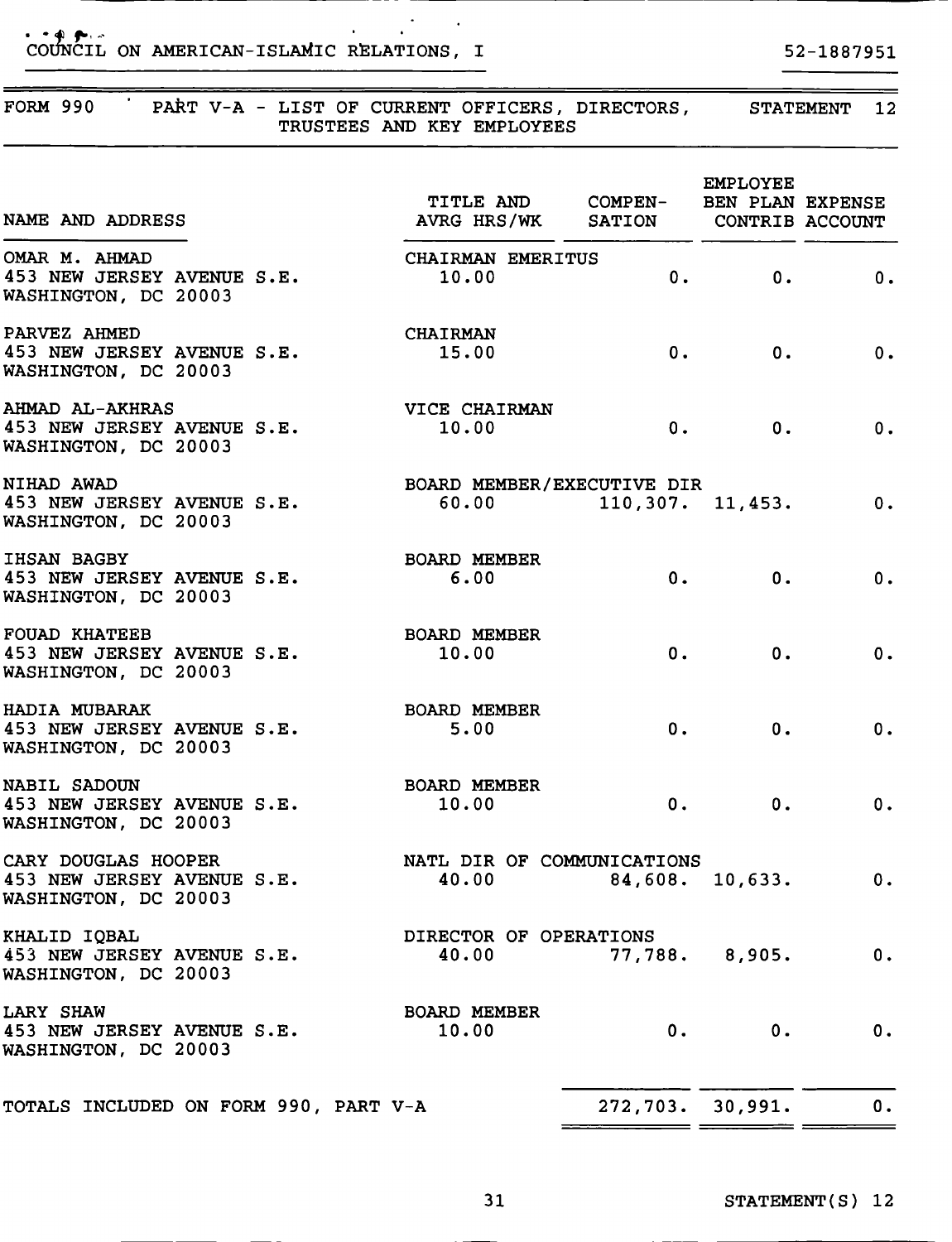### COUNCIL ON AMERICAN-ISLAMIC RELATIONS, I 52-1887951

### FORM 990 PART V-A - LIST OF CURRENT OFFICERS, DIRECTORS, STATEMENT 12 TRUSTEES AND KEY EMPLOYEES NAME AND ADDRESS EMPLOYEE TITLE AND COMPEN- BEN PLAN EXPENSE AVRG HRS/WK SATION CONTRIB ACCOUNT OMAR M. AHMAD CHAIRMAN EMERITUS 453 NEW JERSEY AVENUE S.E. 10.00 0. 0. 0. WASHINGTON, DC 20003 PARVEZ AHMED<br>453 NEW JERSEY AVENUE S.E. 25.00 453 NEW JERSEY AVENUE S.E. 15.00 0. 0. 0. 0. WASHINGTON, DC 20003 AHMAD AL-AKHRAS VICE CHAIRMAN 453 NEW JERSEY AVENUE S.E. 10.00 0. 0. 0. 0. WASHINGTON, DC 20003 NIHAD AWAD<br>453 NEW JERSEY AVENUE S.E. 60.00 110,307.  $60.00$  110,307. 11,453. 0. WASHINGTON, DC 20003 IHSAN BAGBY BOARD MEMBER 453 NEW JERSEY AVENUE S.E. 6.00 0. 0. 0. WASHINGTON, DC 20003 FOUAD KHATEEB BOARD MEMBER 453 NEW JERSEY AVENUE S.E. 10.00 0. 0. 0. 0. WASHINGTON, DC 20003 HADIA MUBARAK BOARD MEMBER 453 NEW JERSEY AVENUE S.E. 5.00 0. 0. 0. WASHINGTON, DC 20003 NABIL SADOUN BOARD MEMBER 453 NEW JERSEY AVENUE S.E. 10.00 0. 0. 0. WASHINGTON, DC 20003 CARY DOUGLAS HOOPER<br>453 NEW JERSEY AVENUE S.E. 40.00 49,608.  $40.00$   $84,608.$   $10,633.$  0. WASHINGTON, DC 20003 KHALID IQBAL DIRECTOR OF OPERATIONS 453 NEW JERSEY AVENUE S.E. 40.00 77,788. 8,905. 0. WASHINGTON, DC 20003 LARY SHAW **BOARD** MEMBER 453 NEW JERSEY AVENUE S.E. 10.00 0. 0. 0. 0. WASHINGTON, DC 20003 TOTALS INCLUDED ON FORM 990, PART V-A 272,703. 30,991. 0.

\_\_\_\_\_\_\_\_\_\_\_\_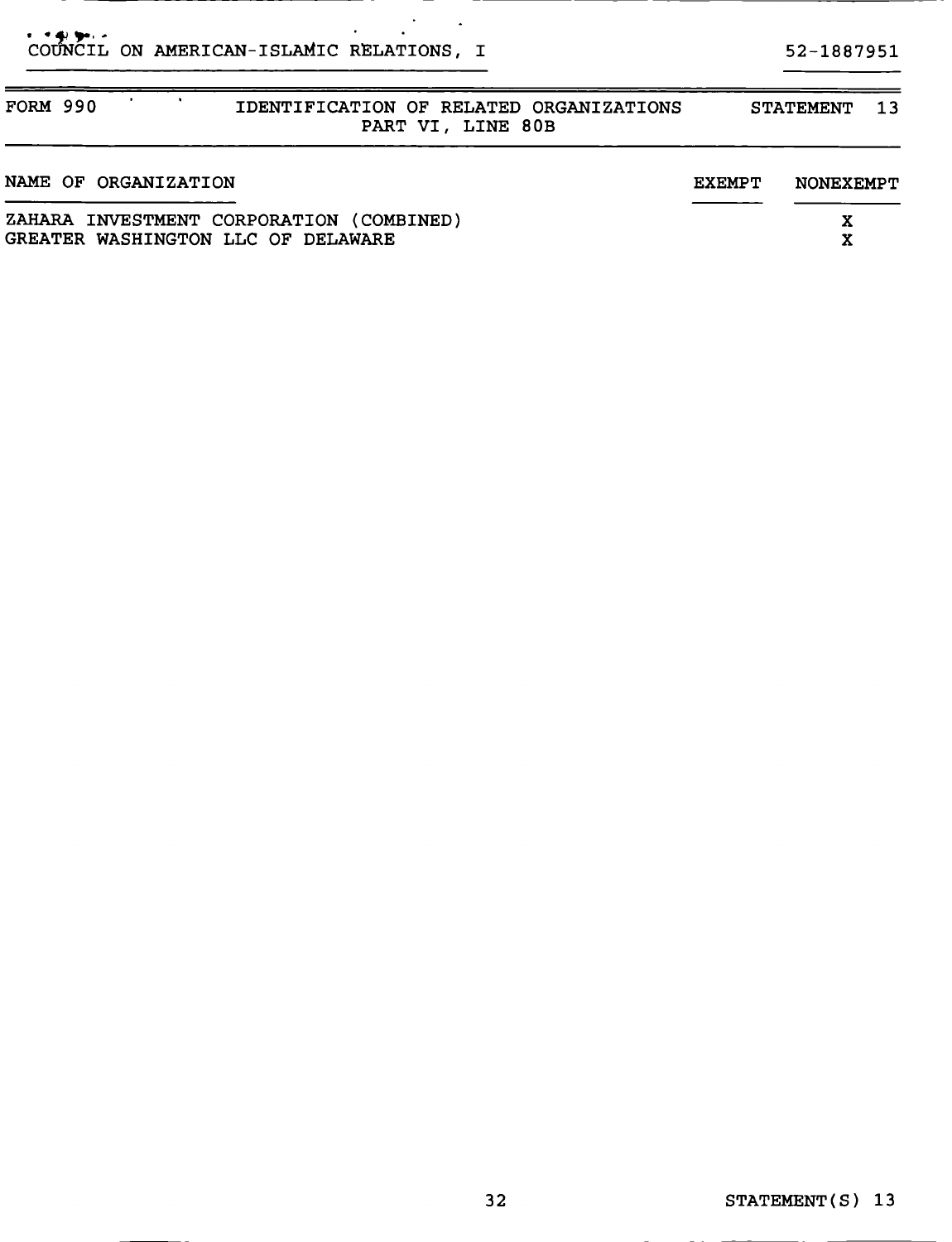# CO CIL ON AMERICAN- ISLAMIC RELATIONS, <sup>I</sup> 52-1887951

| <b>FORM 990</b> |                      | IDENTIFICATION OF RELATED ORGANIZATIONS<br>PART VI, LINE 80B                   |               | <b>STATEMENT</b><br>$-1.3$ |
|-----------------|----------------------|--------------------------------------------------------------------------------|---------------|----------------------------|
|                 | NAME OF ORGANIZATION |                                                                                | <b>EXEMPT</b> | NONEXEMPT                  |
|                 |                      | ZAHARA INVESTMENT CORPORATION (COMBINED)<br>GREATER WASHINGTON LLC OF DELAWARE |               | X<br>X                     |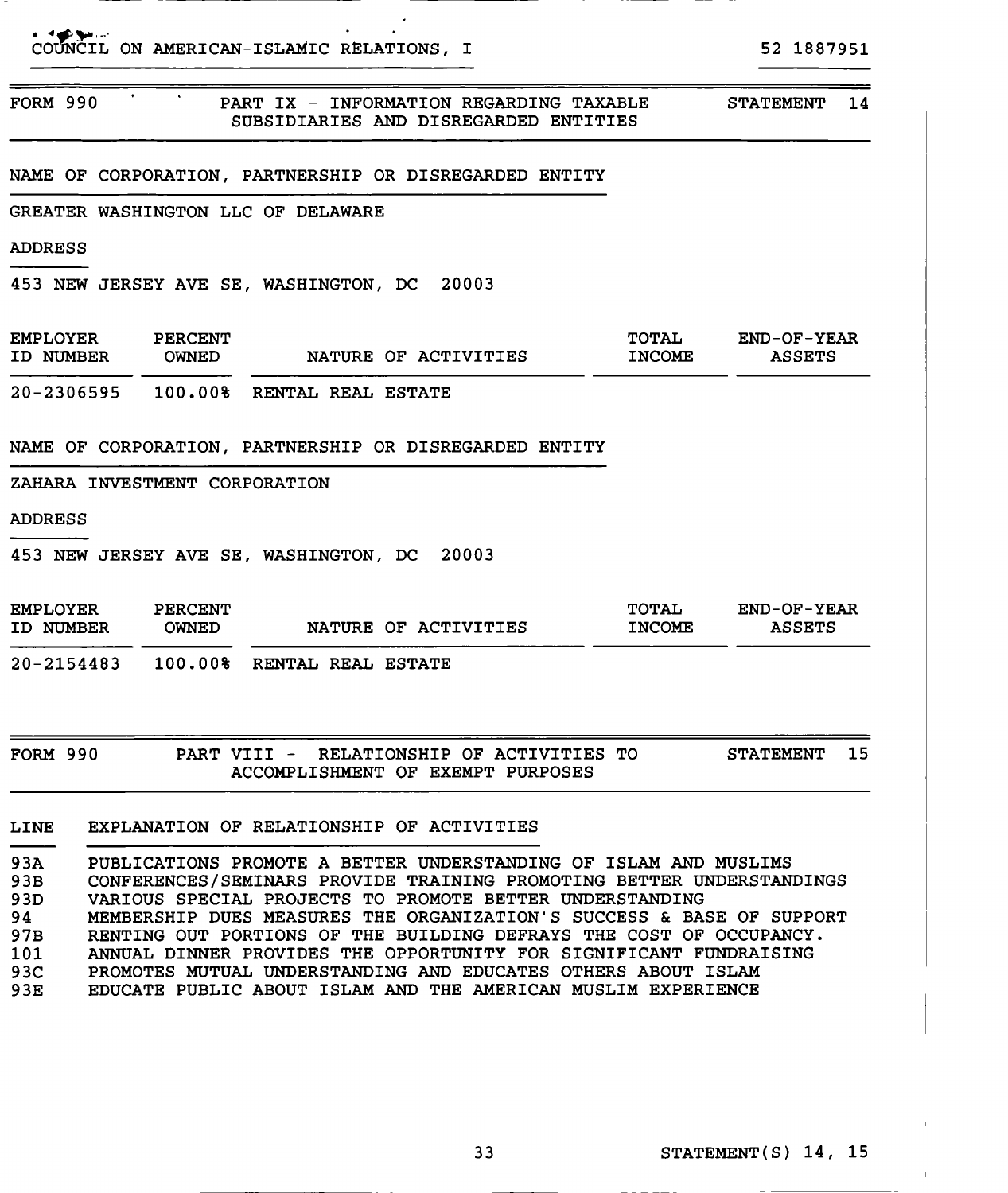|                 |  | COUNCIL ON AMERICAN-ISLAMIC RELATIONS, I                                         | 52-1887951       |     |
|-----------------|--|----------------------------------------------------------------------------------|------------------|-----|
| <b>FORM 990</b> |  | PART IX - INFORMATION REGARDING TAXABLE<br>SUBSIDIARIES AND DISREGARDED ENTITIES | <b>STATEMENT</b> | -14 |
|                 |  | NAME OF CORPORATION, PARTNERSHIP OR DISREGARDED ENTITY                           |                  |     |

GREATER WASHINGTON LLC OF DELAWARE

ADDRESS

453 NEW JERSEY AVE SE, WASHINGTON, DC 20003

| <b>EMPLOYER</b> | <b>PERCENT</b> | NATURE OF ACTIVITIES | TOTAL         | $END-OF-YEAR$ |
|-----------------|----------------|----------------------|---------------|---------------|
| ID NUMBER       | <b>OWNED</b>   |                      | <b>INCOME</b> | <b>ASSETS</b> |
| $20 - 2306595$  | 100.00%        | RENTAL REAL ESTATE   |               |               |

NAME OF CORPORATION, PARTNERSHIP OR DISREGARDED ENTITY

ZAHARA INVESTMENT CORPORATION

ADDRESS

453 NEW JERSEY AVE SE, WASHINGTON, DC 20003

| <b>EMPLOYER</b><br>ID NUMBER | PERCENT<br><b>OWNED</b> |                           | NATURE OF ACTIVITIES | <b>TOTAL</b><br><b>INCOME</b> | $END-OF-YEAR$<br><b>ASSETS</b> |
|------------------------------|-------------------------|---------------------------|----------------------|-------------------------------|--------------------------------|
| $20 - 2154483$               | 100.00%                 | <b>RENTAL REAL ESTATE</b> |                      |                               |                                |

FORM 990 PART VIII - RELATIONSHIP OF ACTIVITIES TO STATEMENT 15 ACCOMPLISHMENT OF EXEMPT PURPOSES

LINE EXPLANATION OF RELATIONSHIP OF ACTIVITIES

93A PUBLICATIONS PROMOTE A BETTER UNDERSTANDING OF ISLAM AND MUSLIMS 93B CONFERENCES/SEMINARS PROVIDE TRAINING PROMOTING BETTER UNDERSTANDINGS 93D VARIOUS SPECIAL PROJECTS TO PROMOTE BETTER UNDERSTANDING 94 MEMBERSHIP DUES MEASURES THE ORGANIZATION'S SUCCESS & BASE OF SUPPORT 97B RENTING OUT PORTIONS OF THE BUILDING DEFRAYS THE COST OF OCCUPANCY. 101 ANNUAL DINNER PROVIDES THE OPPORTUNITY FOR SIGNIFICANT FUNDRAISING<br>93C PROMOTES MUTUAL UNDERSTANDING AND EDUCATES OTHERS ABOUT ISLAM PROMOTES MUTUAL UNDERSTANDING AND EDUCATES OTHERS ABOUT ISLAM 93E EDUCATE PUBLIC ABOUT ISLAM AND THE AMERICAN MUSLIM EXPERIENCE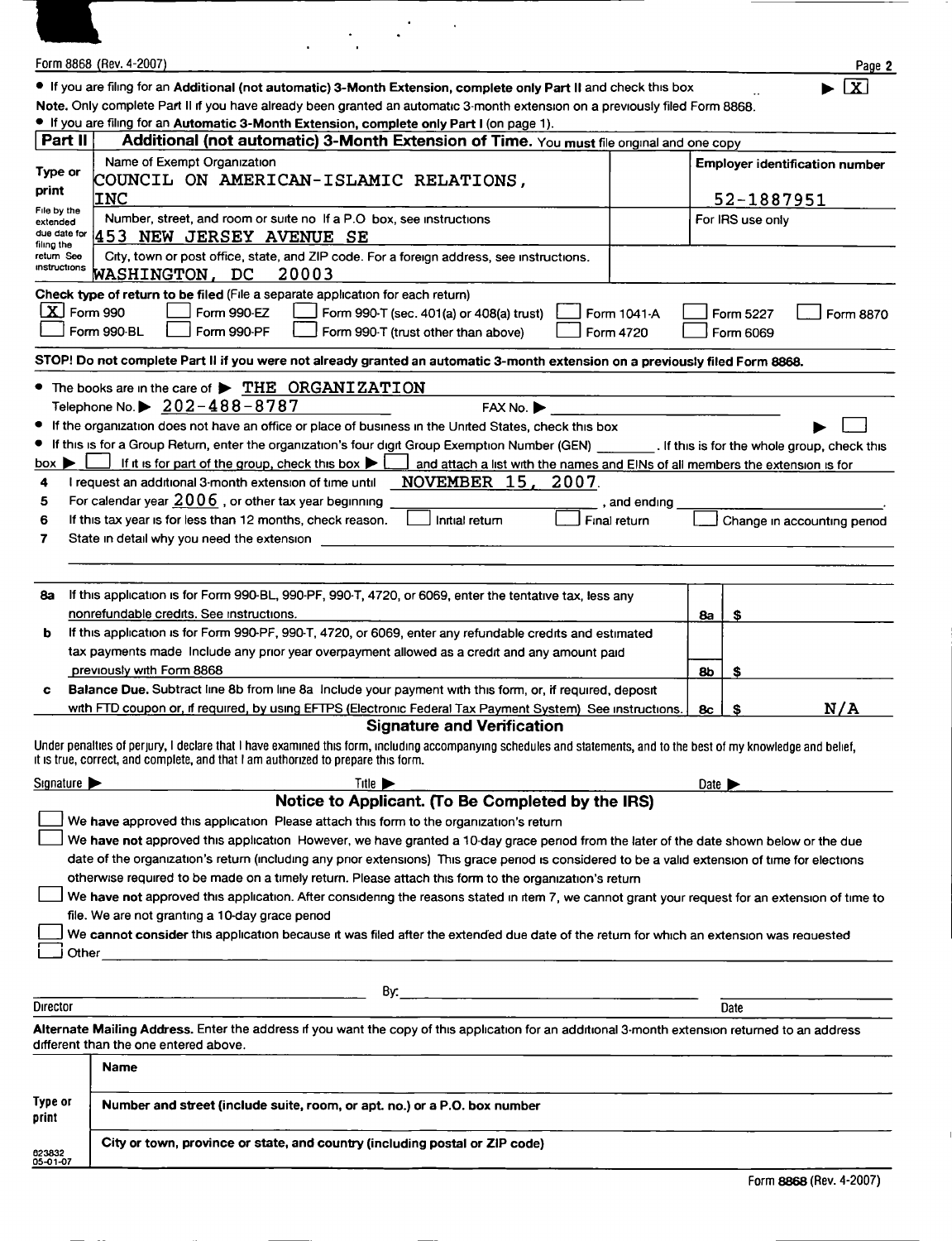|                                                       | Form 8868 (Rev. 4-2007)                                                                                                                                                                                                                                   |                       | Page 2                                |
|-------------------------------------------------------|-----------------------------------------------------------------------------------------------------------------------------------------------------------------------------------------------------------------------------------------------------------|-----------------------|---------------------------------------|
|                                                       | • If you are filing for an Additional (not automatic) 3-Month Extension, complete only Part II and check this box                                                                                                                                         |                       | $\overline{\mathbf{x}}$               |
|                                                       | Note. Only complete Part II if you have already been granted an automatic 3-month extension on a previously filed Form 8868.<br>. If you are filing for an Automatic 3-Month Extension, complete only Part I (on page 1).                                 |                       |                                       |
| Part II                                               | Additional (not automatic) 3-Month Extension of Time. You must file onginal and one copy                                                                                                                                                                  |                       |                                       |
| Type or                                               | Name of Exempt Organization                                                                                                                                                                                                                               |                       | <b>Employer identification number</b> |
| print                                                 | COUNCIL ON AMERICAN-ISLAMIC RELATIONS,<br><b>INC</b>                                                                                                                                                                                                      |                       | 52-1887951                            |
| File by the<br>extended<br>due date for<br>filing the | Number, street, and room or suite no If a P.O box, see instructions<br>453 NEW JERSEY AVENUE SE                                                                                                                                                           |                       | For IRS use only                      |
| return See<br>instructions                            | City, town or post office, state, and ZIP code. For a foreign address, see instructions.<br>WASHINGTON, DC<br>20003                                                                                                                                       |                       |                                       |
| $\lfloor \mathbf{X} \rfloor$ Form 990                 | Check type of return to be filed (File a separate application for each return)<br>Form 990-EZ<br>Form 990-T (sec. 401(a) or 408(a) trust)<br>Form 1041-A<br>Form 990-BL<br>Form 990-PF<br>Form 990-T (trust other than above)<br>Form 4720                |                       | Form 5227<br>Form 8870<br>Form 6069   |
|                                                       | STOP! Do not complete Part II if you were not already granted an automatic 3-month extension on a previously filed Form 8868.                                                                                                                             |                       |                                       |
|                                                       | • The books are in the care of > THE ORGANIZATION<br>Telephone No. $\triangleright$ 202-488-8787<br>FAX No. ▶                                                                                                                                             |                       |                                       |
| ٠                                                     | If the organization does not have an office or place of business in the United States, check this box                                                                                                                                                     |                       |                                       |
|                                                       | If this is for a Group Return, enter the organization's four digit Group Exemption Number (GEN) ___________. If this is for the whole group, check this                                                                                                   |                       |                                       |
| box $\blacktriangleright$<br>4                        | If it is for part of the group, check this box $\blacktriangleright$<br>and attach a list with the names and EINs of all members the extension is for<br>NOVEMBER 15,<br>2007.<br>I request an additional 3-month extension of time until                 |                       |                                       |
| 5                                                     | For calendar year $2006$ , or other tax year beginning<br>, and ending                                                                                                                                                                                    |                       |                                       |
| 6                                                     | If this tax year is for less than 12 months, check reason.<br>Inital return<br>Final return                                                                                                                                                               |                       | Change in accounting period           |
| 7                                                     | State in detail why you need the extension                                                                                                                                                                                                                |                       |                                       |
|                                                       |                                                                                                                                                                                                                                                           |                       |                                       |
| 8a                                                    | If this application is for Form 990-BL, 990-PF, 990-T, 4720, or 6069, enter the tentative tax, less any                                                                                                                                                   |                       |                                       |
| b                                                     | nonrefundable credits. See instructions.<br>If this application is for Form 990-PF, 990-T, 4720, or 6069, enter any refundable credits and estimated                                                                                                      | 8a                    | S                                     |
|                                                       | tax payments made Include any prior year overpayment allowed as a credit and any amount paid                                                                                                                                                              |                       |                                       |
|                                                       | previously with Form 8868                                                                                                                                                                                                                                 | 86                    | \$                                    |
|                                                       | Balance Due. Subtract line 8b from line 8a Include your payment with this form, or, if required, deposit<br>with FTD coupon or, if required, by using EFTPS (Electronic Federal Tax Payment System) See instructions.                                     | 8c                    | <u>N/A</u><br>S                       |
|                                                       | <b>Signature and Verification</b>                                                                                                                                                                                                                         |                       |                                       |
|                                                       | Under penalties of perjury, I declare that I have examined this form, including accompanying schedules and statements, and to the best of my knowledge and belief,<br>it is true, correct, and complete, and that I am authorized to prepare this form.   |                       |                                       |
| Signature $\blacktriangleright$                       | Title $\blacktriangleright$                                                                                                                                                                                                                               | Date $\triangleright$ |                                       |
|                                                       | Notice to Applicant. (To Be Completed by the IRS)<br>We have approved this application Please attach this form to the organization's return                                                                                                               |                       |                                       |
|                                                       | We have not approved this application However, we have granted a 10-day grace period from the later of the date shown below or the due                                                                                                                    |                       |                                       |
|                                                       | date of the organization's return (including any prior extensions) This grace period is considered to be a valid extension of time for elections                                                                                                          |                       |                                       |
|                                                       | otherwise required to be made on a timely return. Please attach this form to the organization's return<br>We have not approved this application. After considering the reasons stated in item 7, we cannot grant your request for an extension of time to |                       |                                       |
|                                                       | file. We are not granting a 10-day grace penod                                                                                                                                                                                                            |                       |                                       |
| Other                                                 | We cannot consider this application because it was filed after the extended due date of the return for which an extension was requested                                                                                                                   |                       |                                       |
|                                                       |                                                                                                                                                                                                                                                           |                       |                                       |
| Director                                              | By: $\qquad \qquad$                                                                                                                                                                                                                                       |                       | Date                                  |
|                                                       | Alternate Mailing Address. Enter the address if you want the copy of this application for an additional 3-month extension returned to an address<br>different than the one entered above.                                                                 |                       |                                       |
|                                                       | <b>Name</b>                                                                                                                                                                                                                                               |                       |                                       |
| Type or<br>print                                      | Number and street (include suite, room, or apt. no.) or a P.O. box number                                                                                                                                                                                 |                       |                                       |
| 623832<br>05-01-07                                    | City or town, province or state, and country (including postal or ZIP code)                                                                                                                                                                               |                       |                                       |
|                                                       |                                                                                                                                                                                                                                                           |                       |                                       |

 $\overline{1}$